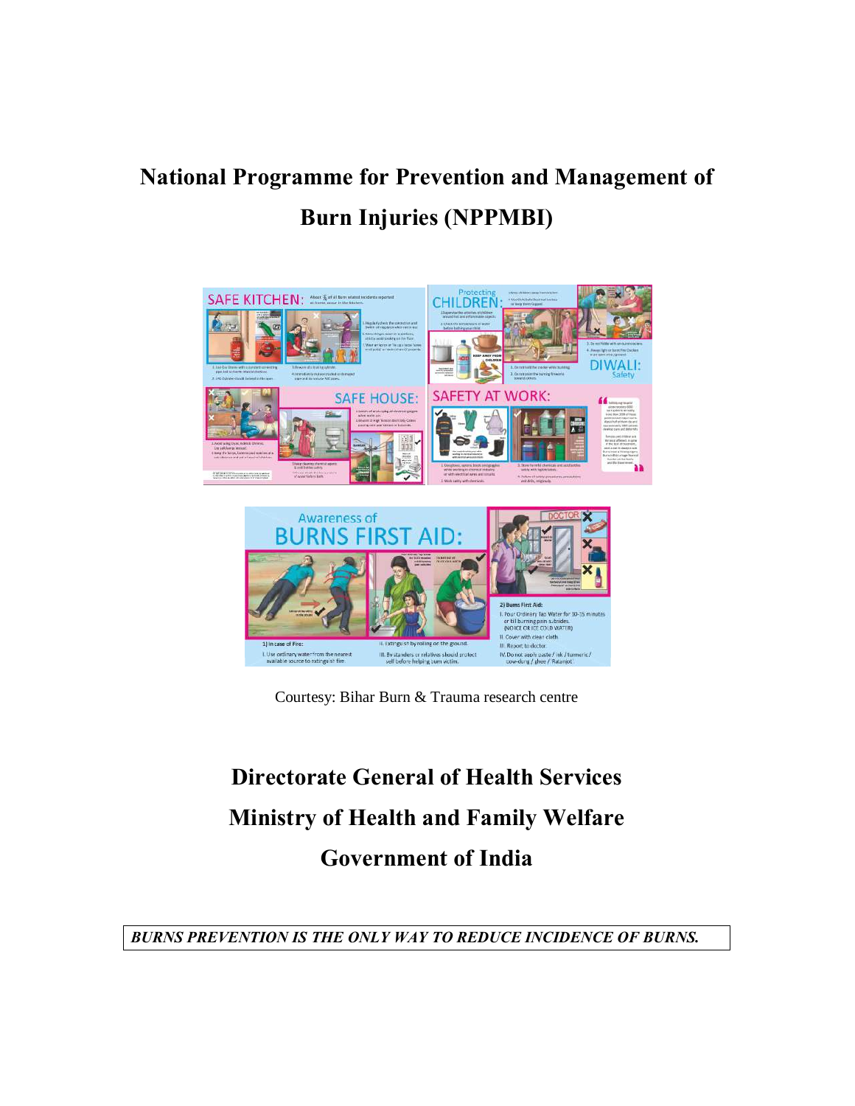# **National Programme for Prevention and Management of Burn Injuries (NPPMBI)**



Courtesy: Bihar Burn & Trauma research centre

# **Directorate General of Health Services Ministry of Health and Family Welfare Government of India**

*BURNS PREVENTION IS THE ONLY WAY TO REDUCE INCIDENCE OF BURNS.*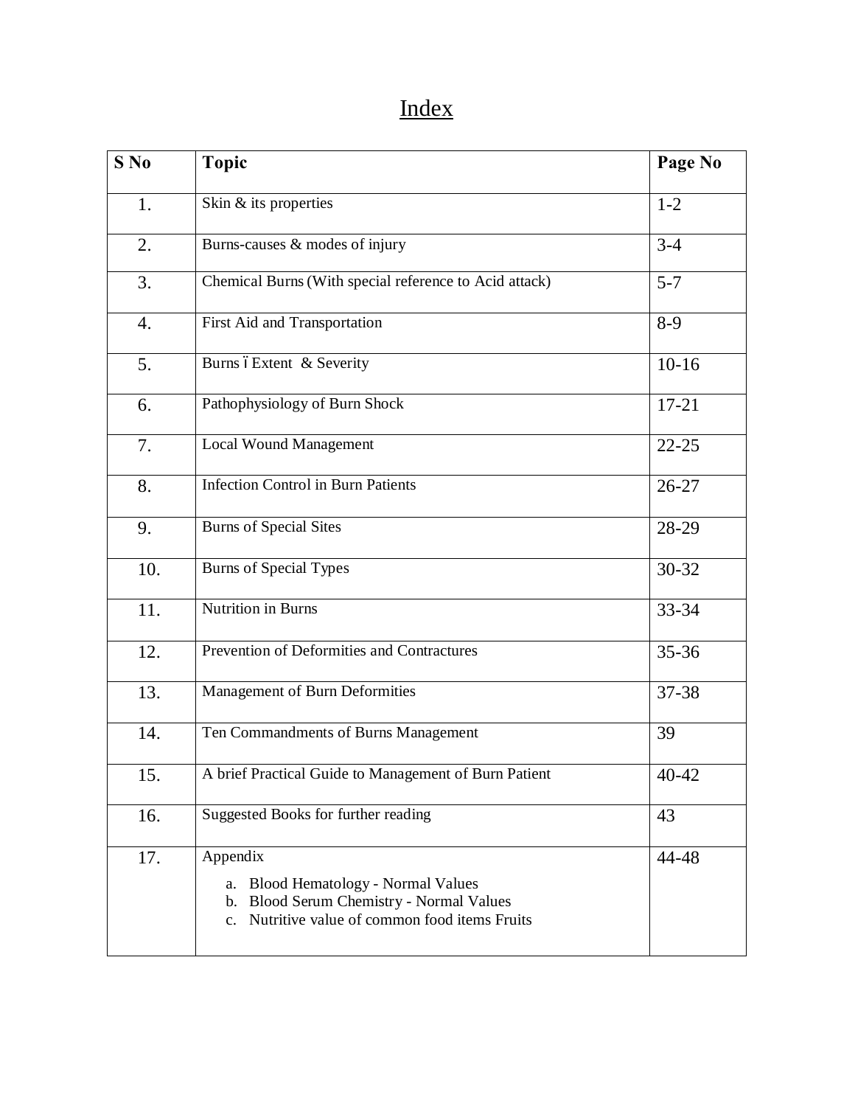# Index

| $S$ No | <b>Topic</b>                                                                                                                                            | Page No   |
|--------|---------------------------------------------------------------------------------------------------------------------------------------------------------|-----------|
| 1.     | Skin & its properties                                                                                                                                   | $1 - 2$   |
| 2.     | Burns-causes & modes of injury                                                                                                                          | $3 - 4$   |
| 3.     | Chemical Burns (With special reference to Acid attack)                                                                                                  | $5 - 7$   |
| 4.     | First Aid and Transportation                                                                                                                            | $8-9$     |
| 5.     | Burns óExtent & Severity                                                                                                                                | $10-16$   |
| 6.     | Pathophysiology of Burn Shock                                                                                                                           | $17 - 21$ |
| 7.     | <b>Local Wound Management</b>                                                                                                                           | $22 - 25$ |
| 8.     | <b>Infection Control in Burn Patients</b>                                                                                                               | $26 - 27$ |
| 9.     | <b>Burns</b> of Special Sites                                                                                                                           | 28-29     |
| 10.    | <b>Burns of Special Types</b>                                                                                                                           | 30-32     |
| 11.    | <b>Nutrition in Burns</b>                                                                                                                               | 33-34     |
| 12.    | Prevention of Deformities and Contractures                                                                                                              | 35-36     |
| 13.    | Management of Burn Deformities                                                                                                                          | 37-38     |
| 14.    | Ten Commandments of Burns Management                                                                                                                    | 39        |
| 15.    | A brief Practical Guide to Management of Burn Patient                                                                                                   | 40-42     |
| 16.    | Suggested Books for further reading                                                                                                                     | 43        |
| 17.    | Appendix<br><b>Blood Hematology - Normal Values</b><br>a.<br>b. Blood Serum Chemistry - Normal Values<br>c. Nutritive value of common food items Fruits | 44-48     |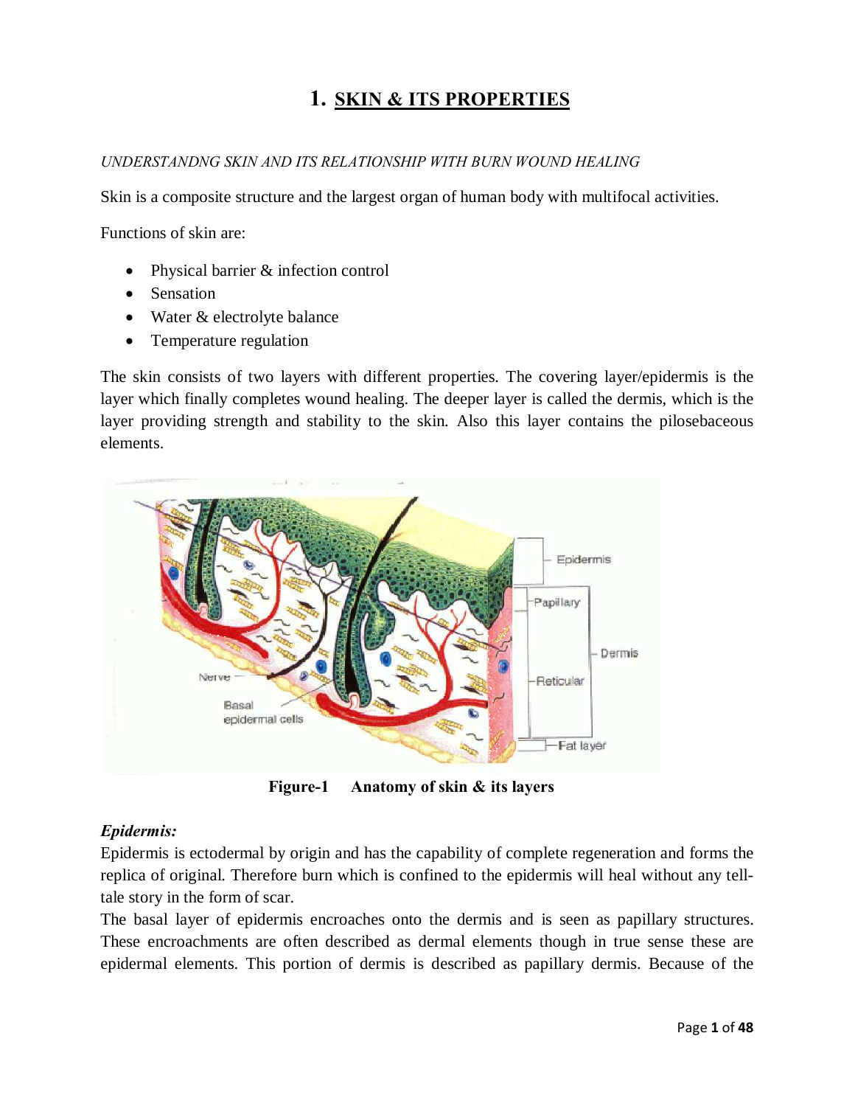### **1. SKIN & ITS PROPERTIES**

#### *UNDERSTANDNG SKIN AND ITS RELATIONSHIP WITH BURN WOUND HEALING*

Skin is a composite structure and the largest organ of human body with multifocal activities.

Functions of skin are:

- Physical barrier & infection control
- Sensation
- · Water & electrolyte balance
- Temperature regulation

The skin consists of two layers with different properties. The covering layer/epidermis is the layer which finally completes wound healing. The deeper layer is called the dermis, which is the layer providing strength and stability to the skin. Also this layer contains the pilosebaceous elements.



**Figure-1 Anatomy of skin & its layers**

#### *Epidermis:*

Epidermis is ectodermal by origin and has the capability of complete regeneration and forms the replica of original. Therefore burn which is confined to the epidermis will heal without any telltale story in the form of scar.

The basal layer of epidermis encroaches onto the dermis and is seen as papillary structures. These encroachments are often described as dermal elements though in true sense these are epidermal elements. This portion of dermis is described as papillary dermis. Because of the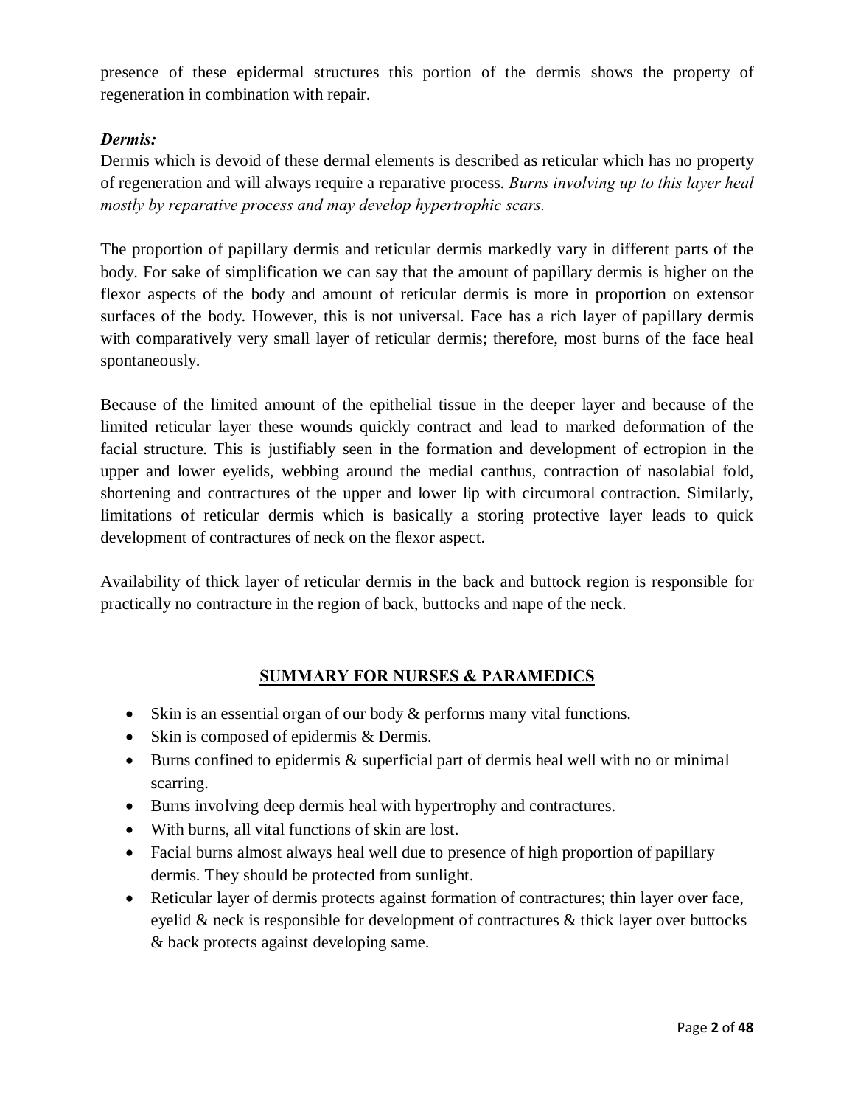presence of these epidermal structures this portion of the dermis shows the property of regeneration in combination with repair.

#### *Dermis:*

Dermis which is devoid of these dermal elements is described as reticular which has no property of regeneration and will always require a reparative process. *Burns involving up to this layer heal mostly by reparative process and may develop hypertrophic scars.*

The proportion of papillary dermis and reticular dermis markedly vary in different parts of the body. For sake of simplification we can say that the amount of papillary dermis is higher on the flexor aspects of the body and amount of reticular dermis is more in proportion on extensor surfaces of the body. However, this is not universal. Face has a rich layer of papillary dermis with comparatively very small layer of reticular dermis; therefore, most burns of the face heal spontaneously.

Because of the limited amount of the epithelial tissue in the deeper layer and because of the limited reticular layer these wounds quickly contract and lead to marked deformation of the facial structure. This is justifiably seen in the formation and development of ectropion in the upper and lower eyelids, webbing around the medial canthus, contraction of nasolabial fold, shortening and contractures of the upper and lower lip with circumoral contraction. Similarly, limitations of reticular dermis which is basically a storing protective layer leads to quick development of contractures of neck on the flexor aspect.

Availability of thick layer of reticular dermis in the back and buttock region is responsible for practically no contracture in the region of back, buttocks and nape of the neck.

#### **SUMMARY FOR NURSES & PARAMEDICS**

- Skin is an essential organ of our body & performs many vital functions.
- Skin is composed of epidermis & Dermis.
- Burns confined to epidermis & superficial part of dermis heal well with no or minimal scarring.
- · Burns involving deep dermis heal with hypertrophy and contractures.
- With burns, all vital functions of skin are lost.
- Facial burns almost always heal well due to presence of high proportion of papillary dermis. They should be protected from sunlight.
- · Reticular layer of dermis protects against formation of contractures; thin layer over face, eyelid & neck is responsible for development of contractures & thick layer over buttocks & back protects against developing same.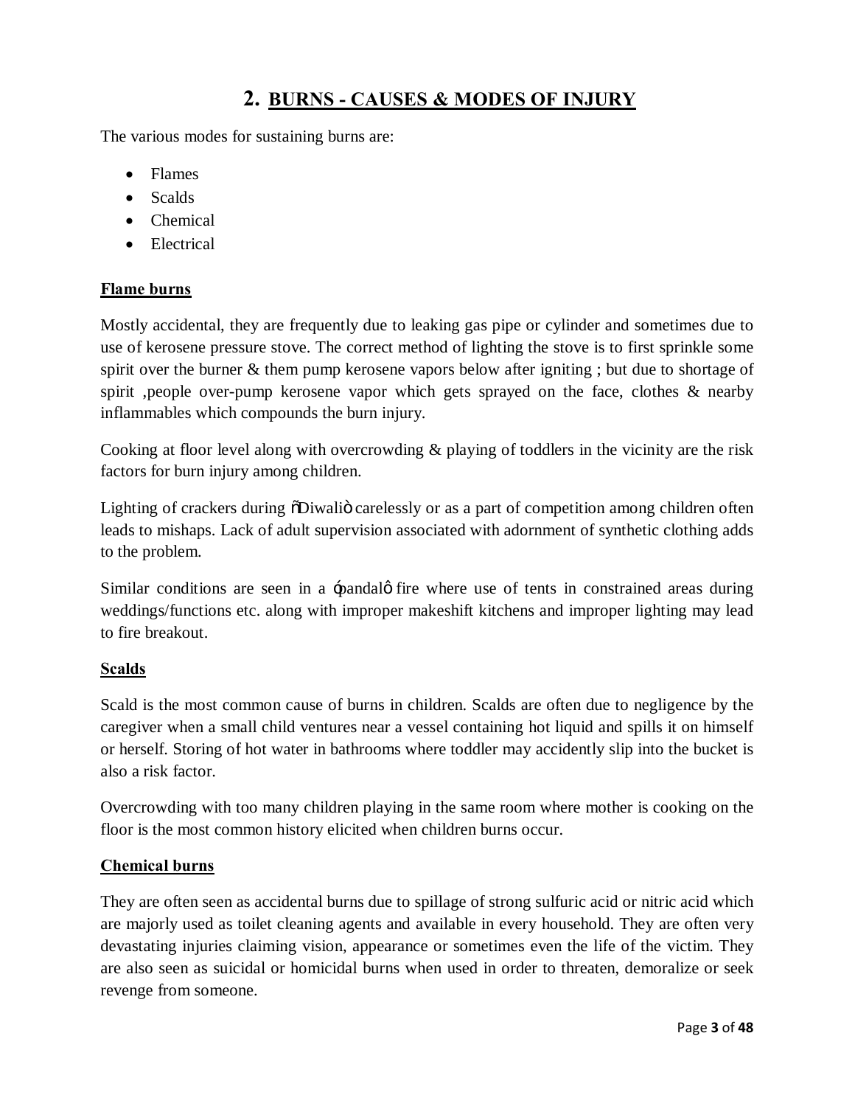### **2. BURNS - CAUSES & MODES OF INJURY**

The various modes for sustaining burns are:

- · Flames
- Scalds
- · Chemical
- Electrical

#### **Flame burns**

Mostly accidental, they are frequently due to leaking gas pipe or cylinder and sometimes due to use of kerosene pressure stove. The correct method of lighting the stove is to first sprinkle some spirit over the burner & them pump kerosene vapors below after igniting ; but due to shortage of spirit ,people over-pump kerosene vapor which gets sprayed on the face, clothes & nearby inflammables which compounds the burn injury.

Cooking at floor level along with overcrowding & playing of toddlers in the vicinity are the risk factors for burn injury among children.

Lighting of crackers during  $\delta$ Diwali $\delta$  carelessly or as a part of competition among children often leads to mishaps. Lack of adult supervision associated with adornment of synthetic clothing adds to the problem.

Similar conditions are seen in a -pandalø fire where use of tents in constrained areas during weddings/functions etc. along with improper makeshift kitchens and improper lighting may lead to fire breakout.

#### **Scalds**

Scald is the most common cause of burns in children. Scalds are often due to negligence by the caregiver when a small child ventures near a vessel containing hot liquid and spills it on himself or herself. Storing of hot water in bathrooms where toddler may accidently slip into the bucket is also a risk factor.

Overcrowding with too many children playing in the same room where mother is cooking on the floor is the most common history elicited when children burns occur.

#### **Chemical burns**

They are often seen as accidental burns due to spillage of strong sulfuric acid or nitric acid which are majorly used as toilet cleaning agents and available in every household. They are often very devastating injuries claiming vision, appearance or sometimes even the life of the victim. They are also seen as suicidal or homicidal burns when used in order to threaten, demoralize or seek revenge from someone.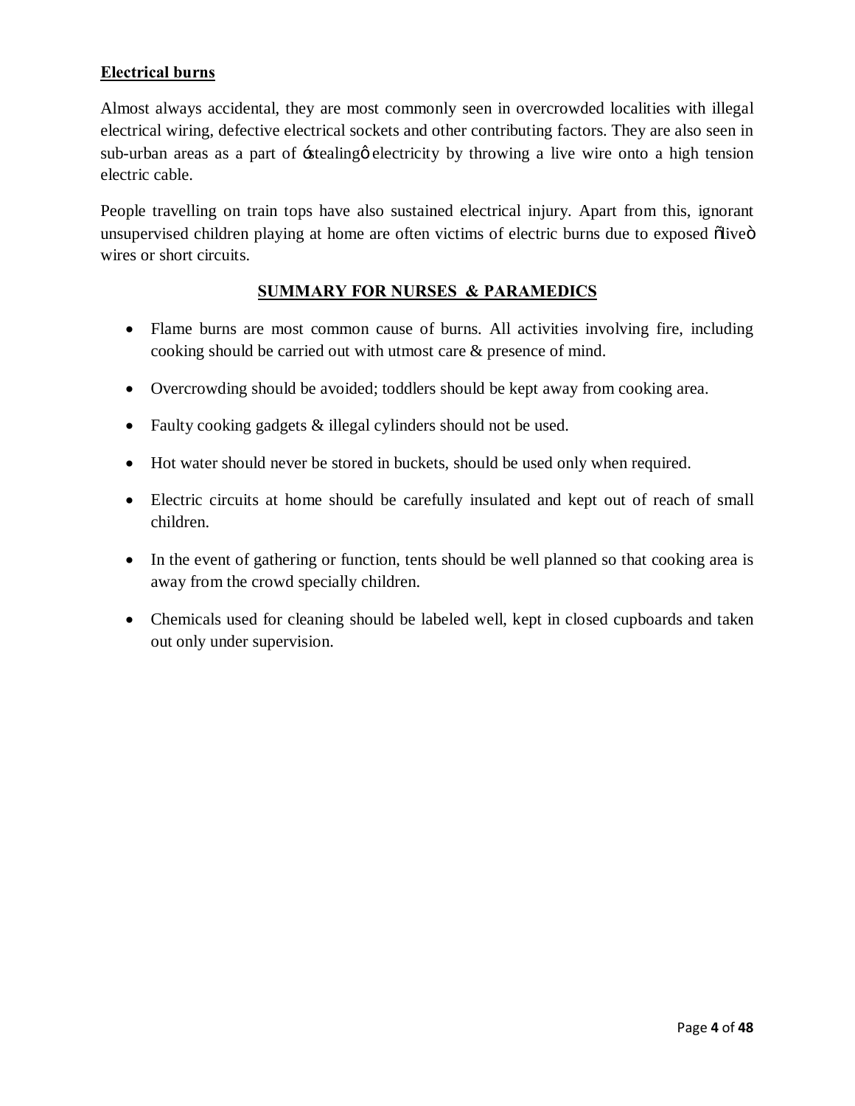#### **Electrical burns**

Almost always accidental, they are most commonly seen in overcrowded localities with illegal electrical wiring, defective electrical sockets and other contributing factors. They are also seen in sub-urban areas as a part of  $\pm$ stealing  $\phi$  electricity by throwing a live wire onto a high tension electric cable.

People travelling on train tops have also sustained electrical injury. Apart from this, ignorant unsupervised children playing at home are often victims of electric burns due to exposed õliveö wires or short circuits.

#### **SUMMARY FOR NURSES & PARAMEDICS**

- Flame burns are most common cause of burns. All activities involving fire, including cooking should be carried out with utmost care & presence of mind.
- · Overcrowding should be avoided; toddlers should be kept away from cooking area.
- Faulty cooking gadgets & illegal cylinders should not be used.
- · Hot water should never be stored in buckets, should be used only when required.
- Electric circuits at home should be carefully insulated and kept out of reach of small children.
- In the event of gathering or function, tents should be well planned so that cooking area is away from the crowd specially children.
- Chemicals used for cleaning should be labeled well, kept in closed cupboards and taken out only under supervision.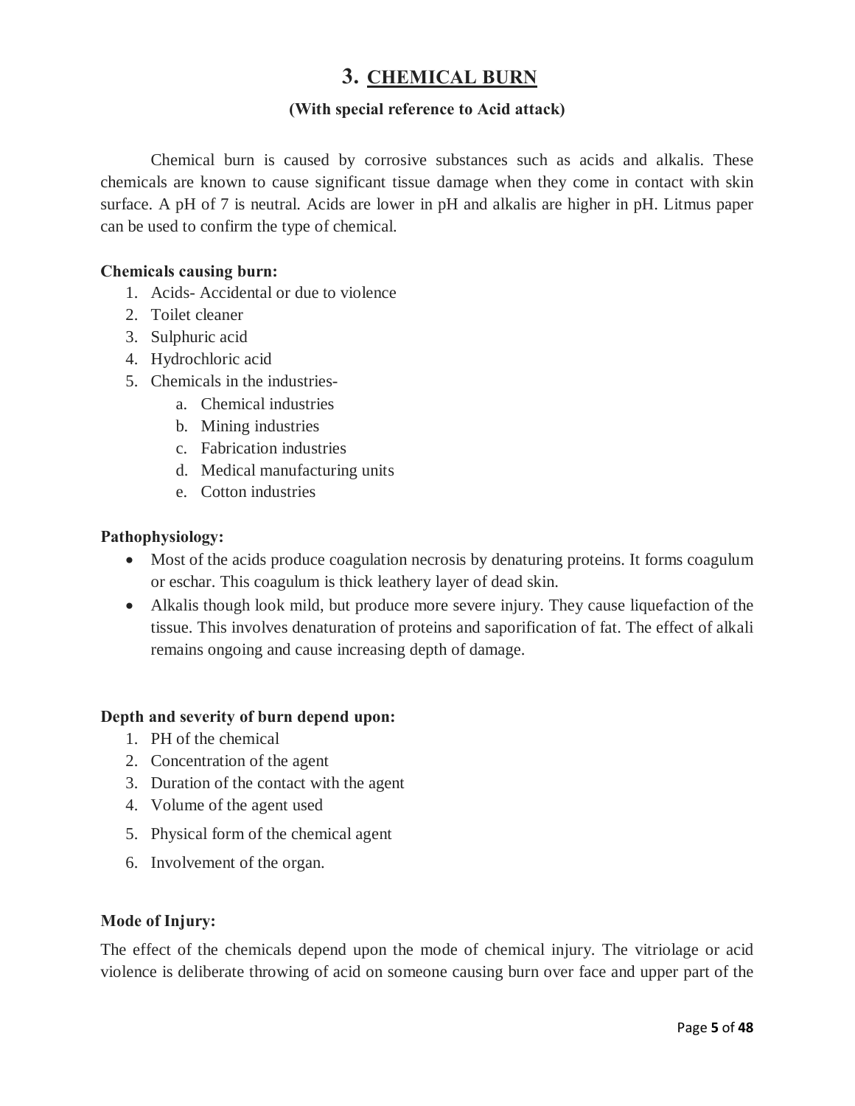### **3. CHEMICAL BURN**

#### **(With special reference to Acid attack)**

Chemical burn is caused by corrosive substances such as acids and alkalis. These chemicals are known to cause significant tissue damage when they come in contact with skin surface. A pH of 7 is neutral. Acids are lower in pH and alkalis are higher in pH. Litmus paper can be used to confirm the type of chemical.

#### **Chemicals causing burn:**

- 1. Acids- Accidental or due to violence
- 2. Toilet cleaner
- 3. Sulphuric acid
- 4. Hydrochloric acid
- 5. Chemicals in the industries
	- a. Chemical industries
	- b. Mining industries
	- c. Fabrication industries
	- d. Medical manufacturing units
	- e. Cotton industries

#### **Pathophysiology:**

- · Most of the acids produce coagulation necrosis by denaturing proteins. It forms coagulum or eschar. This coagulum is thick leathery layer of dead skin.
- · Alkalis though look mild, but produce more severe injury. They cause liquefaction of the tissue. This involves denaturation of proteins and saporification of fat. The effect of alkali remains ongoing and cause increasing depth of damage.

#### **Depth and severity of burn depend upon:**

- 1. PH of the chemical
- 2. Concentration of the agent
- 3. Duration of the contact with the agent
- 4. Volume of the agent used
- 5. Physical form of the chemical agent
- 6. Involvement of the organ.

#### **Mode of Injury:**

The effect of the chemicals depend upon the mode of chemical injury. The vitriolage or acid violence is deliberate throwing of acid on someone causing burn over face and upper part of the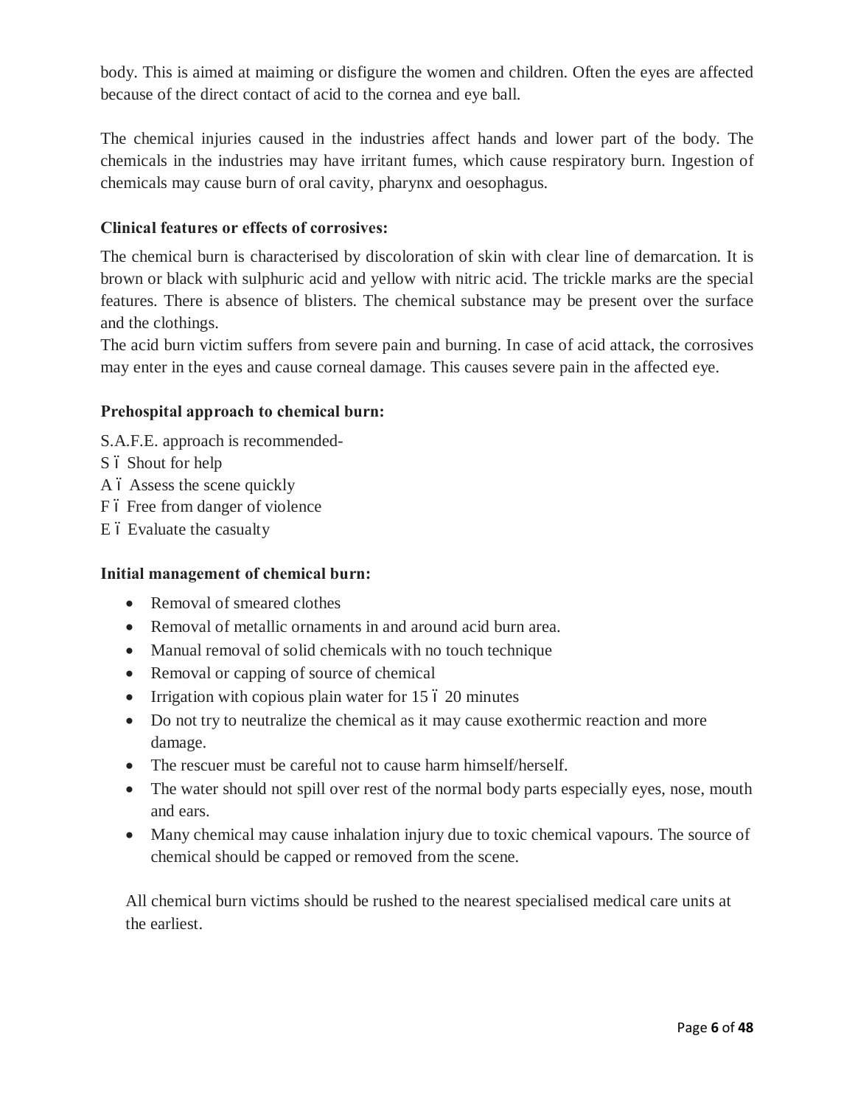body. This is aimed at maiming or disfigure the women and children. Often the eyes are affected because of the direct contact of acid to the cornea and eye ball.

The chemical injuries caused in the industries affect hands and lower part of the body. The chemicals in the industries may have irritant fumes, which cause respiratory burn. Ingestion of chemicals may cause burn of oral cavity, pharynx and oesophagus.

#### **Clinical features or effects of corrosives:**

The chemical burn is characterised by discoloration of skin with clear line of demarcation. It is brown or black with sulphuric acid and yellow with nitric acid. The trickle marks are the special features. There is absence of blisters. The chemical substance may be present over the surface and the clothings.

The acid burn victim suffers from severe pain and burning. In case of acid attack, the corrosives may enter in the eyes and cause corneal damage. This causes severe pain in the affected eye.

#### **Prehospital approach to chemical burn:**

- S.A.F.E. approach is recommended-
- S ó Shout for help
- A 6 Assess the scene quickly
- F 6 Free from danger of violence
- E 6 Evaluate the casualty

#### **Initial management of chemical burn:**

- Removal of smeared clothes
- · Removal of metallic ornaments in and around acid burn area.
- Manual removal of solid chemicals with no touch technique
- Removal or capping of source of chemical
- Irrigation with copious plain water for  $15\,6\,20$  minutes
- Do not try to neutralize the chemical as it may cause exothermic reaction and more damage.
- The rescuer must be careful not to cause harm himself/herself.
- The water should not spill over rest of the normal body parts especially eyes, nose, mouth and ears.
- Many chemical may cause inhalation injury due to toxic chemical vapours. The source of chemical should be capped or removed from the scene.

All chemical burn victims should be rushed to the nearest specialised medical care units at the earliest.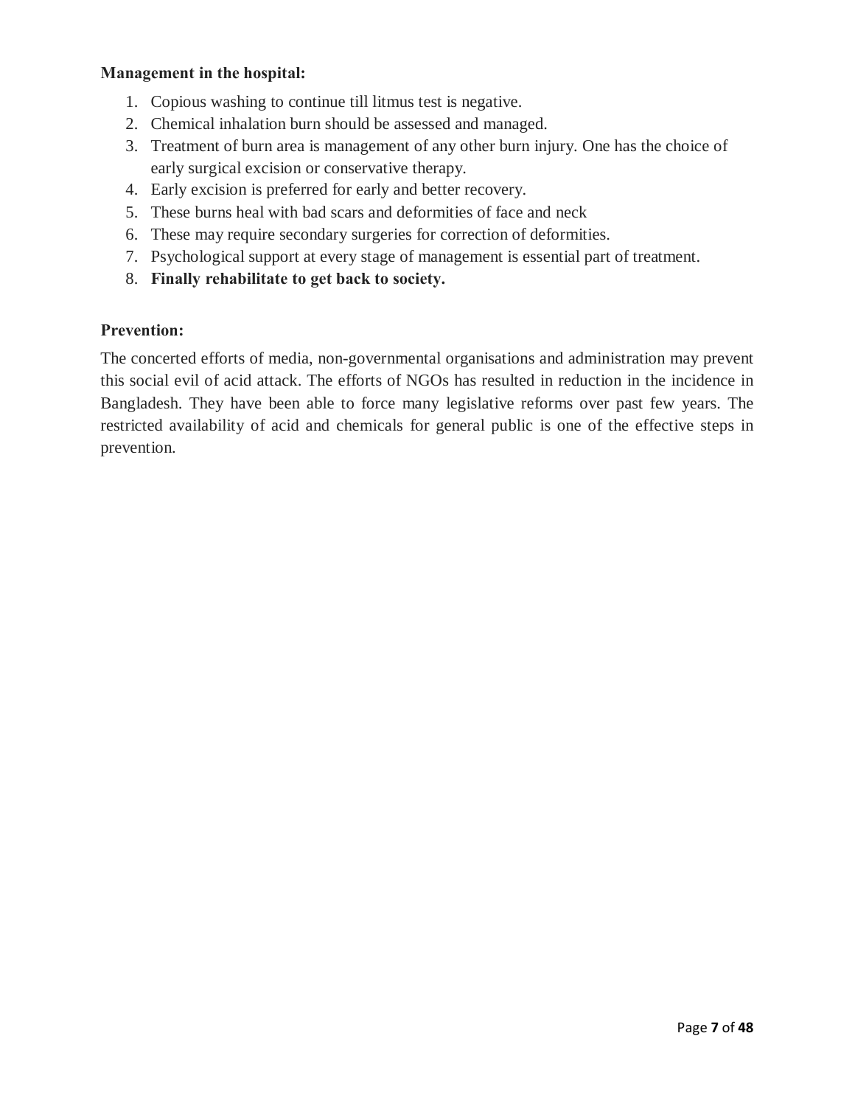#### **Management in the hospital:**

- 1. Copious washing to continue till litmus test is negative.
- 2. Chemical inhalation burn should be assessed and managed.
- 3. Treatment of burn area is management of any other burn injury. One has the choice of early surgical excision or conservative therapy.
- 4. Early excision is preferred for early and better recovery.
- 5. These burns heal with bad scars and deformities of face and neck
- 6. These may require secondary surgeries for correction of deformities.
- 7. Psychological support at every stage of management is essential part of treatment.
- 8. **Finally rehabilitate to get back to society.**

#### **Prevention:**

The concerted efforts of media, non-governmental organisations and administration may prevent this social evil of acid attack. The efforts of NGOs has resulted in reduction in the incidence in Bangladesh. They have been able to force many legislative reforms over past few years. The restricted availability of acid and chemicals for general public is one of the effective steps in prevention.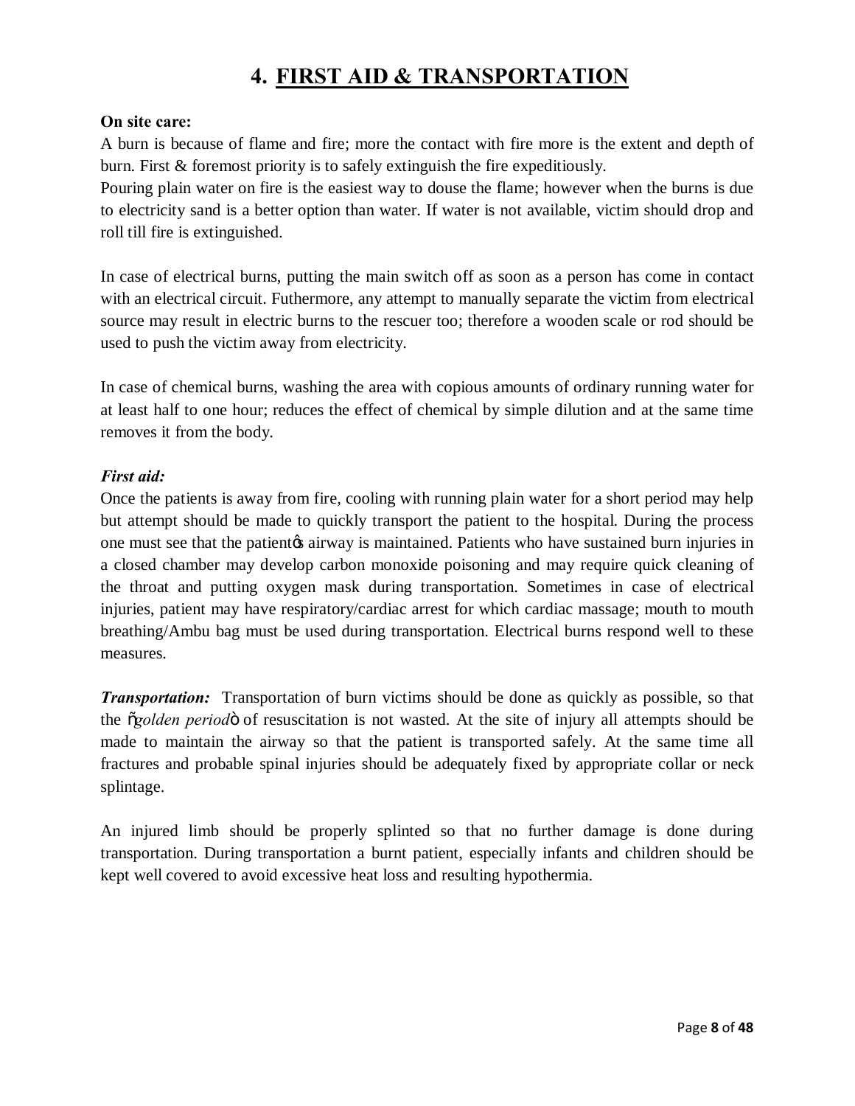# **4. FIRST AID & TRANSPORTATION**

#### **On site care:**

A burn is because of flame and fire; more the contact with fire more is the extent and depth of burn. First & foremost priority is to safely extinguish the fire expeditiously.

Pouring plain water on fire is the easiest way to douse the flame; however when the burns is due to electricity sand is a better option than water. If water is not available, victim should drop and roll till fire is extinguished.

In case of electrical burns, putting the main switch off as soon as a person has come in contact with an electrical circuit. Futhermore, any attempt to manually separate the victim from electrical source may result in electric burns to the rescuer too; therefore a wooden scale or rod should be used to push the victim away from electricity.

In case of chemical burns, washing the area with copious amounts of ordinary running water for at least half to one hour; reduces the effect of chemical by simple dilution and at the same time removes it from the body.

#### *First aid:*

Once the patients is away from fire, cooling with running plain water for a short period may help but attempt should be made to quickly transport the patient to the hospital. During the process one must see that the patient the airway is maintained. Patients who have sustained burn injuries in a closed chamber may develop carbon monoxide poisoning and may require quick cleaning of the throat and putting oxygen mask during transportation. Sometimes in case of electrical injuries, patient may have respiratory/cardiac arrest for which cardiac massage; mouth to mouth breathing/Ambu bag must be used during transportation. Electrical burns respond well to these measures.

*Transportation:* Transportation of burn victims should be done as quickly as possible, so that the "*golden period*" of resuscitation is not wasted. At the site of injury all attempts should be made to maintain the airway so that the patient is transported safely. At the same time all fractures and probable spinal injuries should be adequately fixed by appropriate collar or neck splintage.

An injured limb should be properly splinted so that no further damage is done during transportation. During transportation a burnt patient, especially infants and children should be kept well covered to avoid excessive heat loss and resulting hypothermia.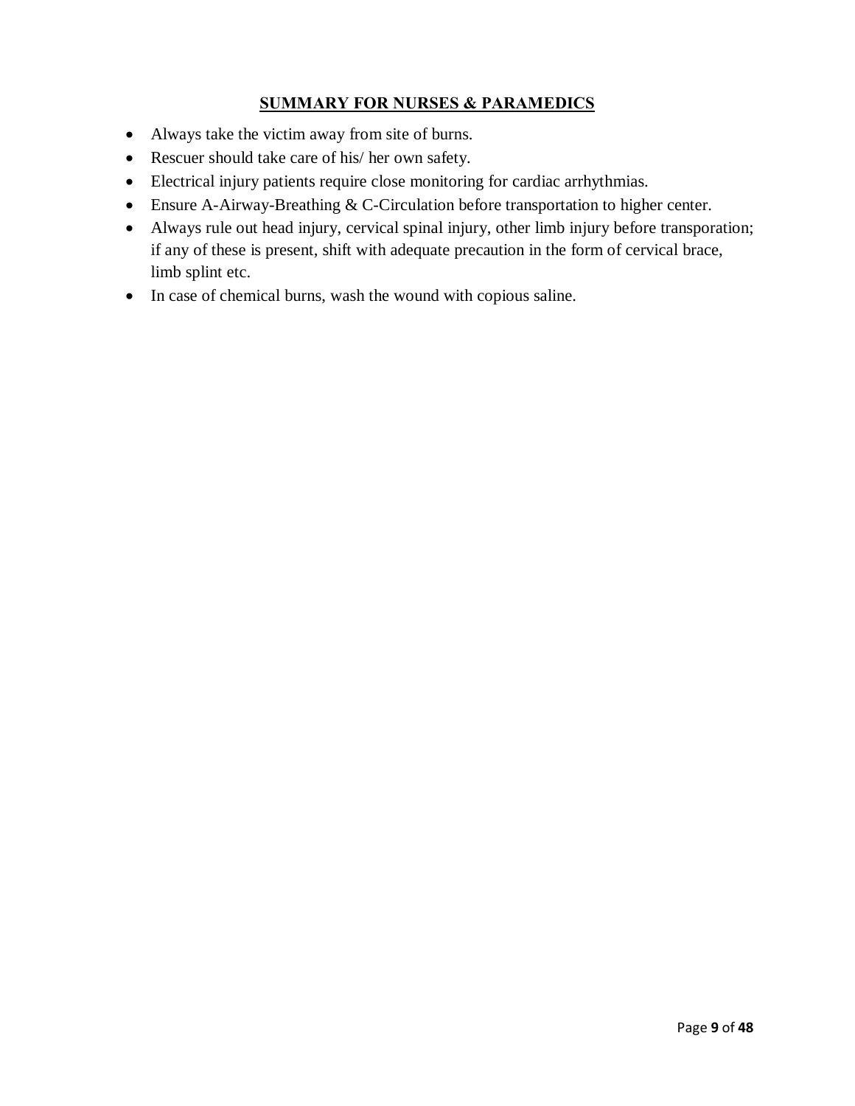#### **SUMMARY FOR NURSES & PARAMEDICS**

- · Always take the victim away from site of burns.
- Rescuer should take care of his/ her own safety.
- · Electrical injury patients require close monitoring for cardiac arrhythmias.
- · Ensure A-Airway-Breathing & C-Circulation before transportation to higher center.
- · Always rule out head injury, cervical spinal injury, other limb injury before transporation; if any of these is present, shift with adequate precaution in the form of cervical brace, limb splint etc.
- · In case of chemical burns, wash the wound with copious saline.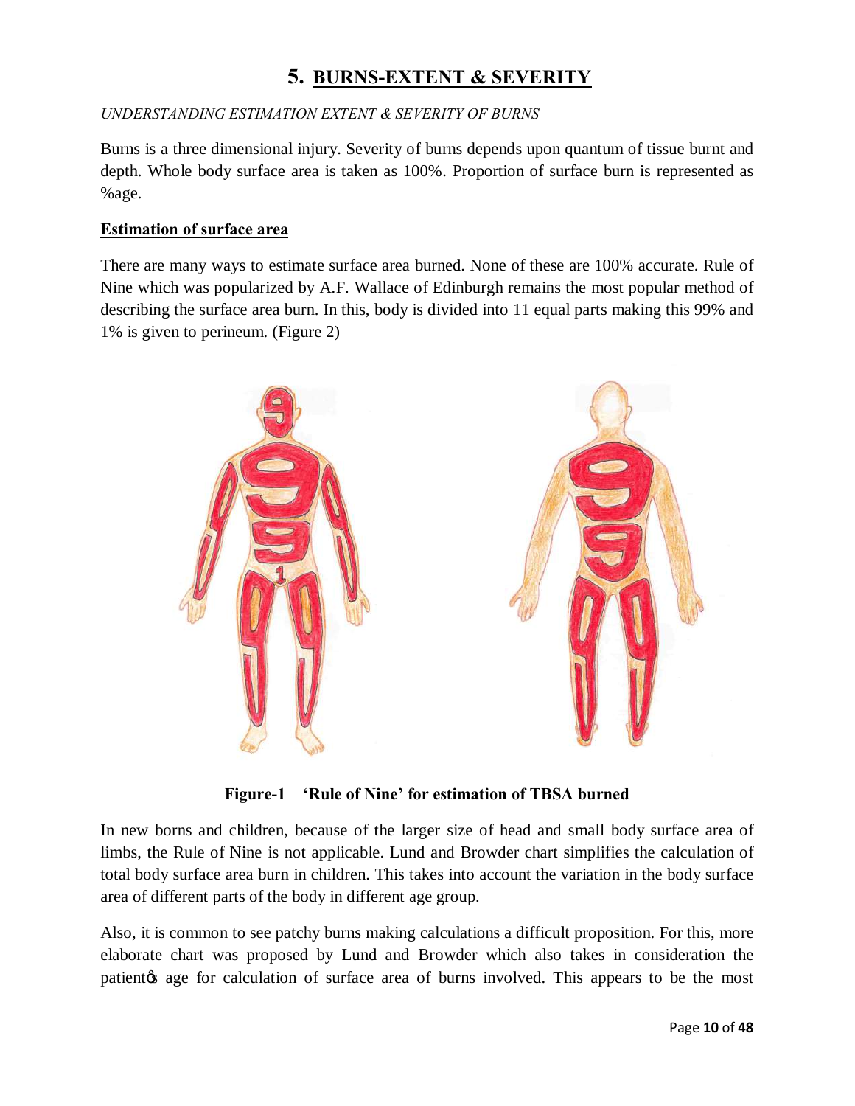### **5. BURNS-EXTENT & SEVERITY**

#### *UNDERSTANDING ESTIMATION EXTENT & SEVERITY OF BURNS*

Burns is a three dimensional injury. Severity of burns depends upon quantum of tissue burnt and depth. Whole body surface area is taken as 100%. Proportion of surface burn is represented as %age.

#### **Estimation of surface area**

There are many ways to estimate surface area burned. None of these are 100% accurate. Rule of Nine which was popularized by A.F. Wallace of Edinburgh remains the most popular method of describing the surface area burn. In this, body is divided into 11 equal parts making this 99% and 1% is given to perineum. (Figure 2)



**Figure-1 'Rule of Nine' for estimation of TBSA burned**

In new borns and children, because of the larger size of head and small body surface area of limbs, the Rule of Nine is not applicable. Lund and Browder chart simplifies the calculation of total body surface area burn in children. This takes into account the variation in the body surface area of different parts of the body in different age group.

Also, it is common to see patchy burns making calculations a difficult proposition. For this, more elaborate chart was proposed by Lund and Browder which also takes in consideration the patient the age for calculation of surface area of burns involved. This appears to be the most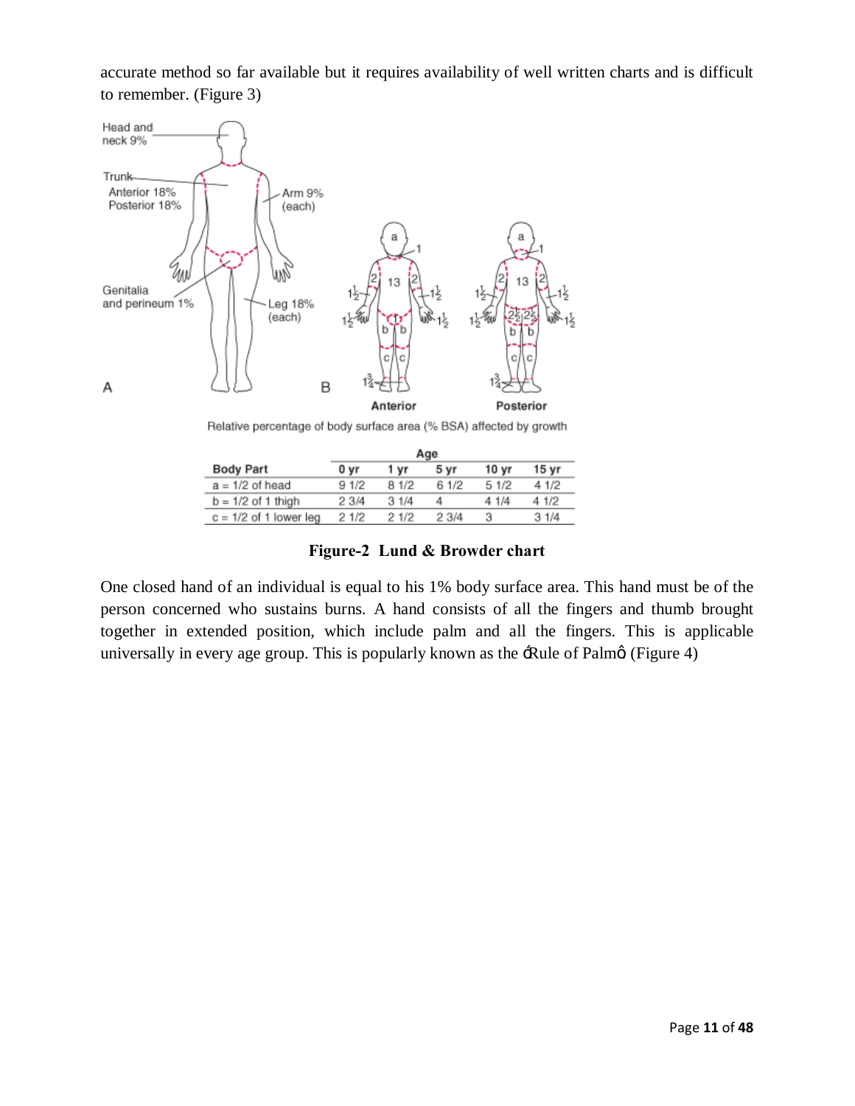accurate method so far available but it requires availability of well written charts and is difficult to remember. (Figure 3)



Relative percentage of body surface area (% BSA) affected by growth

|                          | Age   |       |       |                  |       |  |
|--------------------------|-------|-------|-------|------------------|-------|--|
| <b>Body Part</b>         | 0 yr  | 1 vr  | 5 yr  | 10 <sub>yr</sub> | 15 vr |  |
| $a = 1/2$ of head        | 9 1/2 | 8 1/2 | 6 1/2 | 5 1/2            | 4 1/2 |  |
| $b = 1/2$ of 1 thigh     | 2 3/4 | 31/4  | 4     | 4 1/4            | 4 1/2 |  |
| $c = 1/2$ of 1 lower leg | 2 1/2 | 21/2  | 23/4  |                  | 31/4  |  |

**Figure-2 Lund & Browder chart**

One closed hand of an individual is equal to his 1% body surface area. This hand must be of the person concerned who sustains burns. A hand consists of all the fingers and thumb brought together in extended position, which include palm and all the fingers. This is applicable universally in every age group. This is popularly known as the  $\exists$ Rule of Palm $\emptyset$  (Figure 4)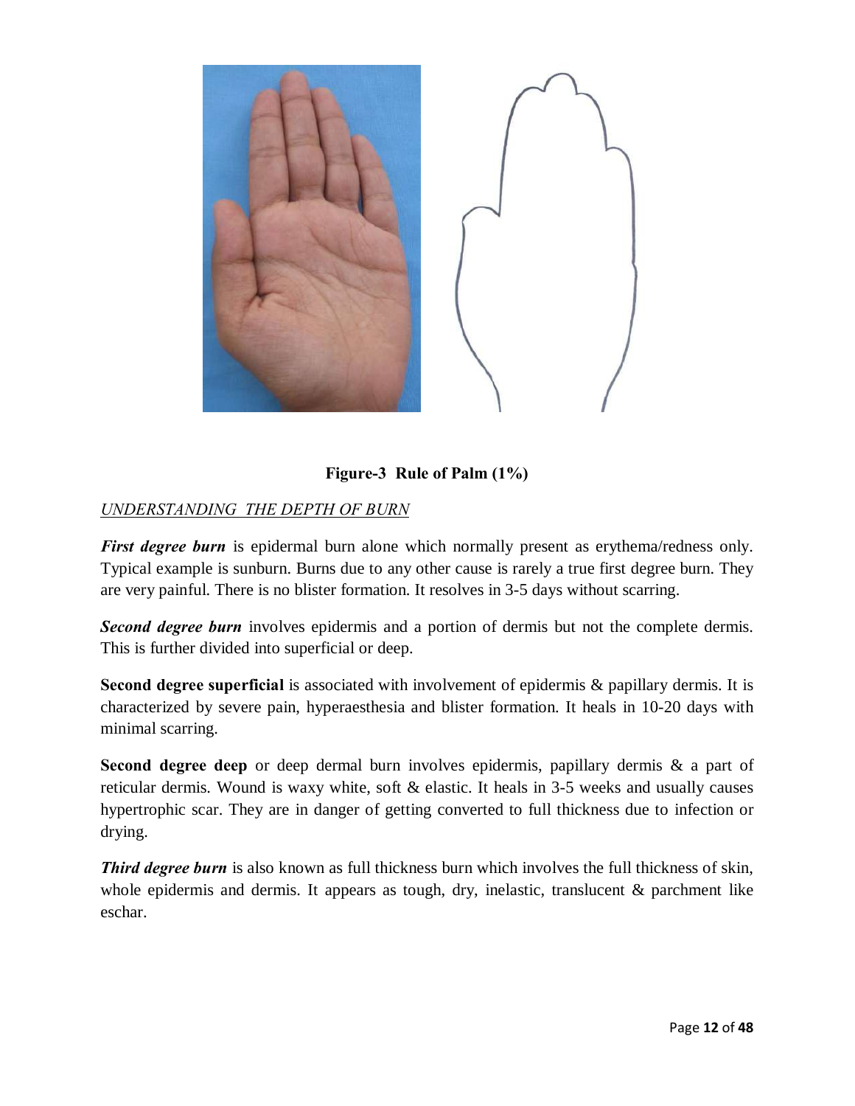

#### **Figure-3 Rule of Palm (1%)**

#### *UNDERSTANDING THE DEPTH OF BURN*

*First degree burn* is epidermal burn alone which normally present as erythema/redness only. Typical example is sunburn. Burns due to any other cause is rarely a true first degree burn. They are very painful. There is no blister formation. It resolves in 3-5 days without scarring.

**Second degree burn** involves epidermis and a portion of dermis but not the complete dermis. This is further divided into superficial or deep.

**Second degree superficial** is associated with involvement of epidermis & papillary dermis. It is characterized by severe pain, hyperaesthesia and blister formation. It heals in 10-20 days with minimal scarring.

**Second degree deep** or deep dermal burn involves epidermis, papillary dermis & a part of reticular dermis. Wound is waxy white, soft & elastic. It heals in 3-5 weeks and usually causes hypertrophic scar. They are in danger of getting converted to full thickness due to infection or drying.

**Third degree burn** is also known as full thickness burn which involves the full thickness of skin, whole epidermis and dermis. It appears as tough, dry, inelastic, translucent & parchment like eschar.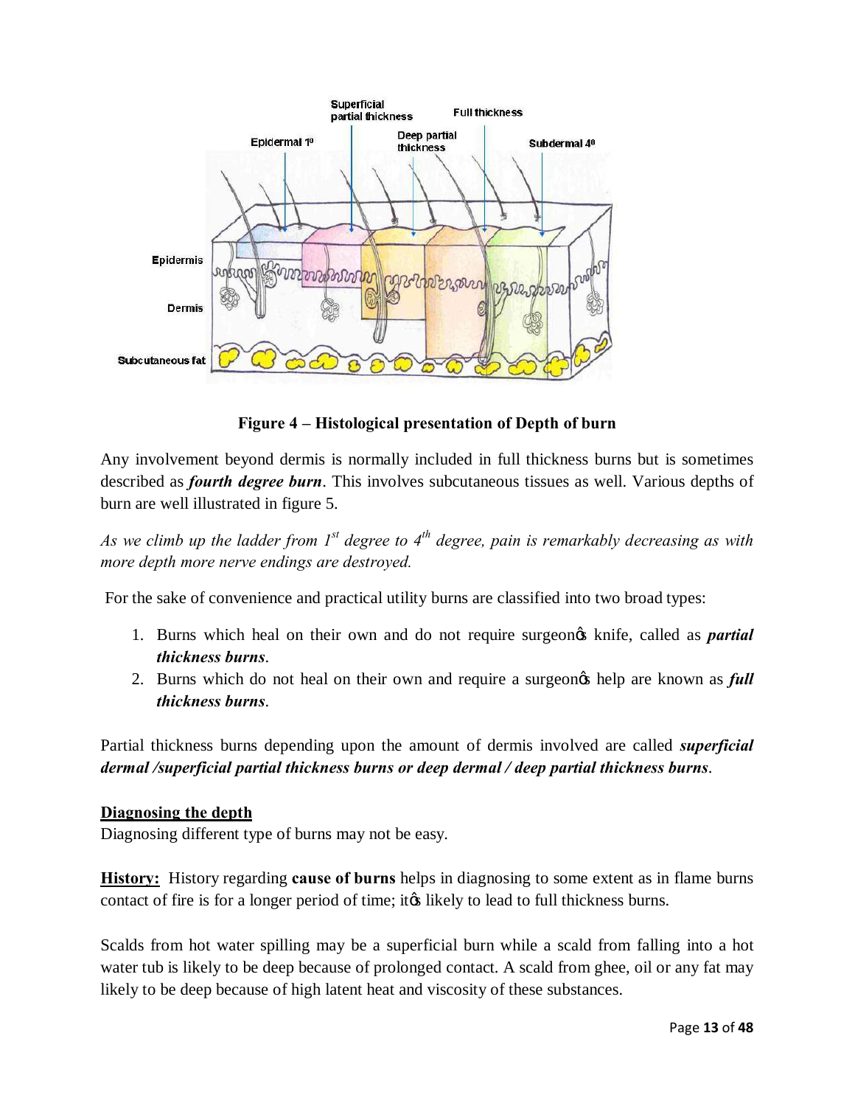

**Figure 4 – Histological presentation of Depth of burn**

Any involvement beyond dermis is normally included in full thickness burns but is sometimes described as *fourth degree burn*. This involves subcutaneous tissues as well. Various depths of burn are well illustrated in figure 5.

*As we climb up the ladder from 1st degree to 4th degree, pain is remarkably decreasing as with more depth more nerve endings are destroyed.*

For the sake of convenience and practical utility burns are classified into two broad types:

- 1. Burns which heal on their own and do not require surgeon's knife, called as *partial thickness burns*.
- 2. Burns which do not heal on their own and require a surgeon's help are known as *full thickness burns*.

Partial thickness burns depending upon the amount of dermis involved are called *superficial dermal /superficial partial thickness burns or deep dermal / deep partial thickness burns*.

#### **Diagnosing the depth**

Diagnosing different type of burns may not be easy.

**History:** History regarding **cause of burns** helps in diagnosing to some extent as in flame burns contact of fire is for a longer period of time; it this likely to lead to full thickness burns.

Scalds from hot water spilling may be a superficial burn while a scald from falling into a hot water tub is likely to be deep because of prolonged contact. A scald from ghee, oil or any fat may likely to be deep because of high latent heat and viscosity of these substances.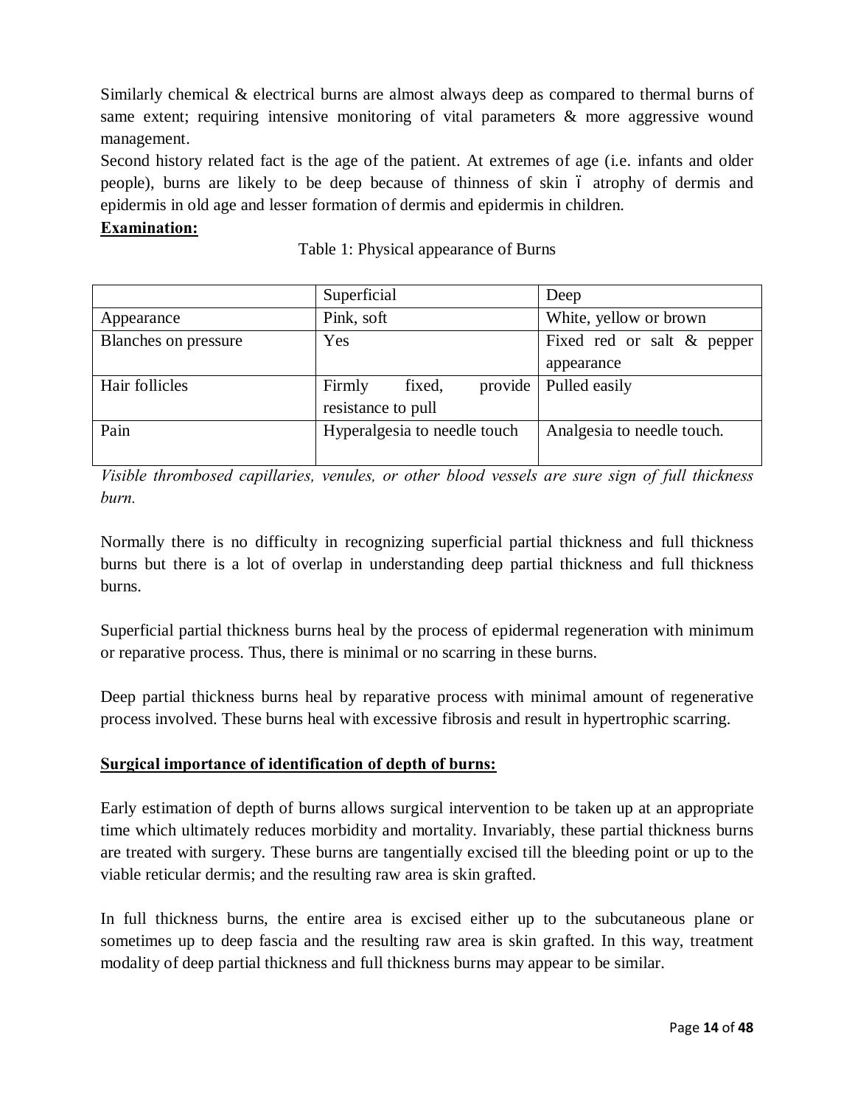Similarly chemical & electrical burns are almost always deep as compared to thermal burns of same extent; requiring intensive monitoring of vital parameters & more aggressive wound management.

Second history related fact is the age of the patient. At extremes of age (i.e. infants and older people), burns are likely to be deep because of thinness of skin 6 atrophy of dermis and epidermis in old age and lesser formation of dermis and epidermis in children.

#### **Examination:**

|                             | Superficial                   | Deep                          |
|-----------------------------|-------------------------------|-------------------------------|
| Appearance                  | Pink, soft                    | White, yellow or brown        |
| <b>Blanches on pressure</b> | Yes                           | Fixed red or salt $\&$ pepper |
|                             |                               | appearance                    |
| Hair follicles              | provide  <br>fixed,<br>Firmly | Pulled easily                 |
|                             | resistance to pull            |                               |
| Pain                        | Hyperalgesia to needle touch  | Analgesia to needle touch.    |
|                             |                               |                               |

Table 1: Physical appearance of Burns

*Visible thrombosed capillaries, venules, or other blood vessels are sure sign of full thickness burn.* 

Normally there is no difficulty in recognizing superficial partial thickness and full thickness burns but there is a lot of overlap in understanding deep partial thickness and full thickness burns.

Superficial partial thickness burns heal by the process of epidermal regeneration with minimum or reparative process. Thus, there is minimal or no scarring in these burns.

Deep partial thickness burns heal by reparative process with minimal amount of regenerative process involved. These burns heal with excessive fibrosis and result in hypertrophic scarring.

#### **Surgical importance of identification of depth of burns:**

Early estimation of depth of burns allows surgical intervention to be taken up at an appropriate time which ultimately reduces morbidity and mortality. Invariably, these partial thickness burns are treated with surgery. These burns are tangentially excised till the bleeding point or up to the viable reticular dermis; and the resulting raw area is skin grafted.

In full thickness burns, the entire area is excised either up to the subcutaneous plane or sometimes up to deep fascia and the resulting raw area is skin grafted. In this way, treatment modality of deep partial thickness and full thickness burns may appear to be similar.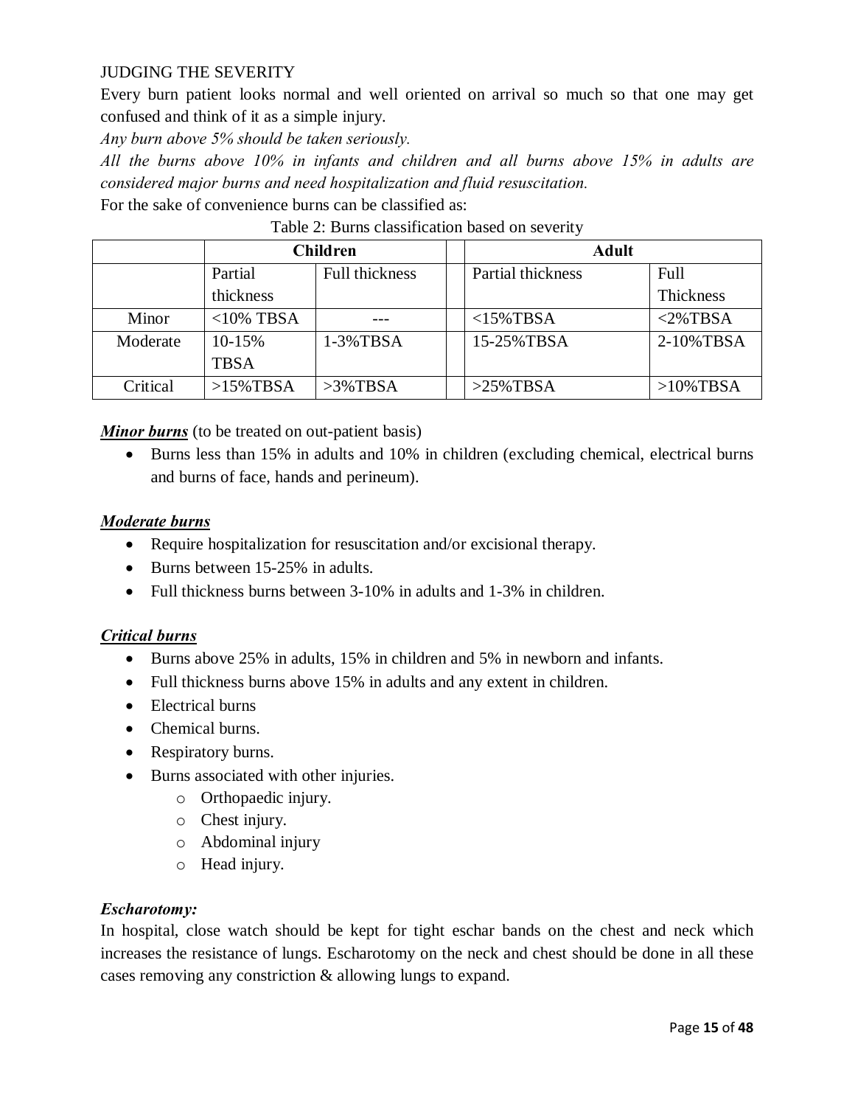#### JUDGING THE SEVERITY

Every burn patient looks normal and well oriented on arrival so much so that one may get confused and think of it as a simple injury.

*Any burn above 5% should be taken seriously.*

*All the burns above 10% in infants and children and all burns above 15% in adults are considered major burns and need hospitalization and fluid resuscitation.* 

For the sake of convenience burns can be classified as:

|          | <b>Children</b>                  |             |                   | <b>Adult</b> |              |  |
|----------|----------------------------------|-------------|-------------------|--------------|--------------|--|
|          | <b>Full thickness</b><br>Partial |             | Partial thickness | Full         |              |  |
|          | thickness                        |             |                   |              | Thickness    |  |
| Minor    | $<$ 10% TBSA                     |             |                   | $<$ 15%TBSA  | $<$ 2%TBSA   |  |
| Moderate | 10-15%                           | 1-3%TBSA    |                   | 15-25% TBSA  | 2-10%TBSA    |  |
|          | <b>TBSA</b>                      |             |                   |              |              |  |
| Critical | $>15\%$ TBSA                     | $>3\%$ TBSA |                   | $>25\%$ TBSA | $>10\%$ TBSA |  |

| Table 2: Burns classification based on severity |  |
|-------------------------------------------------|--|
|-------------------------------------------------|--|

*Minor burns* (to be treated on out-patient basis)

· Burns less than 15% in adults and 10% in children (excluding chemical, electrical burns and burns of face, hands and perineum).

#### *Moderate burns*

- Require hospitalization for resuscitation and/or excisional therapy.
- Burns between 15-25% in adults.
- Full thickness burns between 3-10% in adults and 1-3% in children.

#### *Critical burns*

- · Burns above 25% in adults, 15% in children and 5% in newborn and infants.
- Full thickness burns above 15% in adults and any extent in children.
- Electrical burns
- Chemical burns.
- · Respiratory burns.
- · Burns associated with other injuries.
	- o Orthopaedic injury.
	- o Chest injury.
	- o Abdominal injury
	- o Head injury.

#### *Escharotomy:*

In hospital, close watch should be kept for tight eschar bands on the chest and neck which increases the resistance of lungs. Escharotomy on the neck and chest should be done in all these cases removing any constriction & allowing lungs to expand.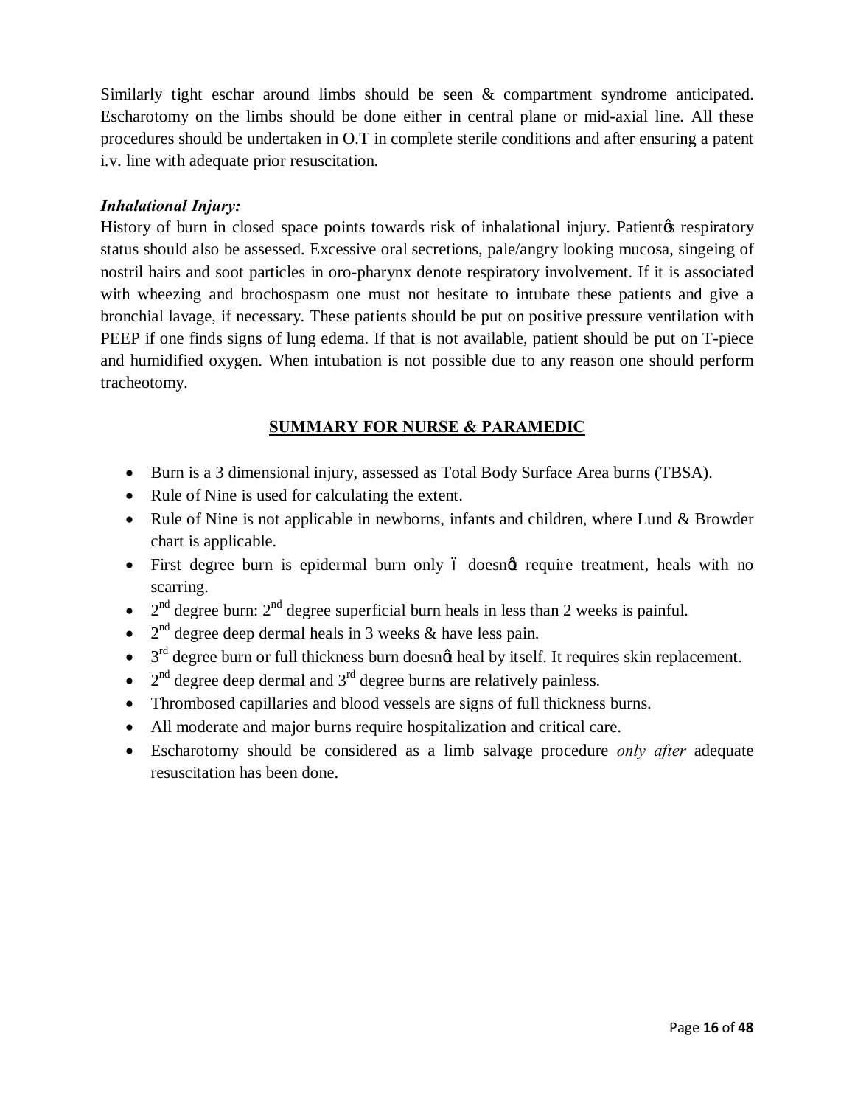Similarly tight eschar around limbs should be seen & compartment syndrome anticipated. Escharotomy on the limbs should be done either in central plane or mid-axial line. All these procedures should be undertaken in O.T in complete sterile conditions and after ensuring a patent i.v. line with adequate prior resuscitation.

#### *Inhalational Injury:*

History of burn in closed space points towards risk of inhalational injury. Patient the respiratory status should also be assessed. Excessive oral secretions, pale/angry looking mucosa, singeing of nostril hairs and soot particles in oro-pharynx denote respiratory involvement. If it is associated with wheezing and brochospasm one must not hesitate to intubate these patients and give a bronchial lavage, if necessary. These patients should be put on positive pressure ventilation with PEEP if one finds signs of lung edema. If that is not available, patient should be put on T-piece and humidified oxygen. When intubation is not possible due to any reason one should perform tracheotomy.

#### **SUMMARY FOR NURSE & PARAMEDIC**

- · Burn is a 3 dimensional injury, assessed as Total Body Surface Area burns (TBSA).
- Rule of Nine is used for calculating the extent.
- Rule of Nine is not applicable in newborns, infants and children, where Lund & Browder chart is applicable.
- First degree burn is epidermal burn only 6 doesnot require treatment, heals with no scarring.
- $2<sup>nd</sup>$  degree burn:  $2<sup>nd</sup>$  degree superficial burn heals in less than 2 weeks is painful.
- $2<sup>nd</sup>$  degree deep dermal heals in 3 weeks & have less pain.
- $\bullet$  3<sup>rd</sup> degree burn or full thickness burn doesn $\phi$  heal by itself. It requires skin replacement.
- $2<sup>nd</sup>$  degree deep dermal and  $3<sup>rd</sup>$  degree burns are relatively painless.
- · Thrombosed capillaries and blood vessels are signs of full thickness burns.
- · All moderate and major burns require hospitalization and critical care.
- · Escharotomy should be considered as a limb salvage procedure *only after* adequate resuscitation has been done.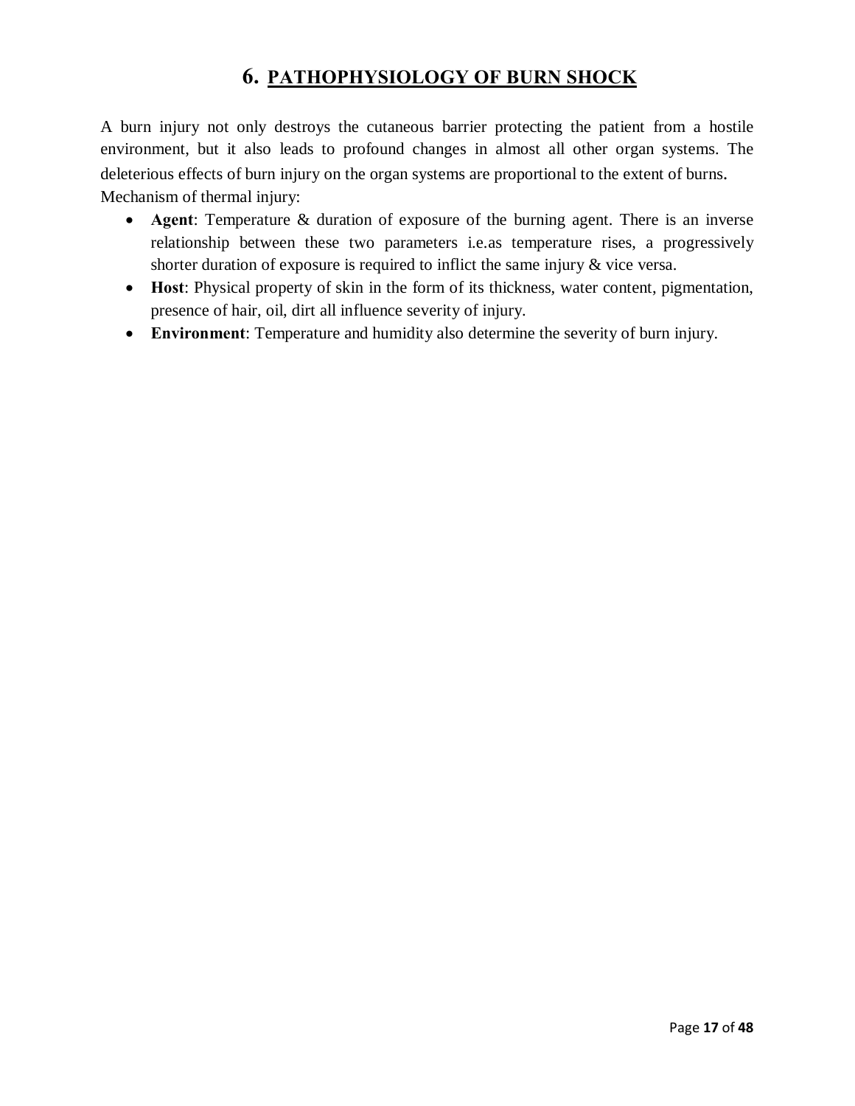### **6. PATHOPHYSIOLOGY OF BURN SHOCK**

A burn injury not only destroys the cutaneous barrier protecting the patient from a hostile environment, but it also leads to profound changes in almost all other organ systems. The deleterious effects of burn injury on the organ systems are proportional to the extent of burns. Mechanism of thermal injury:

- · **Agent**: Temperature & duration of exposure of the burning agent. There is an inverse relationship between these two parameters i.e.as temperature rises, a progressively shorter duration of exposure is required to inflict the same injury & vice versa.
- · **Host**: Physical property of skin in the form of its thickness, water content, pigmentation, presence of hair, oil, dirt all influence severity of injury.
- · **Environment**: Temperature and humidity also determine the severity of burn injury.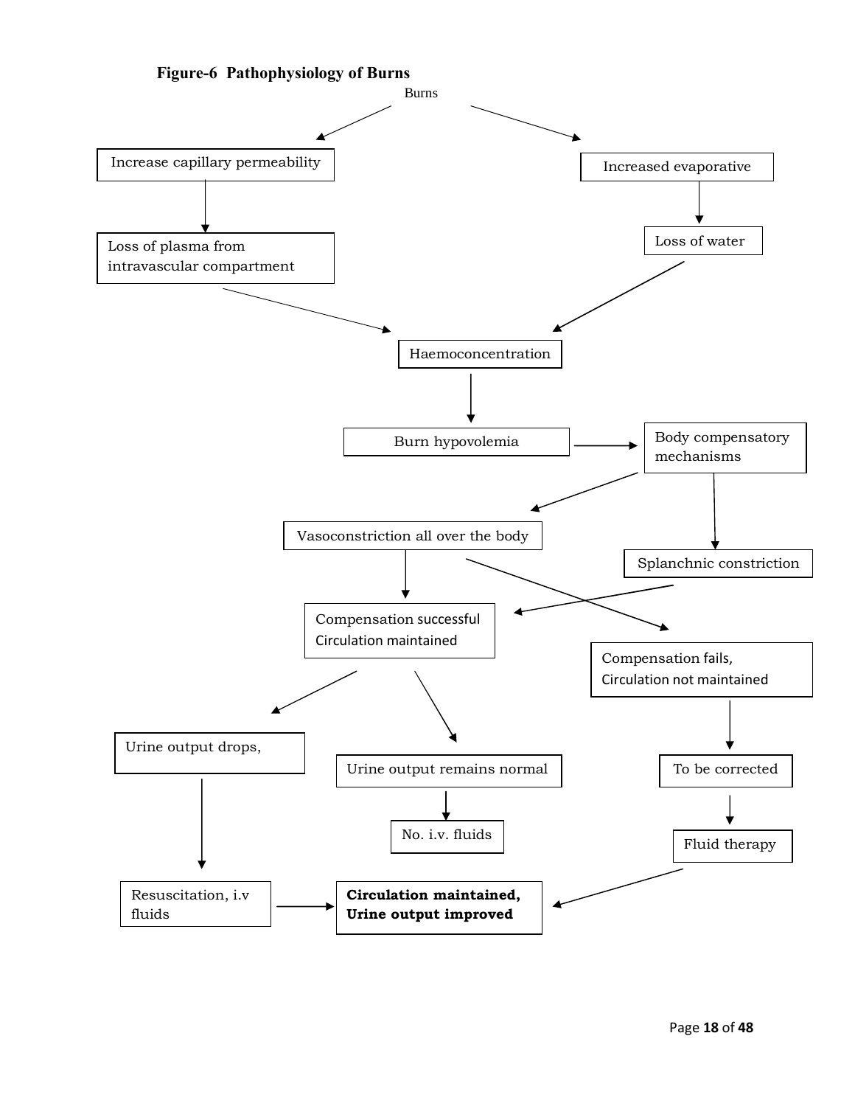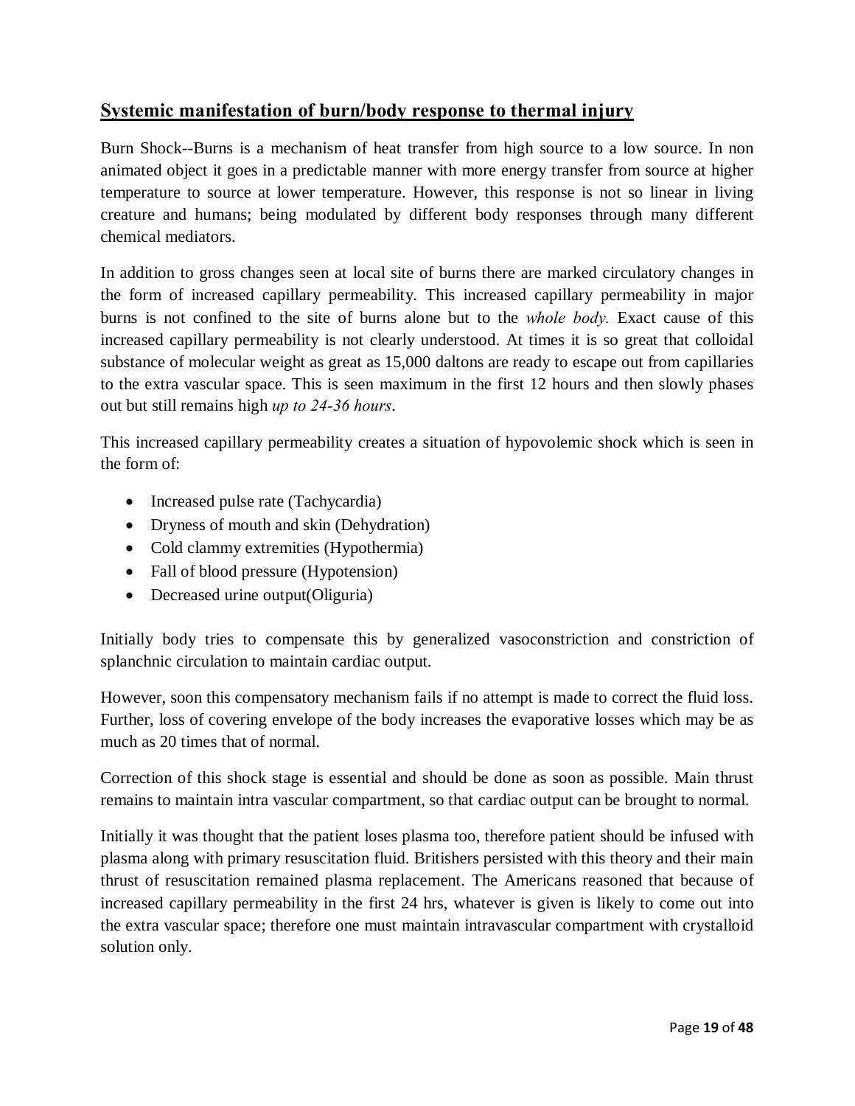### **Systemic manifestation of burn/body response to thermal injury**

Burn Shock--Burns is a mechanism of heat transfer from high source to a low source. In non animated object it goes in a predictable manner with more energy transfer from source at higher temperature to source at lower temperature. However, this response is not so linear in living creature and humans; being modulated by different body responses through many different chemical mediators.

In addition to gross changes seen at local site of burns there are marked circulatory changes in the form of increased capillary permeability. This increased capillary permeability in major burns is not confined to the site of burns alone but to the *whole body.* Exact cause of this increased capillary permeability is not clearly understood. At times it is so great that colloidal substance of molecular weight as great as 15,000 daltons are ready to escape out from capillaries to the extra vascular space. This is seen maximum in the first 12 hours and then slowly phases out but still remains high *up to 24-36 hours*.

This increased capillary permeability creates a situation of hypovolemic shock which is seen in the form of:

- Increased pulse rate (Tachycardia)
- Dryness of mouth and skin (Dehydration)
- Cold clammy extremities (Hypothermia)
- Fall of blood pressure (Hypotension)
- Decreased urine output(Oliguria)

Initially body tries to compensate this by generalized vasoconstriction and constriction of splanchnic circulation to maintain cardiac output.

However, soon this compensatory mechanism fails if no attempt is made to correct the fluid loss. Further, loss of covering envelope of the body increases the evaporative losses which may be as much as 20 times that of normal.

Correction of this shock stage is essential and should be done as soon as possible. Main thrust remains to maintain intra vascular compartment, so that cardiac output can be brought to normal.

Initially it was thought that the patient loses plasma too, therefore patient should be infused with plasma along with primary resuscitation fluid. Britishers persisted with this theory and their main thrust of resuscitation remained plasma replacement. The Americans reasoned that because of increased capillary permeability in the first 24 hrs, whatever is given is likely to come out into the extra vascular space; therefore one must maintain intravascular compartment with crystalloid solution only.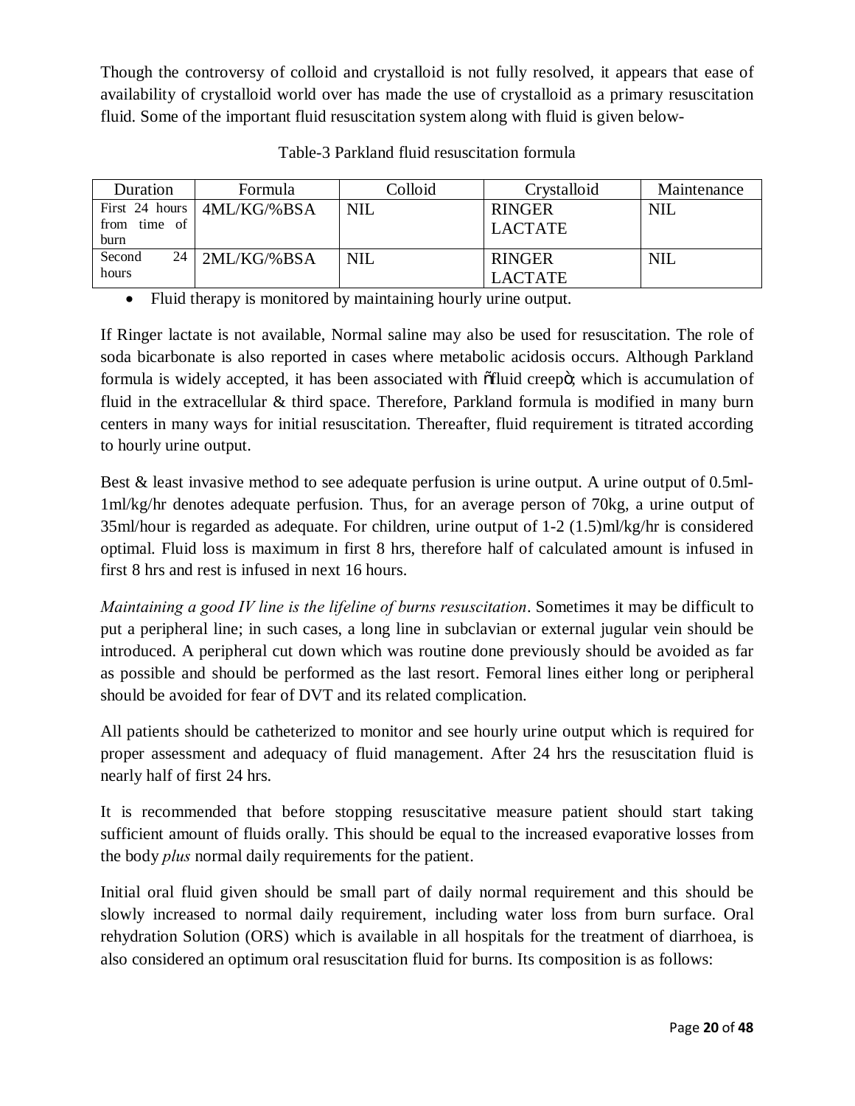Though the controversy of colloid and crystalloid is not fully resolved, it appears that ease of availability of crystalloid world over has made the use of crystalloid as a primary resuscitation fluid. Some of the important fluid resuscitation system along with fluid is given below-

| Duration       | Formula       | Colloid    | Crystalloid    | Maintenance |
|----------------|---------------|------------|----------------|-------------|
| First 24 hours | 4ML/KG/%BSA   | <b>NIL</b> | <b>RINGER</b>  | <b>NIL</b>  |
| from time of   |               |            | <b>LACTATE</b> |             |
| burn           |               |            |                |             |
| 24<br>Second   | $2ML/KG$ %BSA | <b>NIL</b> | <b>RINGER</b>  | <b>NIL</b>  |
| hours          |               |            | <b>LACTATE</b> |             |

Table-3 Parkland fluid resuscitation formula

· Fluid therapy is monitored by maintaining hourly urine output.

If Ringer lactate is not available, Normal saline may also be used for resuscitation. The role of soda bicarbonate is also reported in cases where metabolic acidosis occurs. Although Parkland formula is widely accepted, it has been associated with  $\delta$ fluid creep $\delta$ ; which is accumulation of fluid in the extracellular & third space. Therefore, Parkland formula is modified in many burn centers in many ways for initial resuscitation. Thereafter, fluid requirement is titrated according to hourly urine output.

Best & least invasive method to see adequate perfusion is urine output. A urine output of 0.5ml-1ml/kg/hr denotes adequate perfusion. Thus, for an average person of 70kg, a urine output of 35ml/hour is regarded as adequate. For children, urine output of 1-2 (1.5)ml/kg/hr is considered optimal. Fluid loss is maximum in first 8 hrs, therefore half of calculated amount is infused in first 8 hrs and rest is infused in next 16 hours.

*Maintaining a good IV line is the lifeline of burns resuscitation*. Sometimes it may be difficult to put a peripheral line; in such cases, a long line in subclavian or external jugular vein should be introduced. A peripheral cut down which was routine done previously should be avoided as far as possible and should be performed as the last resort. Femoral lines either long or peripheral should be avoided for fear of DVT and its related complication.

All patients should be catheterized to monitor and see hourly urine output which is required for proper assessment and adequacy of fluid management. After 24 hrs the resuscitation fluid is nearly half of first 24 hrs.

It is recommended that before stopping resuscitative measure patient should start taking sufficient amount of fluids orally. This should be equal to the increased evaporative losses from the body *plus* normal daily requirements for the patient.

Initial oral fluid given should be small part of daily normal requirement and this should be slowly increased to normal daily requirement, including water loss from burn surface. Oral rehydration Solution (ORS) which is available in all hospitals for the treatment of diarrhoea, is also considered an optimum oral resuscitation fluid for burns. Its composition is as follows: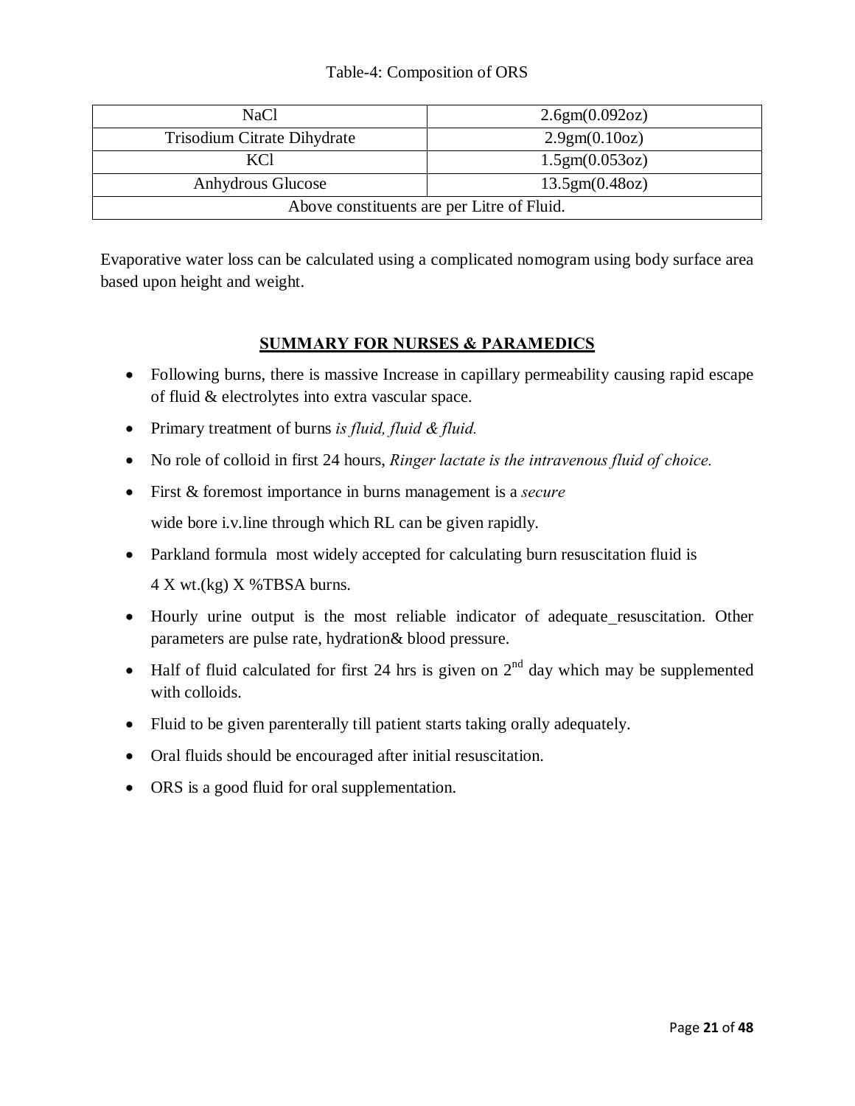#### Table-4: Composition of ORS

| <b>NaCl</b>                                | 2.6gm(0.092oz) |  |  |  |
|--------------------------------------------|----------------|--|--|--|
| Trisodium Citrate Dihydrate                | 2.9gm(0.10oz)  |  |  |  |
| KCl                                        | 1.5gm(0.053oz) |  |  |  |
| Anhydrous Glucose                          | 13.5gm(0.48oz) |  |  |  |
| Above constituents are per Litre of Fluid. |                |  |  |  |

Evaporative water loss can be calculated using a complicated nomogram using body surface area based upon height and weight.

#### **SUMMARY FOR NURSES & PARAMEDICS**

- · Following burns, there is massive Increase in capillary permeability causing rapid escape of fluid & electrolytes into extra vascular space.
- · Primary treatment of burns *is fluid, fluid & fluid.*
- · No role of colloid in first 24 hours, *Ringer lactate is the intravenous fluid of choice.*
- · First & foremost importance in burns management is a *secure* wide bore i.v.line through which RL can be given rapidly.
- Parkland formula most widely accepted for calculating burn resuscitation fluid is 4 X wt.(kg) X %TBSA burns.
- Hourly urine output is the most reliable indicator of adequate resuscitation. Other parameters are pulse rate, hydration& blood pressure.
- Half of fluid calculated for first 24 hrs is given on  $2<sup>nd</sup>$  day which may be supplemented with colloids.
- · Fluid to be given parenterally till patient starts taking orally adequately.
- · Oral fluids should be encouraged after initial resuscitation.
- ORS is a good fluid for oral supplementation.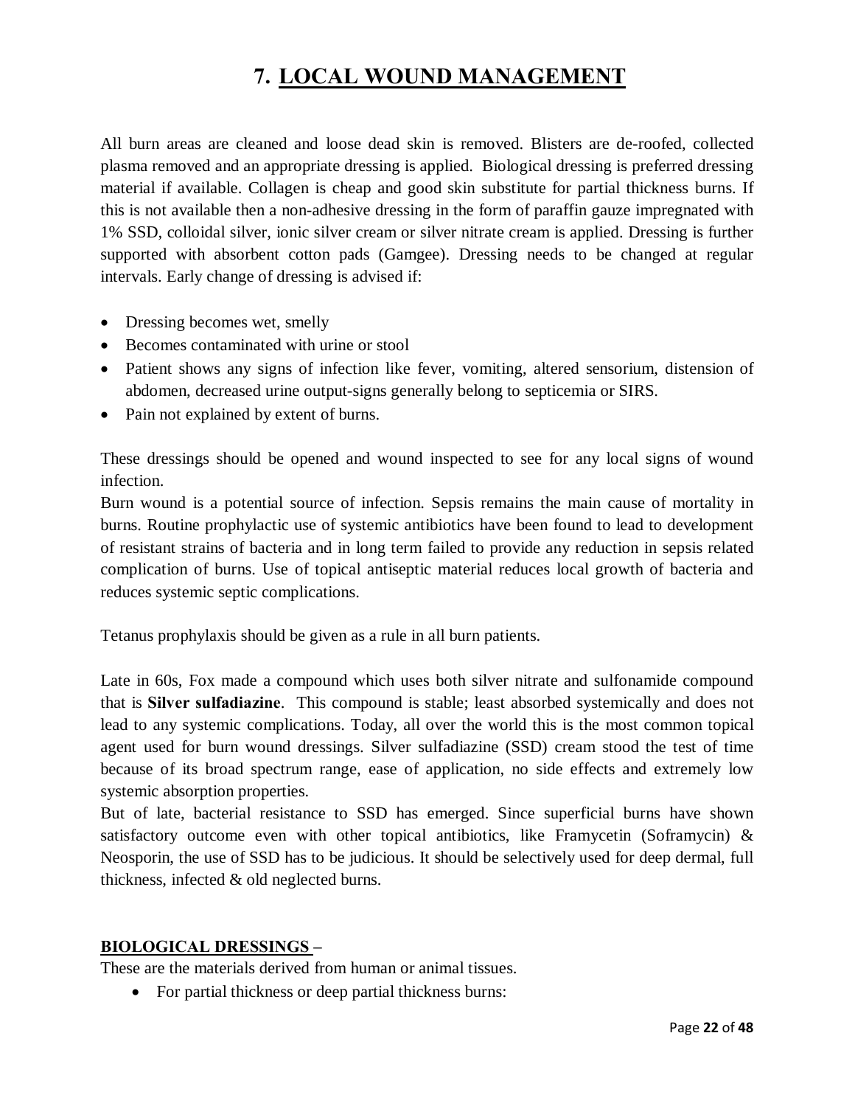# **7. LOCAL WOUND MANAGEMENT**

All burn areas are cleaned and loose dead skin is removed. Blisters are de-roofed, collected plasma removed and an appropriate dressing is applied. Biological dressing is preferred dressing material if available. Collagen is cheap and good skin substitute for partial thickness burns. If this is not available then a non-adhesive dressing in the form of paraffin gauze impregnated with 1% SSD, colloidal silver, ionic silver cream or silver nitrate cream is applied. Dressing is further supported with absorbent cotton pads (Gamgee). Dressing needs to be changed at regular intervals. Early change of dressing is advised if:

- Dressing becomes wet, smelly
- · Becomes contaminated with urine or stool
- · Patient shows any signs of infection like fever, vomiting, altered sensorium, distension of abdomen, decreased urine output-signs generally belong to septicemia or SIRS.
- Pain not explained by extent of burns.

These dressings should be opened and wound inspected to see for any local signs of wound infection.

Burn wound is a potential source of infection. Sepsis remains the main cause of mortality in burns. Routine prophylactic use of systemic antibiotics have been found to lead to development of resistant strains of bacteria and in long term failed to provide any reduction in sepsis related complication of burns. Use of topical antiseptic material reduces local growth of bacteria and reduces systemic septic complications.

Tetanus prophylaxis should be given as a rule in all burn patients.

Late in 60s, Fox made a compound which uses both silver nitrate and sulfonamide compound that is **Silver sulfadiazine**. This compound is stable; least absorbed systemically and does not lead to any systemic complications. Today, all over the world this is the most common topical agent used for burn wound dressings. Silver sulfadiazine (SSD) cream stood the test of time because of its broad spectrum range, ease of application, no side effects and extremely low systemic absorption properties.

But of late, bacterial resistance to SSD has emerged. Since superficial burns have shown satisfactory outcome even with other topical antibiotics, like Framycetin (Soframycin)  $\&$ Neosporin, the use of SSD has to be judicious. It should be selectively used for deep dermal, full thickness, infected & old neglected burns.

#### **BIOLOGICAL DRESSINGS –**

These are the materials derived from human or animal tissues.

• For partial thickness or deep partial thickness burns: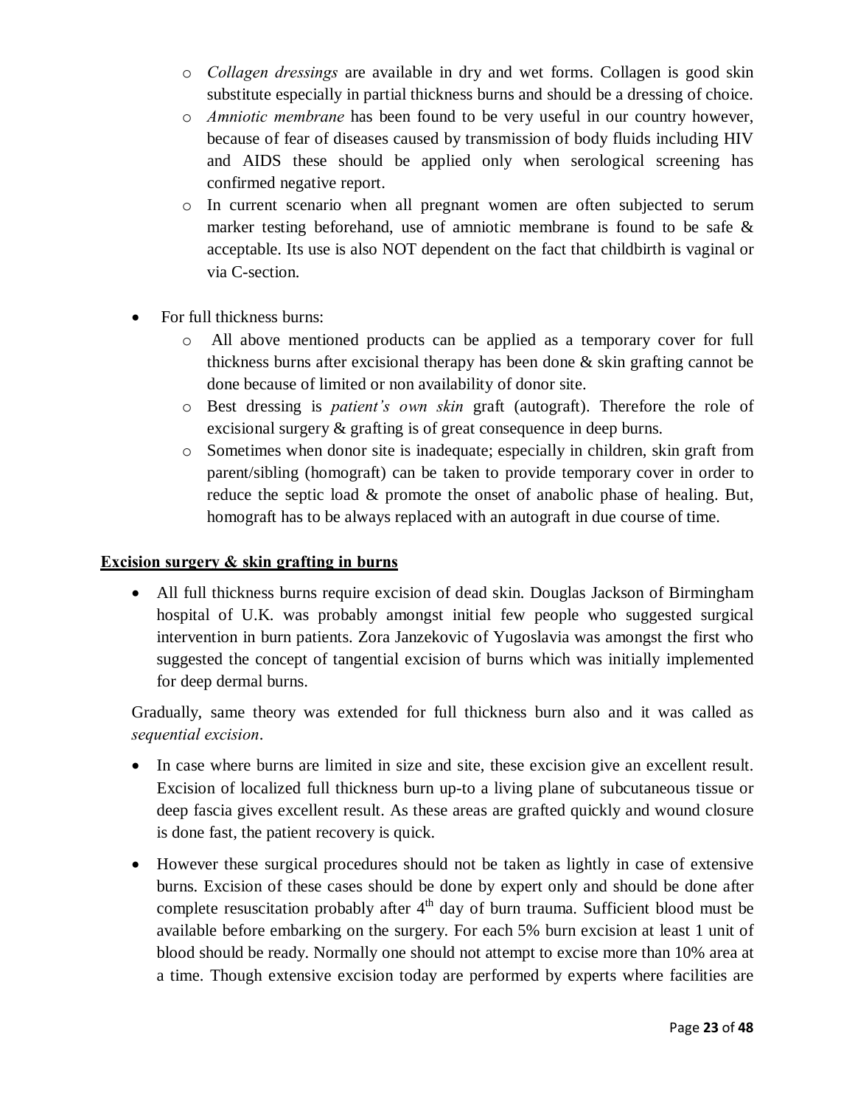- o *Collagen dressings* are available in dry and wet forms. Collagen is good skin substitute especially in partial thickness burns and should be a dressing of choice.
- o *Amniotic membrane* has been found to be very useful in our country however, because of fear of diseases caused by transmission of body fluids including HIV and AIDS these should be applied only when serological screening has confirmed negative report.
- o In current scenario when all pregnant women are often subjected to serum marker testing beforehand, use of amniotic membrane is found to be safe & acceptable. Its use is also NOT dependent on the fact that childbirth is vaginal or via C-section.
- For full thickness burns:
	- All above mentioned products can be applied as a temporary cover for full thickness burns after excisional therapy has been done  $\&$  skin grafting cannot be done because of limited or non availability of donor site.
	- o Best dressing is *patient's own skin* graft (autograft). Therefore the role of excisional surgery & grafting is of great consequence in deep burns.
	- o Sometimes when donor site is inadequate; especially in children, skin graft from parent/sibling (homograft) can be taken to provide temporary cover in order to reduce the septic load & promote the onset of anabolic phase of healing. But, homograft has to be always replaced with an autograft in due course of time.

#### **Excision surgery & skin grafting in burns**

• All full thickness burns require excision of dead skin. Douglas Jackson of Birmingham hospital of U.K. was probably amongst initial few people who suggested surgical intervention in burn patients. Zora Janzekovic of Yugoslavia was amongst the first who suggested the concept of tangential excision of burns which was initially implemented for deep dermal burns.

Gradually, same theory was extended for full thickness burn also and it was called as *sequential excision*.

- · In case where burns are limited in size and site, these excision give an excellent result. Excision of localized full thickness burn up-to a living plane of subcutaneous tissue or deep fascia gives excellent result. As these areas are grafted quickly and wound closure is done fast, the patient recovery is quick.
- However these surgical procedures should not be taken as lightly in case of extensive burns. Excision of these cases should be done by expert only and should be done after complete resuscitation probably after  $4<sup>th</sup>$  day of burn trauma. Sufficient blood must be available before embarking on the surgery. For each 5% burn excision at least 1 unit of blood should be ready. Normally one should not attempt to excise more than 10% area at a time. Though extensive excision today are performed by experts where facilities are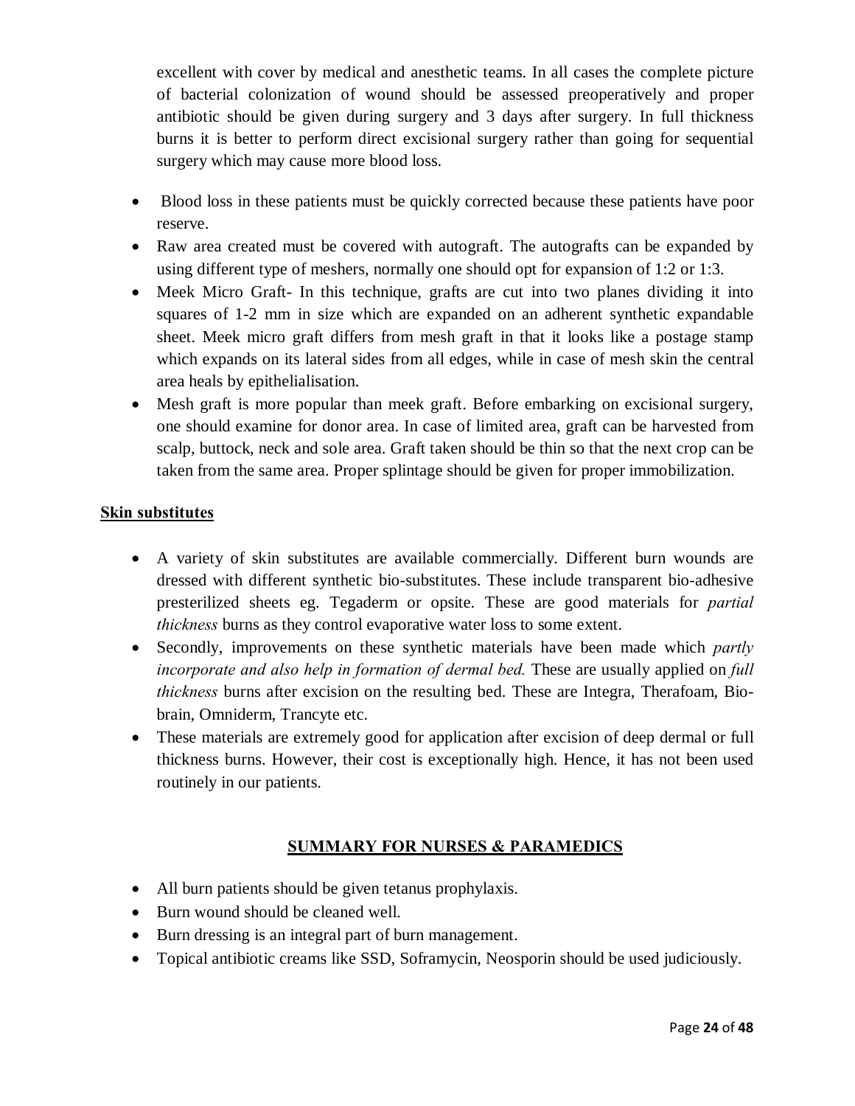excellent with cover by medical and anesthetic teams. In all cases the complete picture of bacterial colonization of wound should be assessed preoperatively and proper antibiotic should be given during surgery and 3 days after surgery. In full thickness burns it is better to perform direct excisional surgery rather than going for sequential surgery which may cause more blood loss.

- · Blood loss in these patients must be quickly corrected because these patients have poor reserve.
- Raw area created must be covered with autograft. The autografts can be expanded by using different type of meshers, normally one should opt for expansion of 1:2 or 1:3.
- Meek Micro Graft- In this technique, grafts are cut into two planes dividing it into squares of 1-2 mm in size which are expanded on an adherent synthetic expandable sheet. Meek micro graft differs from mesh graft in that it looks like a postage stamp which expands on its lateral sides from all edges, while in case of mesh skin the central area heals by epithelialisation.
- Mesh graft is more popular than meek graft. Before embarking on excisional surgery, one should examine for donor area. In case of limited area, graft can be harvested from scalp, buttock, neck and sole area. Graft taken should be thin so that the next crop can be taken from the same area. Proper splintage should be given for proper immobilization.

#### **Skin substitutes**

- · A variety of skin substitutes are available commercially. Different burn wounds are dressed with different synthetic bio-substitutes. These include transparent bio-adhesive presterilized sheets eg. Tegaderm or opsite. These are good materials for *partial thickness* burns as they control evaporative water loss to some extent.
- · Secondly, improvements on these synthetic materials have been made which *partly incorporate and also help in formation of dermal bed.* These are usually applied on *full thickness* burns after excision on the resulting bed. These are Integra, Therafoam, Biobrain, Omniderm, Trancyte etc.
- These materials are extremely good for application after excision of deep dermal or full thickness burns. However, their cost is exceptionally high. Hence, it has not been used routinely in our patients.

#### **SUMMARY FOR NURSES & PARAMEDICS**

- All burn patients should be given tetanus prophylaxis.
- · Burn wound should be cleaned well.
- · Burn dressing is an integral part of burn management.
- · Topical antibiotic creams like SSD, Soframycin, Neosporin should be used judiciously.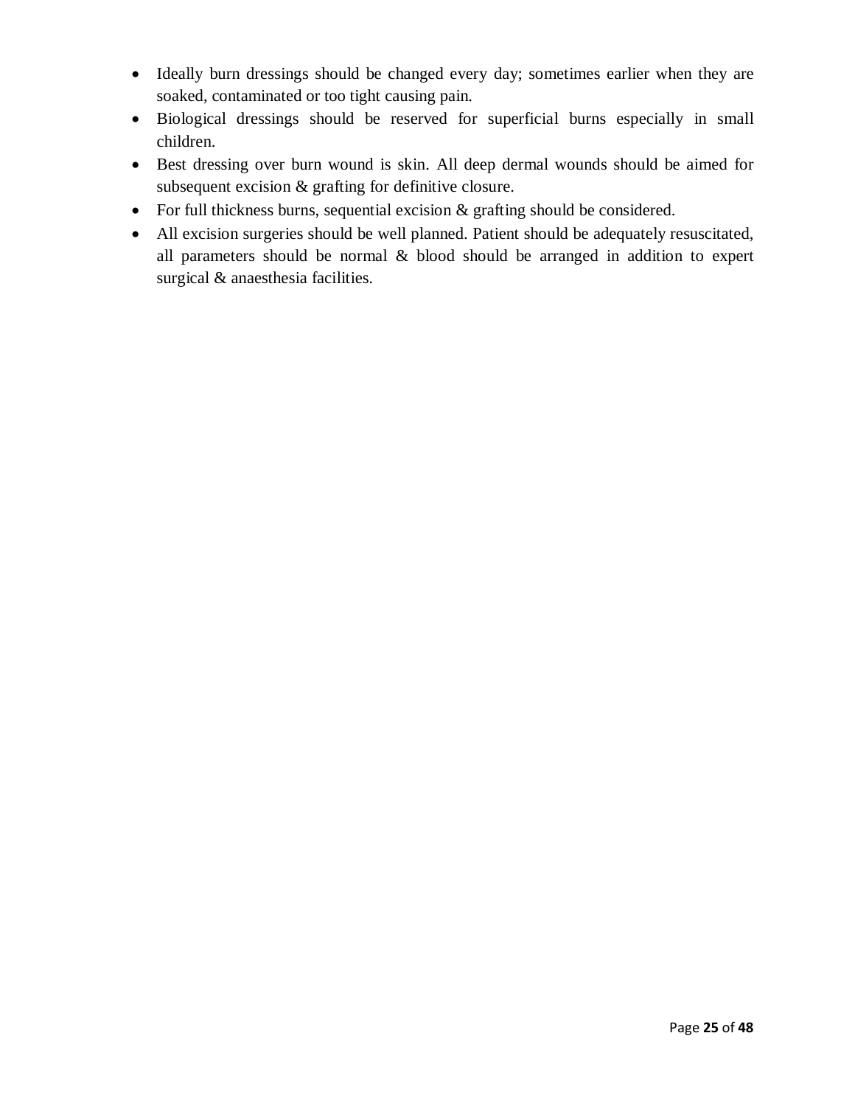- · Ideally burn dressings should be changed every day; sometimes earlier when they are soaked, contaminated or too tight causing pain.
- · Biological dressings should be reserved for superficial burns especially in small children.
- Best dressing over burn wound is skin. All deep dermal wounds should be aimed for subsequent excision & grafting for definitive closure.
- For full thickness burns, sequential excision  $\&$  grafting should be considered.
- · All excision surgeries should be well planned. Patient should be adequately resuscitated, all parameters should be normal & blood should be arranged in addition to expert surgical & anaesthesia facilities.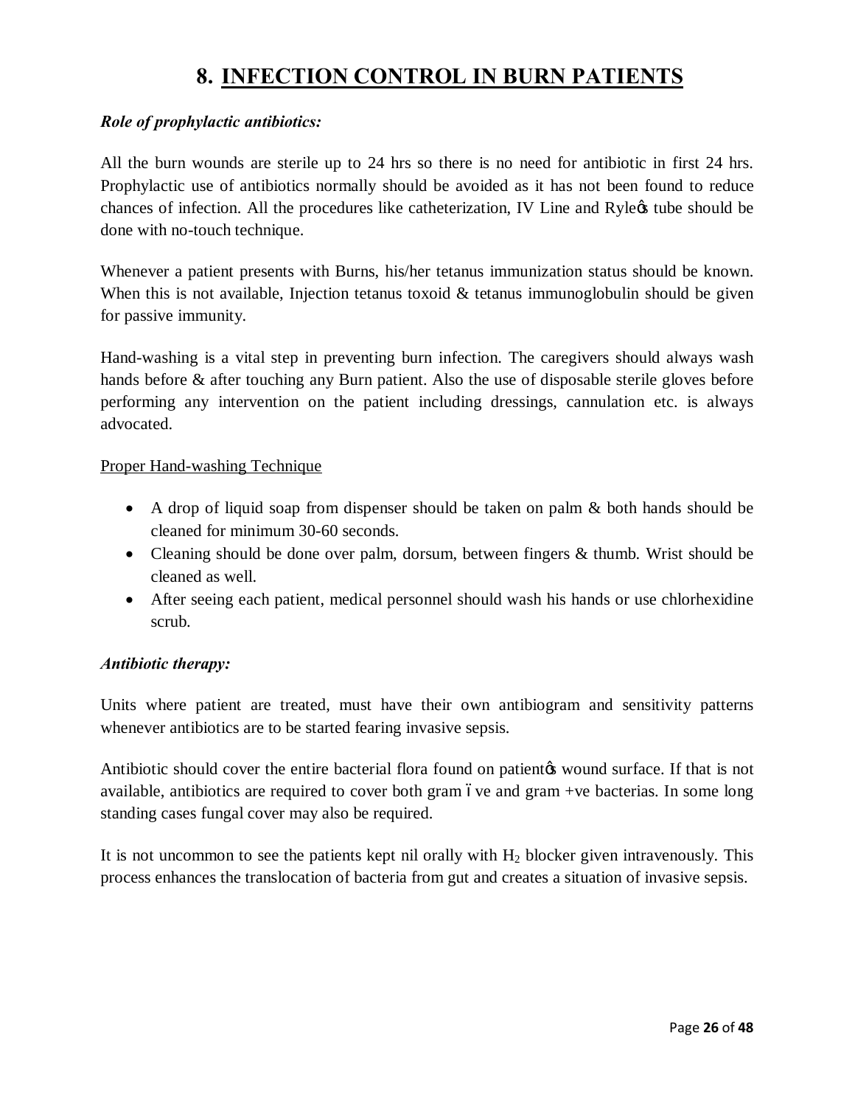### **8. INFECTION CONTROL IN BURN PATIENTS**

#### *Role of prophylactic antibiotics:*

All the burn wounds are sterile up to 24 hrs so there is no need for antibiotic in first 24 hrs. Prophylactic use of antibiotics normally should be avoided as it has not been found to reduce chances of infection. All the procedures like catheterization, IV Line and Ryle $\alpha$  tube should be done with no-touch technique.

Whenever a patient presents with Burns, his/her tetanus immunization status should be known. When this is not available, Injection tetanus toxoid  $\&$  tetanus immunoglobulin should be given for passive immunity.

Hand-washing is a vital step in preventing burn infection. The caregivers should always wash hands before & after touching any Burn patient. Also the use of disposable sterile gloves before performing any intervention on the patient including dressings, cannulation etc. is always advocated.

#### Proper Hand-washing Technique

- A drop of liquid soap from dispenser should be taken on palm & both hands should be cleaned for minimum 30-60 seconds.
- Cleaning should be done over palm, dorsum, between fingers & thumb. Wrist should be cleaned as well.
- After seeing each patient, medical personnel should wash his hands or use chlorhexidine scrub.

#### *Antibiotic therapy:*

Units where patient are treated, must have their own antibiogram and sensitivity patterns whenever antibiotics are to be started fearing invasive sepsis.

Antibiotic should cover the entire bacterial flora found on patient to wound surface. If that is not available, antibiotics are required to cover both gram ove and gram  $+ve$  bacterias. In some long standing cases fungal cover may also be required.

It is not uncommon to see the patients kept nil orally with  $H_2$  blocker given intravenously. This process enhances the translocation of bacteria from gut and creates a situation of invasive sepsis.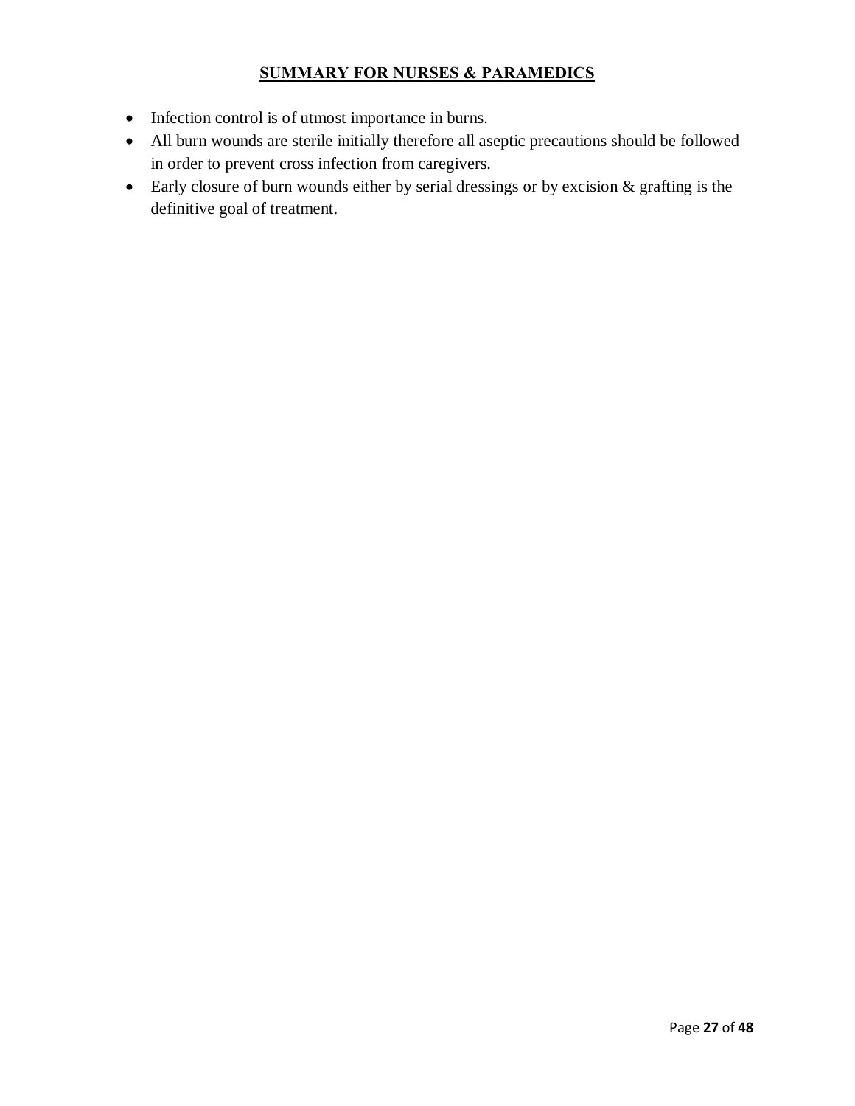#### **SUMMARY FOR NURSES & PARAMEDICS**

- · Infection control is of utmost importance in burns.
- · All burn wounds are sterile initially therefore all aseptic precautions should be followed in order to prevent cross infection from caregivers.
- Early closure of burn wounds either by serial dressings or by excision & grafting is the definitive goal of treatment.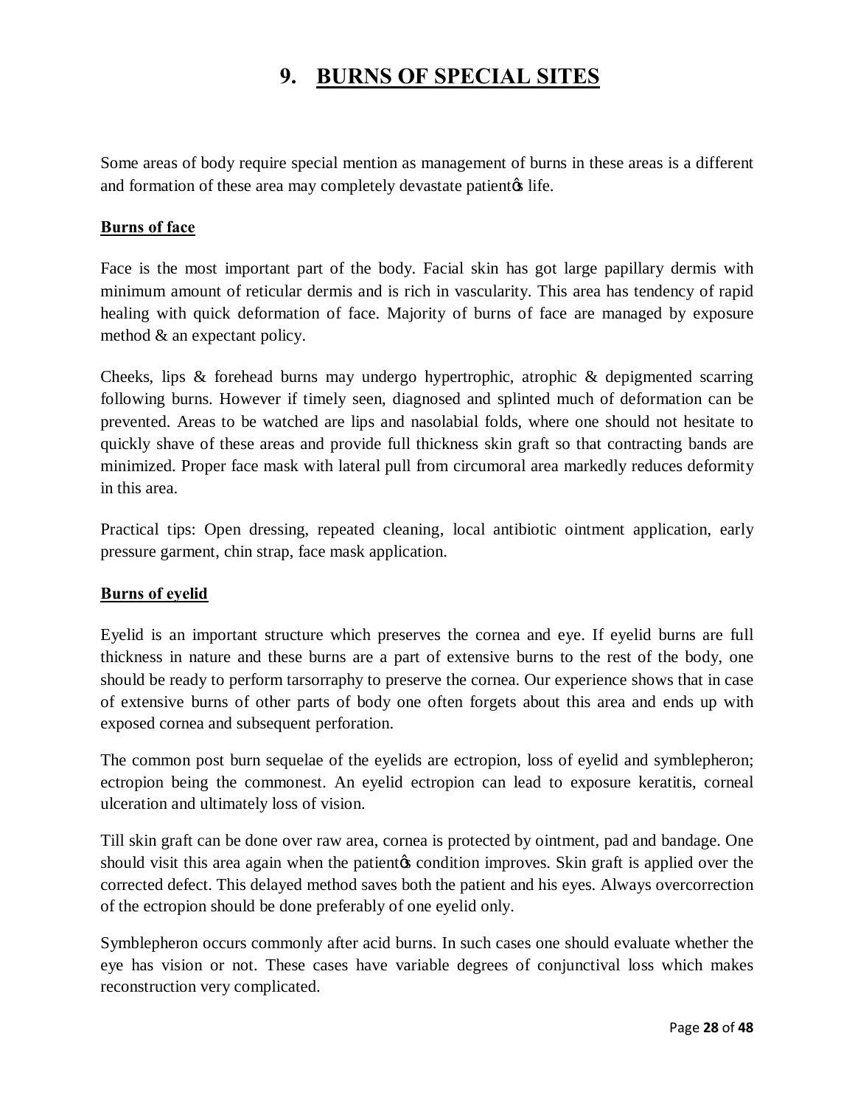### **9. BURNS OF SPECIAL SITES**

Some areas of body require special mention as management of burns in these areas is a different and formation of these area may completely devastate patient ife.

#### **Burns of face**

Face is the most important part of the body. Facial skin has got large papillary dermis with minimum amount of reticular dermis and is rich in vascularity. This area has tendency of rapid healing with quick deformation of face. Majority of burns of face are managed by exposure method & an expectant policy.

Cheeks, lips & forehead burns may undergo hypertrophic, atrophic & depigmented scarring following burns. However if timely seen, diagnosed and splinted much of deformation can be prevented. Areas to be watched are lips and nasolabial folds, where one should not hesitate to quickly shave of these areas and provide full thickness skin graft so that contracting bands are minimized. Proper face mask with lateral pull from circumoral area markedly reduces deformity in this area.

Practical tips: Open dressing, repeated cleaning, local antibiotic ointment application, early pressure garment, chin strap, face mask application.

#### **Burns of eyelid**

Eyelid is an important structure which preserves the cornea and eye. If eyelid burns are full thickness in nature and these burns are a part of extensive burns to the rest of the body, one should be ready to perform tarsorraphy to preserve the cornea. Our experience shows that in case of extensive burns of other parts of body one often forgets about this area and ends up with exposed cornea and subsequent perforation.

The common post burn sequelae of the eyelids are ectropion, loss of eyelid and symblepheron; ectropion being the commonest. An eyelid ectropion can lead to exposure keratitis, corneal ulceration and ultimately loss of vision.

Till skin graft can be done over raw area, cornea is protected by ointment, pad and bandage. One should visit this area again when the patient to condition improves. Skin graft is applied over the corrected defect. This delayed method saves both the patient and his eyes. Always overcorrection of the ectropion should be done preferably of one eyelid only.

Symblepheron occurs commonly after acid burns. In such cases one should evaluate whether the eye has vision or not. These cases have variable degrees of conjunctival loss which makes reconstruction very complicated.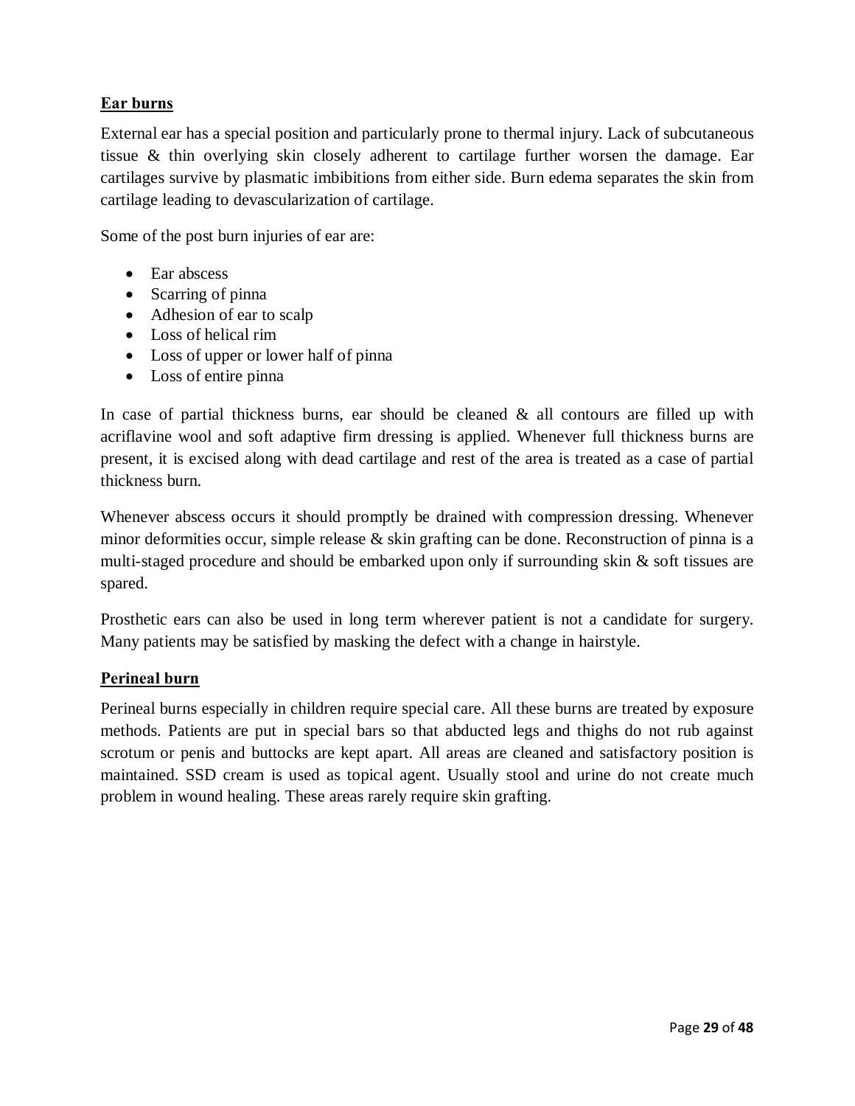#### **Ear burns**

External ear has a special position and particularly prone to thermal injury. Lack of subcutaneous tissue & thin overlying skin closely adherent to cartilage further worsen the damage. Ear cartilages survive by plasmatic imbibitions from either side. Burn edema separates the skin from cartilage leading to devascularization of cartilage.

Some of the post burn injuries of ear are:

- Ear abscess
- Scarring of pinna
- Adhesion of ear to scalp
- · Loss of helical rim
- Loss of upper or lower half of pinna
- · Loss of entire pinna

In case of partial thickness burns, ear should be cleaned  $\&$  all contours are filled up with acriflavine wool and soft adaptive firm dressing is applied. Whenever full thickness burns are present, it is excised along with dead cartilage and rest of the area is treated as a case of partial thickness burn.

Whenever abscess occurs it should promptly be drained with compression dressing. Whenever minor deformities occur, simple release & skin grafting can be done. Reconstruction of pinna is a multi-staged procedure and should be embarked upon only if surrounding skin & soft tissues are spared.

Prosthetic ears can also be used in long term wherever patient is not a candidate for surgery. Many patients may be satisfied by masking the defect with a change in hairstyle.

#### **Perineal burn**

Perineal burns especially in children require special care. All these burns are treated by exposure methods. Patients are put in special bars so that abducted legs and thighs do not rub against scrotum or penis and buttocks are kept apart. All areas are cleaned and satisfactory position is maintained. SSD cream is used as topical agent. Usually stool and urine do not create much problem in wound healing. These areas rarely require skin grafting.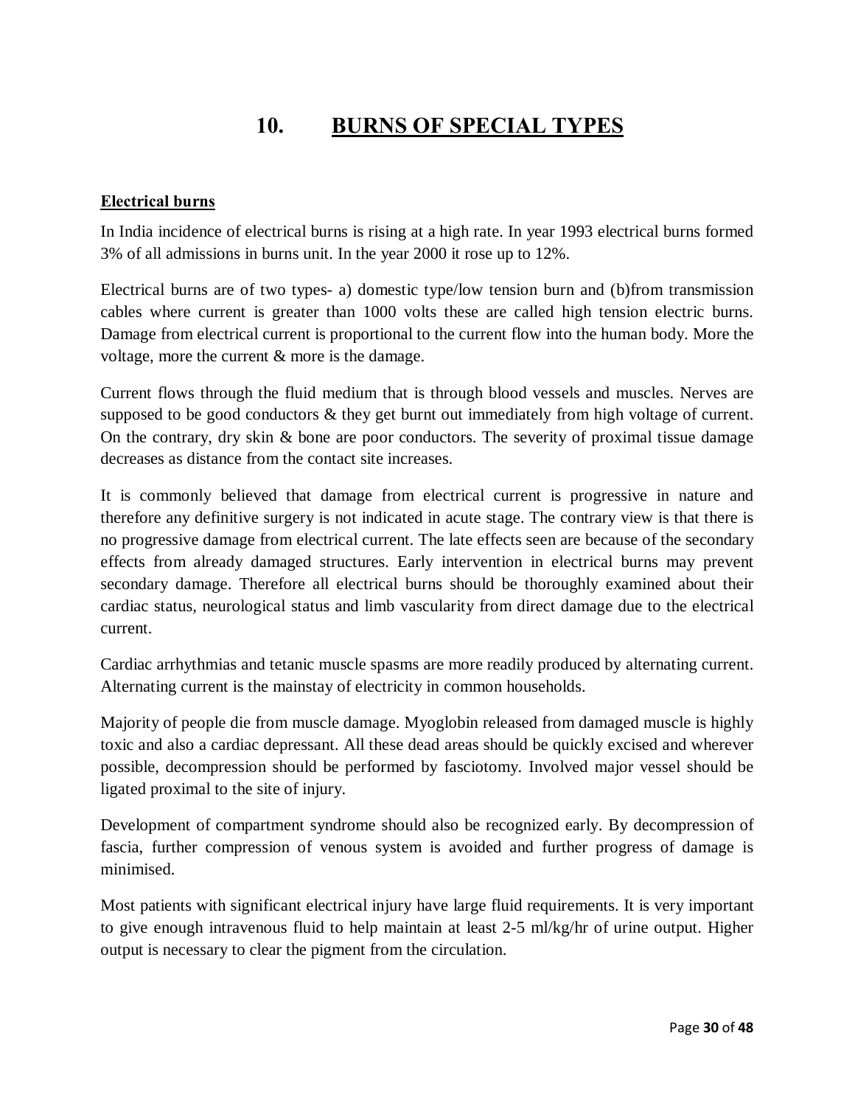# **10. BURNS OF SPECIAL TYPES**

#### **Electrical burns**

In India incidence of electrical burns is rising at a high rate. In year 1993 electrical burns formed 3% of all admissions in burns unit. In the year 2000 it rose up to 12%.

Electrical burns are of two types- a) domestic type/low tension burn and (b)from transmission cables where current is greater than 1000 volts these are called high tension electric burns. Damage from electrical current is proportional to the current flow into the human body. More the voltage, more the current & more is the damage.

Current flows through the fluid medium that is through blood vessels and muscles. Nerves are supposed to be good conductors  $\&$  they get burnt out immediately from high voltage of current. On the contrary, dry skin & bone are poor conductors. The severity of proximal tissue damage decreases as distance from the contact site increases.

It is commonly believed that damage from electrical current is progressive in nature and therefore any definitive surgery is not indicated in acute stage. The contrary view is that there is no progressive damage from electrical current. The late effects seen are because of the secondary effects from already damaged structures. Early intervention in electrical burns may prevent secondary damage. Therefore all electrical burns should be thoroughly examined about their cardiac status, neurological status and limb vascularity from direct damage due to the electrical current.

Cardiac arrhythmias and tetanic muscle spasms are more readily produced by alternating current. Alternating current is the mainstay of electricity in common households.

Majority of people die from muscle damage. Myoglobin released from damaged muscle is highly toxic and also a cardiac depressant. All these dead areas should be quickly excised and wherever possible, decompression should be performed by fasciotomy. Involved major vessel should be ligated proximal to the site of injury.

Development of compartment syndrome should also be recognized early. By decompression of fascia, further compression of venous system is avoided and further progress of damage is minimised.

Most patients with significant electrical injury have large fluid requirements. It is very important to give enough intravenous fluid to help maintain at least 2-5 ml/kg/hr of urine output. Higher output is necessary to clear the pigment from the circulation.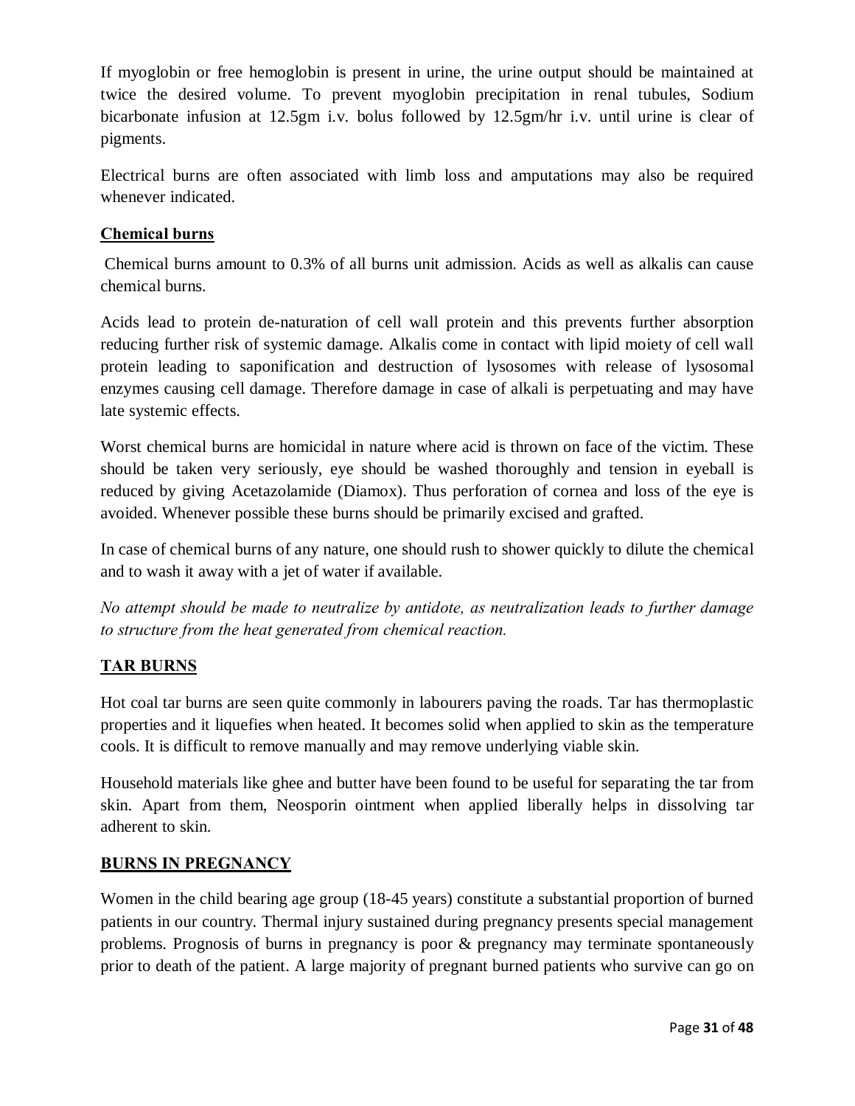If myoglobin or free hemoglobin is present in urine, the urine output should be maintained at twice the desired volume. To prevent myoglobin precipitation in renal tubules, Sodium bicarbonate infusion at 12.5gm i.v. bolus followed by 12.5gm/hr i.v. until urine is clear of pigments.

Electrical burns are often associated with limb loss and amputations may also be required whenever indicated.

#### **Chemical burns**

Chemical burns amount to 0.3% of all burns unit admission. Acids as well as alkalis can cause chemical burns.

Acids lead to protein de-naturation of cell wall protein and this prevents further absorption reducing further risk of systemic damage. Alkalis come in contact with lipid moiety of cell wall protein leading to saponification and destruction of lysosomes with release of lysosomal enzymes causing cell damage. Therefore damage in case of alkali is perpetuating and may have late systemic effects.

Worst chemical burns are homicidal in nature where acid is thrown on face of the victim. These should be taken very seriously, eye should be washed thoroughly and tension in eyeball is reduced by giving Acetazolamide (Diamox). Thus perforation of cornea and loss of the eye is avoided. Whenever possible these burns should be primarily excised and grafted.

In case of chemical burns of any nature, one should rush to shower quickly to dilute the chemical and to wash it away with a jet of water if available.

*No attempt should be made to neutralize by antidote, as neutralization leads to further damage to structure from the heat generated from chemical reaction.*

#### **TAR BURNS**

Hot coal tar burns are seen quite commonly in labourers paving the roads. Tar has thermoplastic properties and it liquefies when heated. It becomes solid when applied to skin as the temperature cools. It is difficult to remove manually and may remove underlying viable skin.

Household materials like ghee and butter have been found to be useful for separating the tar from skin. Apart from them, Neosporin ointment when applied liberally helps in dissolving tar adherent to skin.

#### **BURNS IN PREGNANCY**

Women in the child bearing age group (18-45 years) constitute a substantial proportion of burned patients in our country. Thermal injury sustained during pregnancy presents special management problems. Prognosis of burns in pregnancy is poor & pregnancy may terminate spontaneously prior to death of the patient. A large majority of pregnant burned patients who survive can go on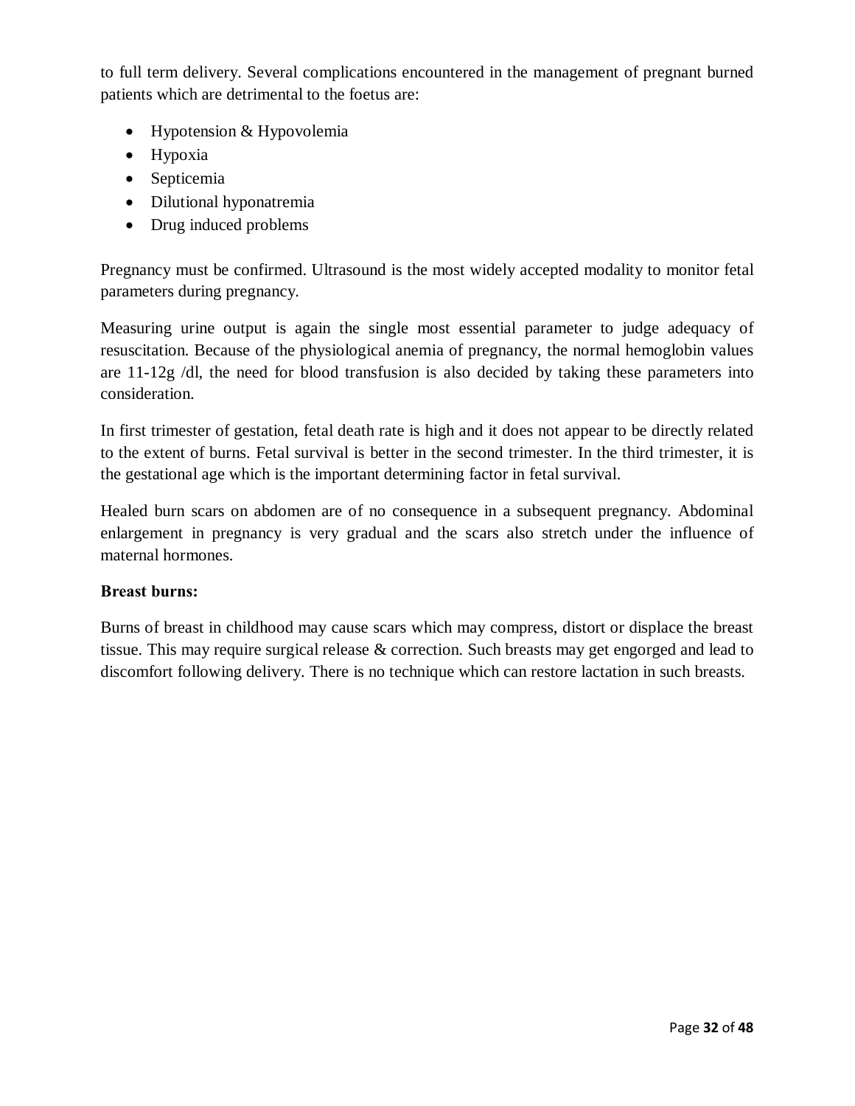to full term delivery. Several complications encountered in the management of pregnant burned patients which are detrimental to the foetus are:

- Hypotension & Hypovolemia
- Hypoxia
- · Septicemia
- Dilutional hyponatremia
- Drug induced problems

Pregnancy must be confirmed. Ultrasound is the most widely accepted modality to monitor fetal parameters during pregnancy.

Measuring urine output is again the single most essential parameter to judge adequacy of resuscitation. Because of the physiological anemia of pregnancy, the normal hemoglobin values are  $11-12g$  /dl, the need for blood transfusion is also decided by taking these parameters into consideration.

In first trimester of gestation, fetal death rate is high and it does not appear to be directly related to the extent of burns. Fetal survival is better in the second trimester. In the third trimester, it is the gestational age which is the important determining factor in fetal survival.

Healed burn scars on abdomen are of no consequence in a subsequent pregnancy. Abdominal enlargement in pregnancy is very gradual and the scars also stretch under the influence of maternal hormones.

#### **Breast burns:**

Burns of breast in childhood may cause scars which may compress, distort or displace the breast tissue. This may require surgical release  $\&$  correction. Such breasts may get engorged and lead to discomfort following delivery. There is no technique which can restore lactation in such breasts.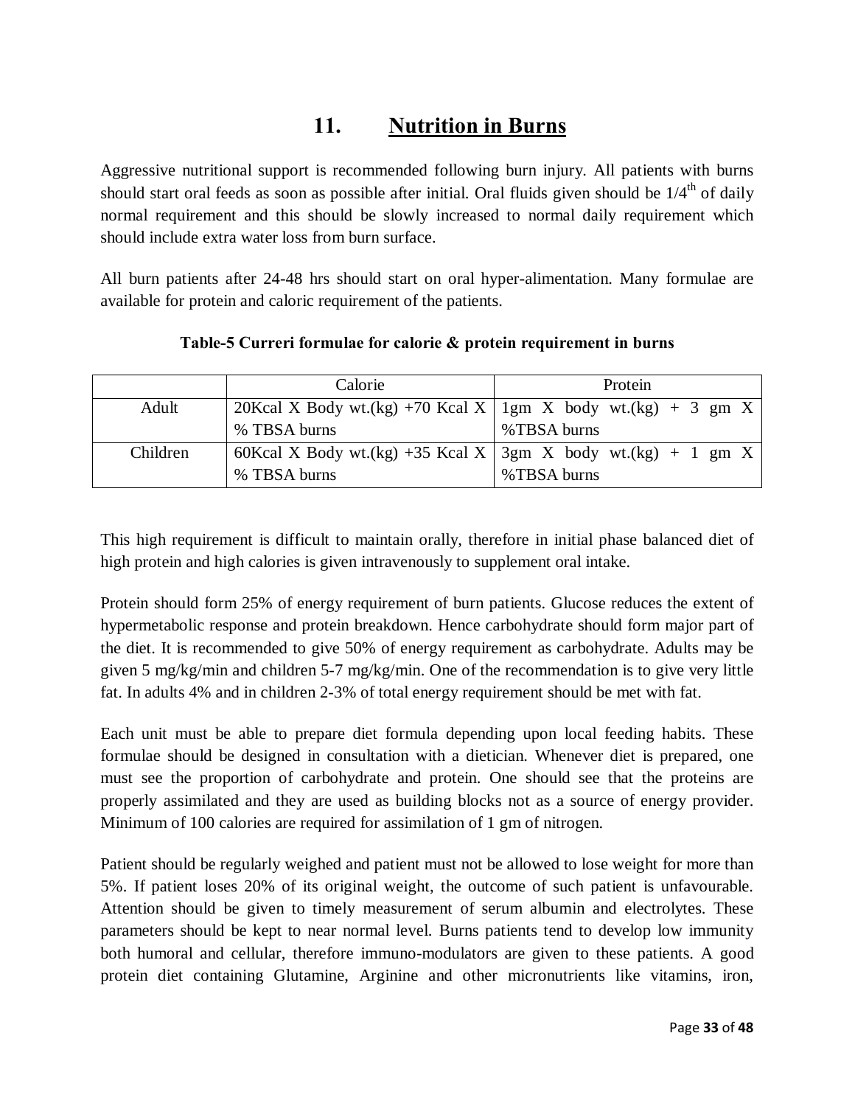# **11. Nutrition in Burns**

Aggressive nutritional support is recommended following burn injury. All patients with burns should start oral feeds as soon as possible after initial. Oral fluids given should be  $1/4<sup>th</sup>$  of daily normal requirement and this should be slowly increased to normal daily requirement which should include extra water loss from burn surface.

All burn patients after 24-48 hrs should start on oral hyper-alimentation. Many formulae are available for protein and caloric requirement of the patients.

|          | Calorie      | Protein                                                        |
|----------|--------------|----------------------------------------------------------------|
| Adult    |              | 20Kcal X Body wt.(kg) +70 Kcal X   1gm X body wt.(kg) + 3 gm X |
|          | % TBSA burns | %TBSA burns                                                    |
| Children |              | 60Kcal X Body wt.(kg) +35 Kcal X   3gm X body wt.(kg) + 1 gm X |
|          | % TBSA burns | %TBSA burns                                                    |

#### **Table-5 Curreri formulae for calorie & protein requirement in burns**

This high requirement is difficult to maintain orally, therefore in initial phase balanced diet of high protein and high calories is given intravenously to supplement oral intake.

Protein should form 25% of energy requirement of burn patients. Glucose reduces the extent of hypermetabolic response and protein breakdown. Hence carbohydrate should form major part of the diet. It is recommended to give 50% of energy requirement as carbohydrate. Adults may be given 5 mg/kg/min and children 5-7 mg/kg/min. One of the recommendation is to give very little fat. In adults 4% and in children 2-3% of total energy requirement should be met with fat.

Each unit must be able to prepare diet formula depending upon local feeding habits. These formulae should be designed in consultation with a dietician. Whenever diet is prepared, one must see the proportion of carbohydrate and protein. One should see that the proteins are properly assimilated and they are used as building blocks not as a source of energy provider. Minimum of 100 calories are required for assimilation of 1 gm of nitrogen.

Patient should be regularly weighed and patient must not be allowed to lose weight for more than 5%. If patient loses 20% of its original weight, the outcome of such patient is unfavourable. Attention should be given to timely measurement of serum albumin and electrolytes. These parameters should be kept to near normal level. Burns patients tend to develop low immunity both humoral and cellular, therefore immuno-modulators are given to these patients. A good protein diet containing Glutamine, Arginine and other micronutrients like vitamins, iron,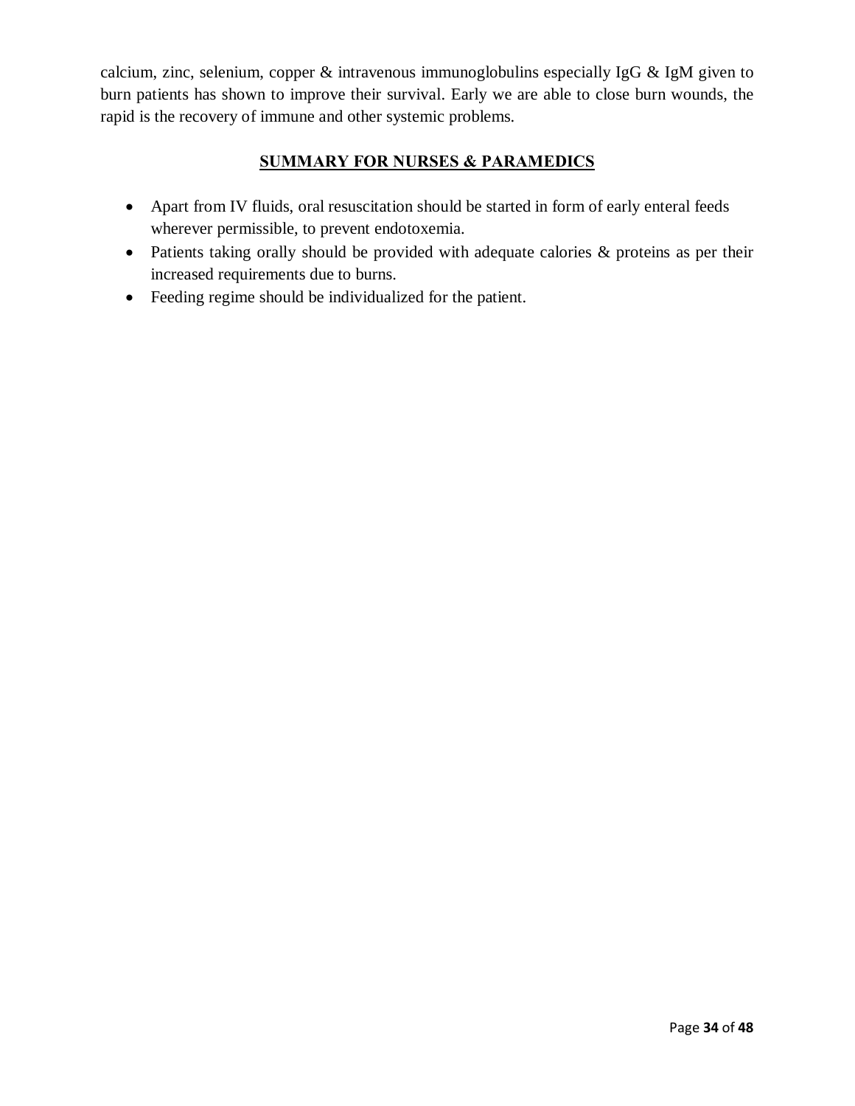calcium, zinc, selenium, copper & intravenous immunoglobulins especially IgG & IgM given to burn patients has shown to improve their survival. Early we are able to close burn wounds, the rapid is the recovery of immune and other systemic problems.

#### **SUMMARY FOR NURSES & PARAMEDICS**

- · Apart from IV fluids, oral resuscitation should be started in form of early enteral feeds wherever permissible, to prevent endotoxemia.
- · Patients taking orally should be provided with adequate calories & proteins as per their increased requirements due to burns.
- Feeding regime should be individualized for the patient.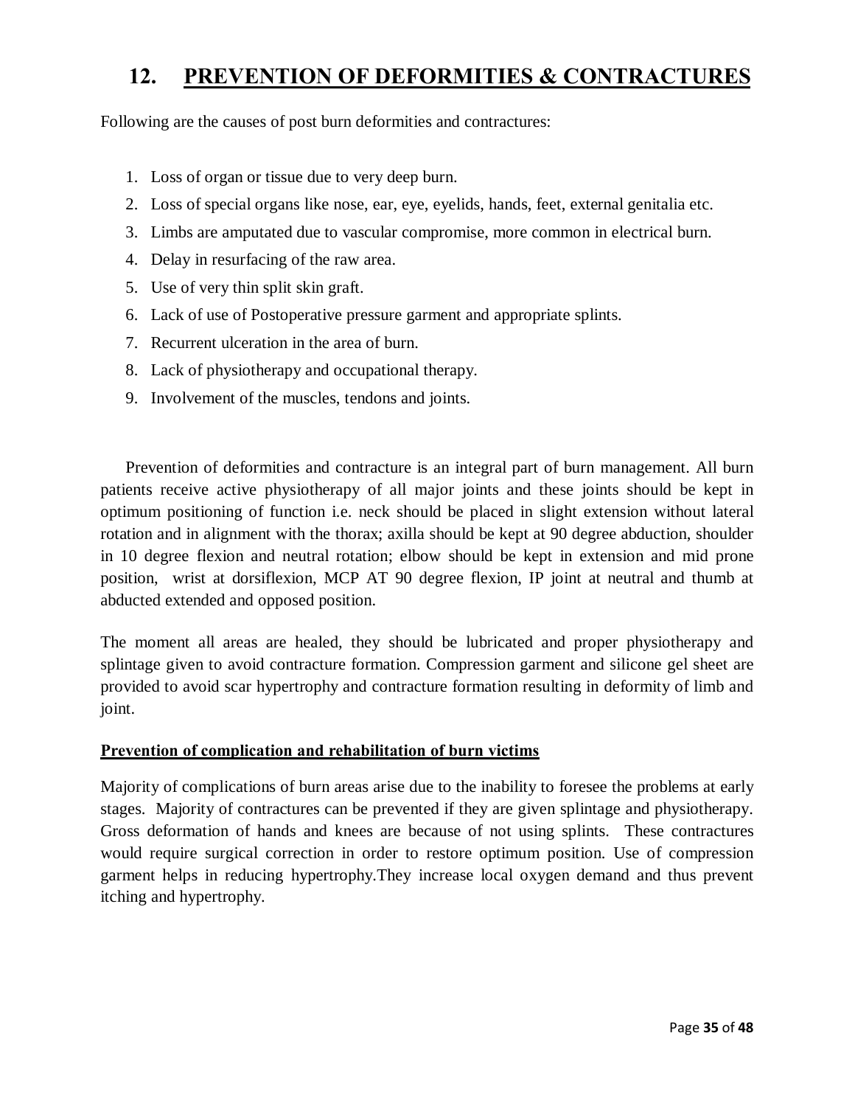# **12. PREVENTION OF DEFORMITIES & CONTRACTURES**

Following are the causes of post burn deformities and contractures:

- 1. Loss of organ or tissue due to very deep burn.
- 2. Loss of special organs like nose, ear, eye, eyelids, hands, feet, external genitalia etc.
- 3. Limbs are amputated due to vascular compromise, more common in electrical burn.
- 4. Delay in resurfacing of the raw area.
- 5. Use of very thin split skin graft.
- 6. Lack of use of Postoperative pressure garment and appropriate splints.
- 7. Recurrent ulceration in the area of burn.
- 8. Lack of physiotherapy and occupational therapy.
- 9. Involvement of the muscles, tendons and joints.

Prevention of deformities and contracture is an integral part of burn management. All burn patients receive active physiotherapy of all major joints and these joints should be kept in optimum positioning of function i.e. neck should be placed in slight extension without lateral rotation and in alignment with the thorax; axilla should be kept at 90 degree abduction, shoulder in 10 degree flexion and neutral rotation; elbow should be kept in extension and mid prone position, wrist at dorsiflexion, MCP AT 90 degree flexion, IP joint at neutral and thumb at abducted extended and opposed position.

The moment all areas are healed, they should be lubricated and proper physiotherapy and splintage given to avoid contracture formation. Compression garment and silicone gel sheet are provided to avoid scar hypertrophy and contracture formation resulting in deformity of limb and joint.

#### **Prevention of complication and rehabilitation of burn victims**

Majority of complications of burn areas arise due to the inability to foresee the problems at early stages. Majority of contractures can be prevented if they are given splintage and physiotherapy. Gross deformation of hands and knees are because of not using splints. These contractures would require surgical correction in order to restore optimum position. Use of compression garment helps in reducing hypertrophy.They increase local oxygen demand and thus prevent itching and hypertrophy.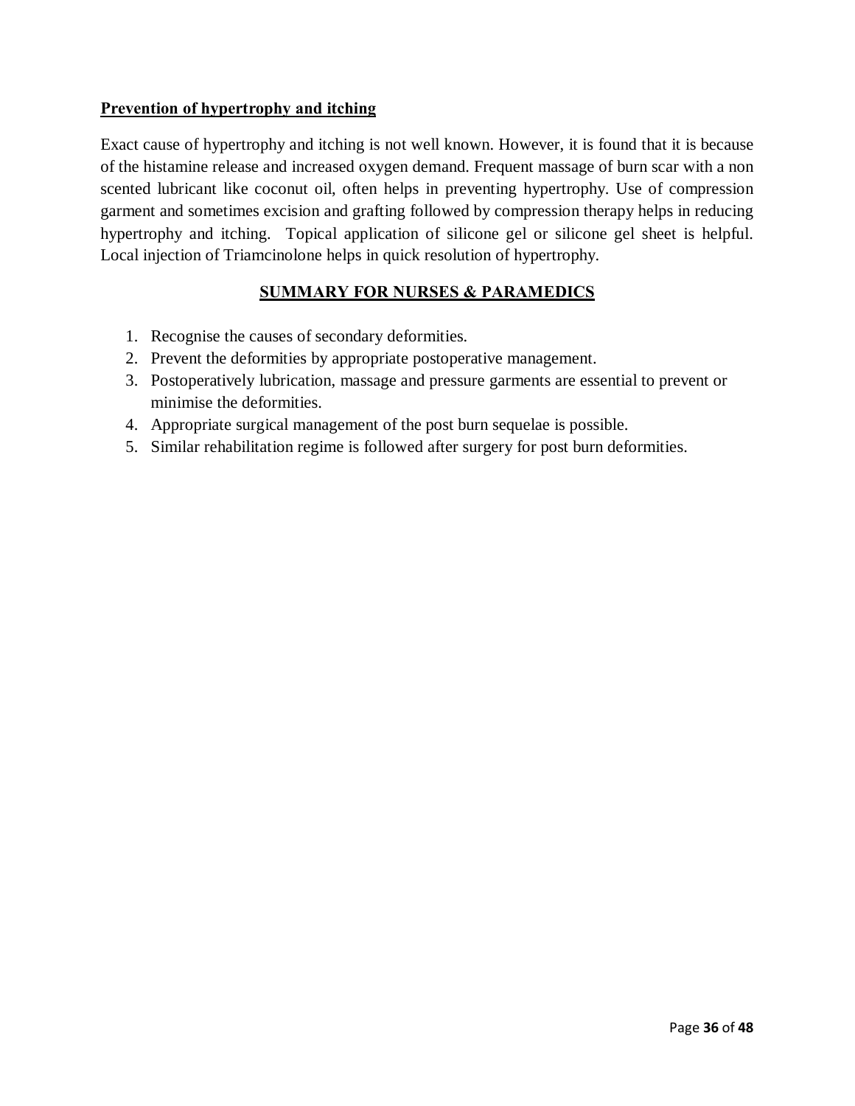#### **Prevention of hypertrophy and itching**

Exact cause of hypertrophy and itching is not well known. However, it is found that it is because of the histamine release and increased oxygen demand. Frequent massage of burn scar with a non scented lubricant like coconut oil, often helps in preventing hypertrophy. Use of compression garment and sometimes excision and grafting followed by compression therapy helps in reducing hypertrophy and itching. Topical application of silicone gel or silicone gel sheet is helpful. Local injection of Triamcinolone helps in quick resolution of hypertrophy.

#### **SUMMARY FOR NURSES & PARAMEDICS**

- 1. Recognise the causes of secondary deformities.
- 2. Prevent the deformities by appropriate postoperative management.
- 3. Postoperatively lubrication, massage and pressure garments are essential to prevent or minimise the deformities.
- 4. Appropriate surgical management of the post burn sequelae is possible.
- 5. Similar rehabilitation regime is followed after surgery for post burn deformities.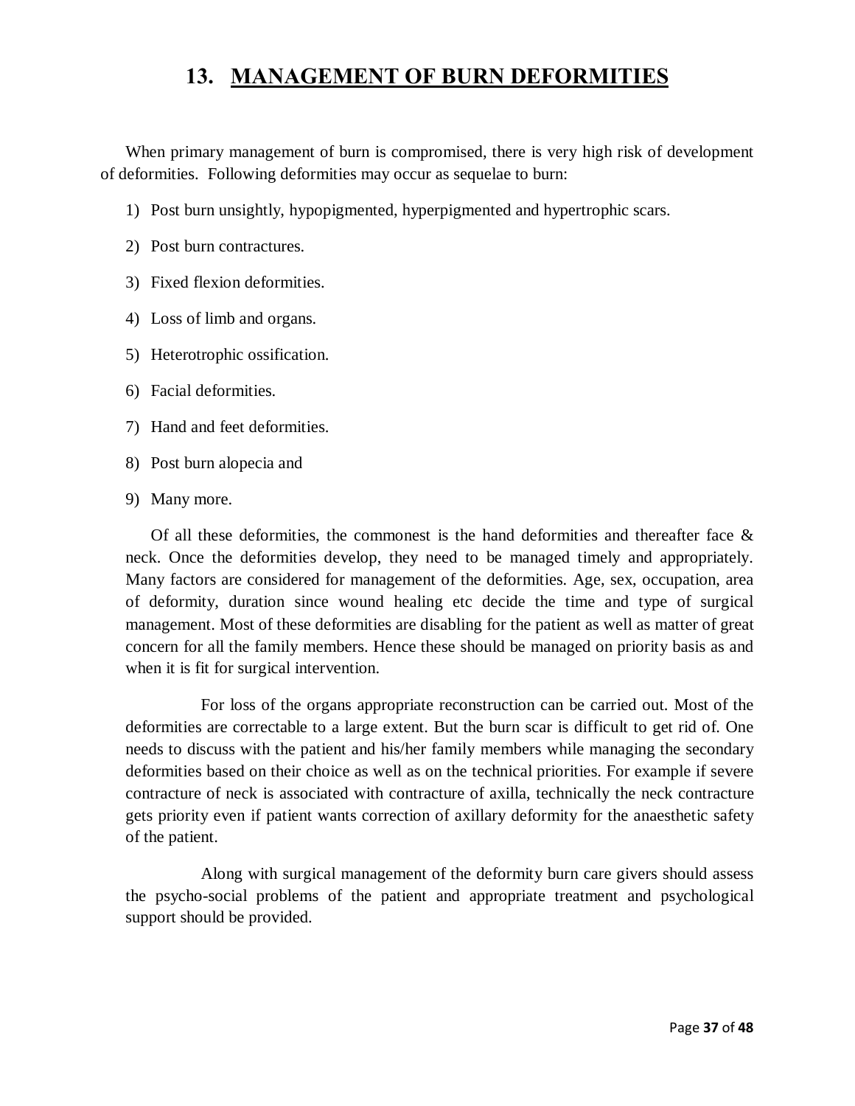### **13. MANAGEMENT OF BURN DEFORMITIES**

When primary management of burn is compromised, there is very high risk of development of deformities. Following deformities may occur as sequelae to burn:

- 1) Post burn unsightly, hypopigmented, hyperpigmented and hypertrophic scars.
- 2) Post burn contractures.
- 3) Fixed flexion deformities.
- 4) Loss of limb and organs.
- 5) Heterotrophic ossification.
- 6) Facial deformities.
- 7) Hand and feet deformities.
- 8) Post burn alopecia and
- 9) Many more.

Of all these deformities, the commonest is the hand deformities and thereafter face  $\&$ neck. Once the deformities develop, they need to be managed timely and appropriately. Many factors are considered for management of the deformities. Age, sex, occupation, area of deformity, duration since wound healing etc decide the time and type of surgical management. Most of these deformities are disabling for the patient as well as matter of great concern for all the family members. Hence these should be managed on priority basis as and when it is fit for surgical intervention.

For loss of the organs appropriate reconstruction can be carried out. Most of the deformities are correctable to a large extent. But the burn scar is difficult to get rid of. One needs to discuss with the patient and his/her family members while managing the secondary deformities based on their choice as well as on the technical priorities. For example if severe contracture of neck is associated with contracture of axilla, technically the neck contracture gets priority even if patient wants correction of axillary deformity for the anaesthetic safety of the patient.

Along with surgical management of the deformity burn care givers should assess the psycho-social problems of the patient and appropriate treatment and psychological support should be provided.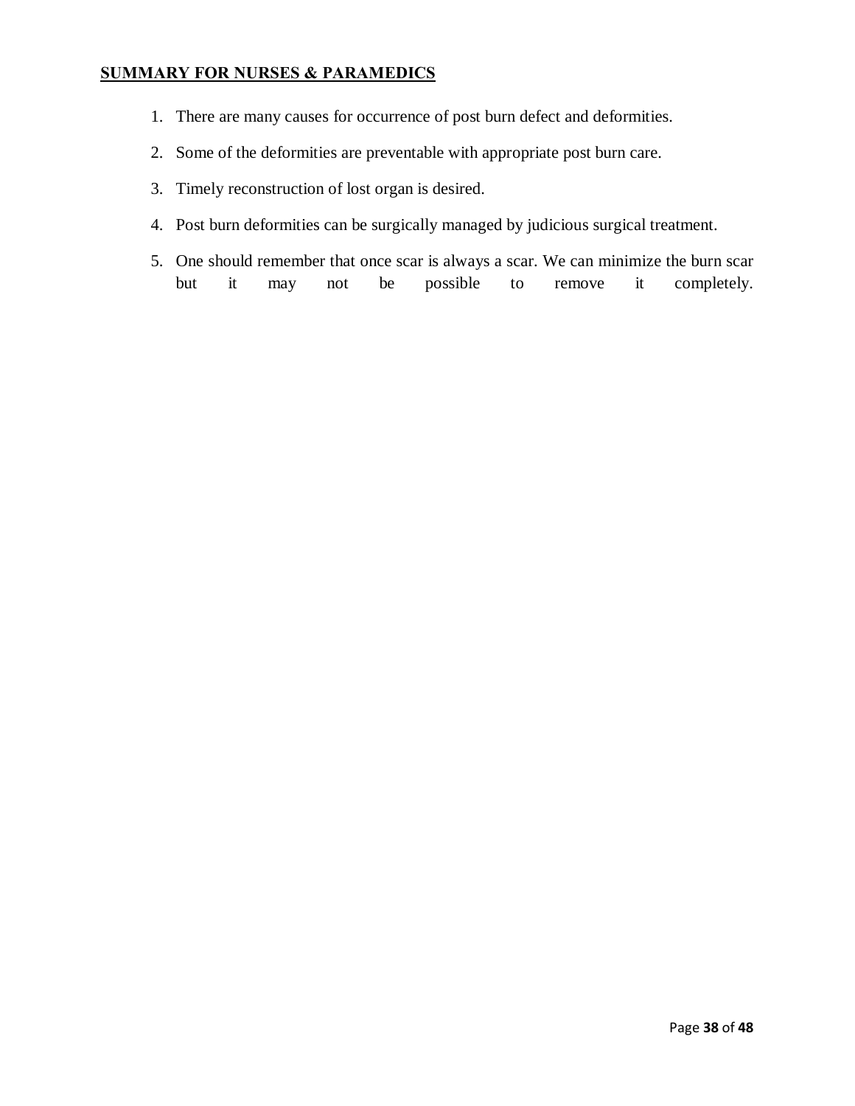#### **SUMMARY FOR NURSES & PARAMEDICS**

- 1. There are many causes for occurrence of post burn defect and deformities.
- 2. Some of the deformities are preventable with appropriate post burn care.
- 3. Timely reconstruction of lost organ is desired.
- 4. Post burn deformities can be surgically managed by judicious surgical treatment.
- 5. One should remember that once scar is always a scar. We can minimize the burn scar but it may not be possible to remove it completely.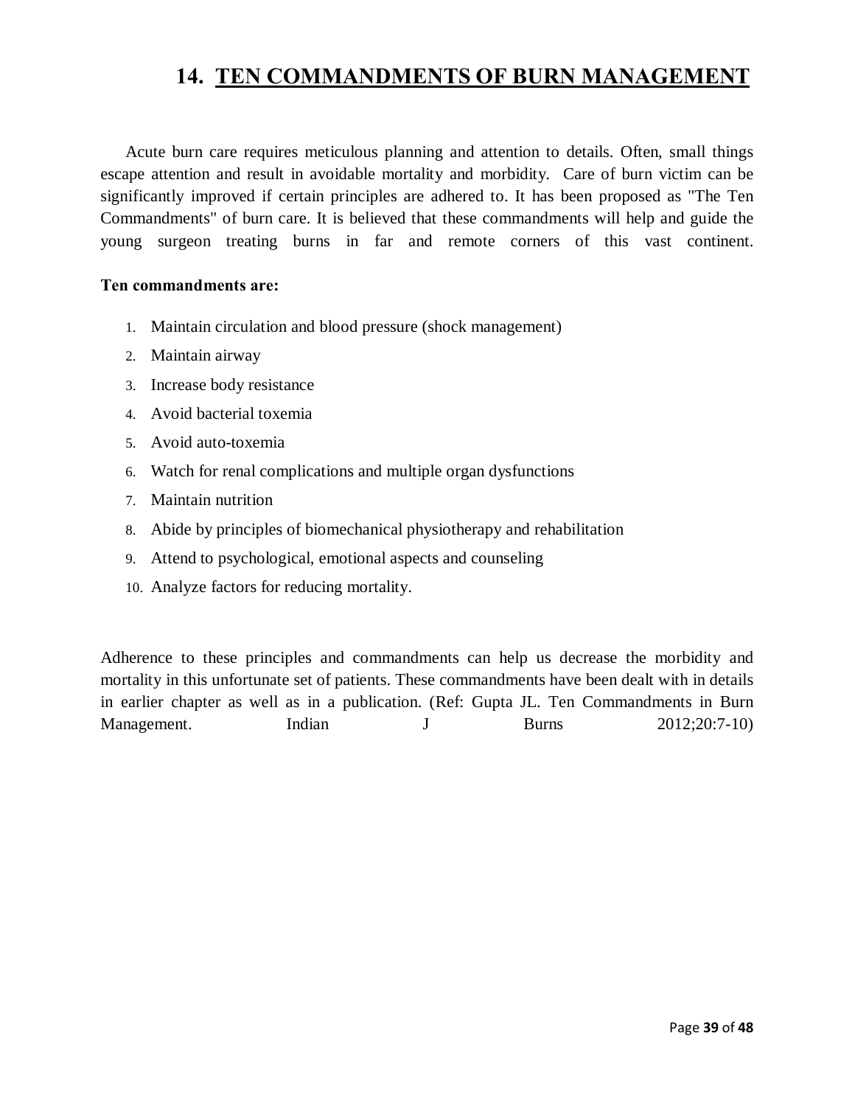### **14. TEN COMMANDMENTS OF BURN MANAGEMENT**

Acute burn care requires meticulous planning and attention to details. Often, small things escape attention and result in avoidable mortality and morbidity. Care of burn victim can be significantly improved if certain principles are adhered to. It has been proposed as "The Ten Commandments" of burn care. It is believed that these commandments will help and guide the young surgeon treating burns in far and remote corners of this vast continent.

#### **Ten commandments are:**

- 1. Maintain circulation and blood pressure (shock management)
- 2. Maintain airway
- 3. Increase body resistance
- 4. Avoid bacterial toxemia
- 5. Avoid auto-toxemia
- 6. Watch for renal complications and multiple organ dysfunctions
- 7. Maintain nutrition
- 8. Abide by principles of biomechanical physiotherapy and rehabilitation
- 9. Attend to psychological, emotional aspects and counseling
- 10. Analyze factors for reducing mortality.

Adherence to these principles and commandments can help us decrease the morbidity and mortality in this unfortunate set of patients. These commandments have been dealt with in details in earlier chapter as well as in a publication. (Ref: Gupta JL. Ten Commandments in Burn Management. Indian J Burns 2012;20:7-10)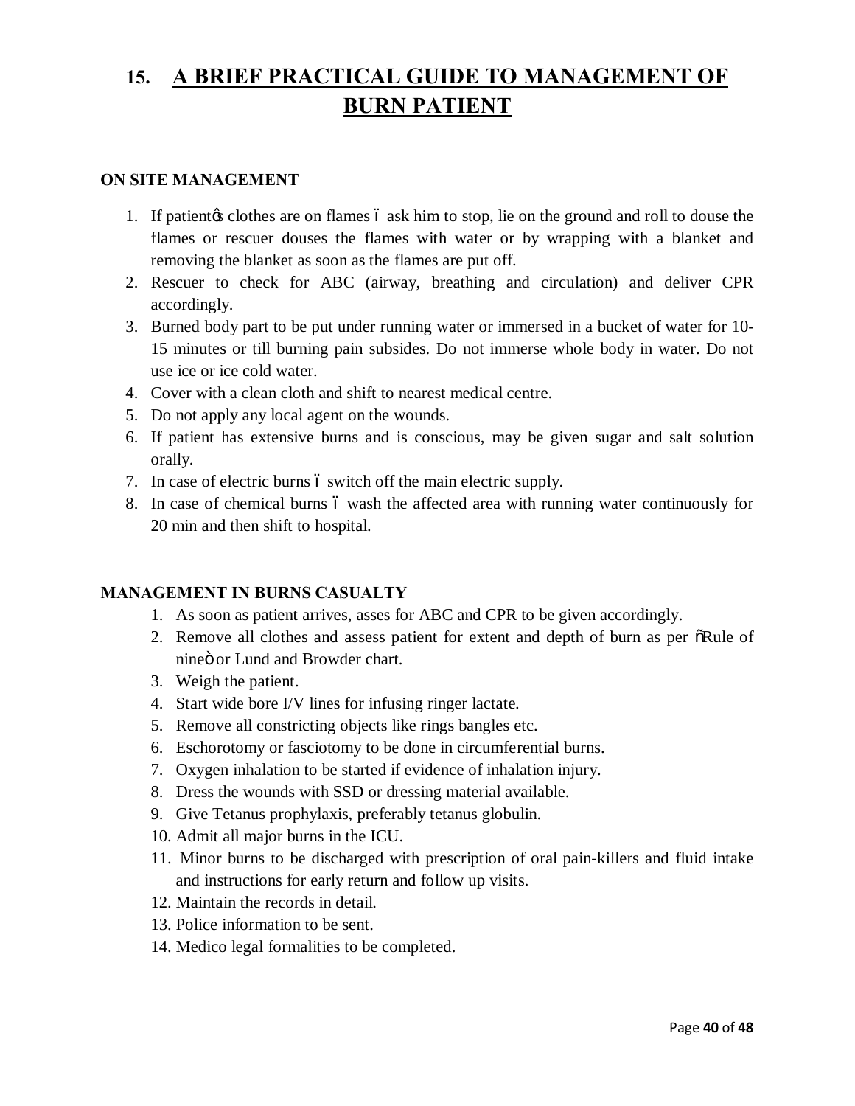# **15. A BRIEF PRACTICAL GUIDE TO MANAGEMENT OF BURN PATIENT**

#### **ON SITE MANAGEMENT**

- 1. If patient the clotion are on flames 6 ask him to stop, lie on the ground and roll to douse the flames or rescuer douses the flames with water or by wrapping with a blanket and removing the blanket as soon as the flames are put off.
- 2. Rescuer to check for ABC (airway, breathing and circulation) and deliver CPR accordingly.
- 3. Burned body part to be put under running water or immersed in a bucket of water for 10- 15 minutes or till burning pain subsides. Do not immerse whole body in water. Do not use ice or ice cold water.
- 4. Cover with a clean cloth and shift to nearest medical centre.
- 5. Do not apply any local agent on the wounds.
- 6. If patient has extensive burns and is conscious, may be given sugar and salt solution orally.
- 7. In case of electric burns 6 switch off the main electric supply.
- 8. In case of chemical burns 6 wash the affected area with running water continuously for 20 min and then shift to hospital.

#### **MANAGEMENT IN BURNS CASUALTY**

- 1. As soon as patient arrives, asses for ABC and CPR to be given accordingly.
- 2. Remove all clothes and assess patient for extent and depth of burn as per  $\delta$ Rule of nineö or Lund and Browder chart.
- 3. Weigh the patient.
- 4. Start wide bore I/V lines for infusing ringer lactate.
- 5. Remove all constricting objects like rings bangles etc.
- 6. Eschorotomy or fasciotomy to be done in circumferential burns.
- 7. Oxygen inhalation to be started if evidence of inhalation injury.
- 8. Dress the wounds with SSD or dressing material available.
- 9. Give Tetanus prophylaxis, preferably tetanus globulin.
- 10. Admit all major burns in the ICU.
- 11. Minor burns to be discharged with prescription of oral pain-killers and fluid intake and instructions for early return and follow up visits.
- 12. Maintain the records in detail.
- 13. Police information to be sent.
- 14. Medico legal formalities to be completed.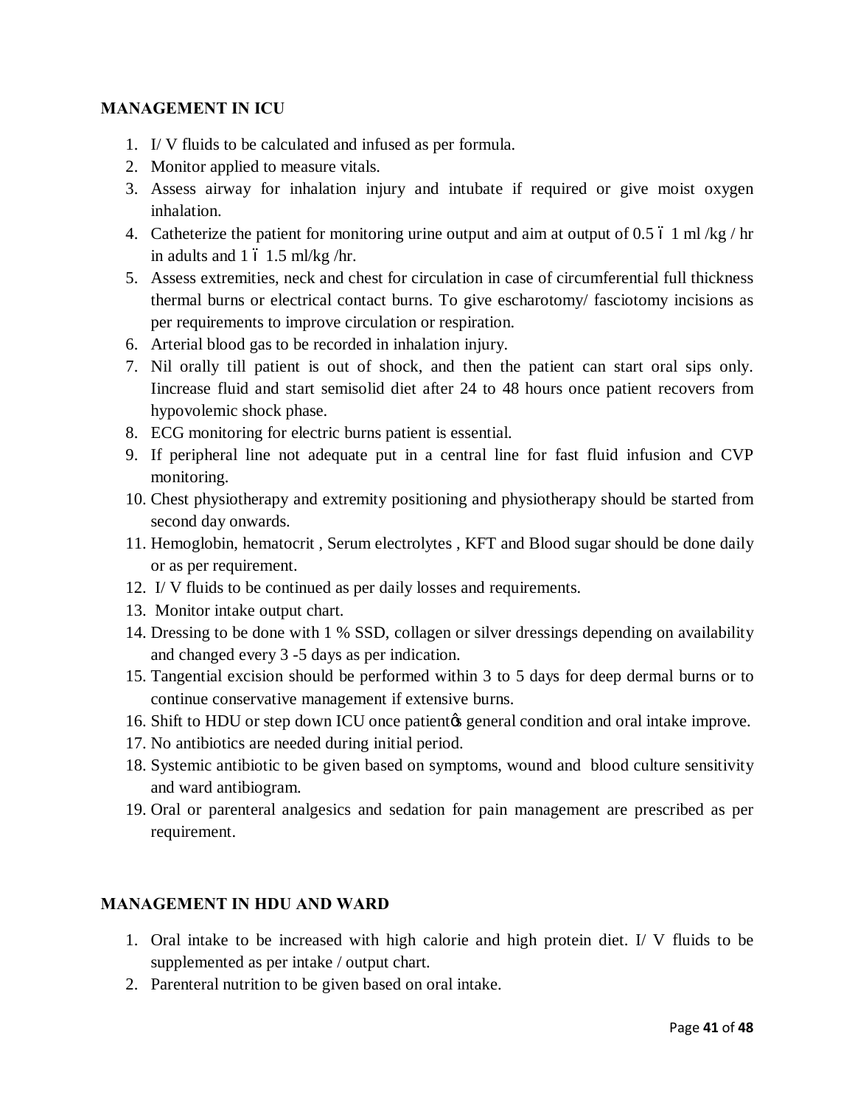#### **MANAGEMENT IN ICU**

- 1. I/ V fluids to be calculated and infused as per formula.
- 2. Monitor applied to measure vitals.
- 3. Assess airway for inhalation injury and intubate if required or give moist oxygen inhalation.
- 4. Catheterize the patient for monitoring urine output and aim at output of 0.5  $\dot{\text{o}}$  1 ml/kg/hr in adults and  $1\,$  6  $1.5 \,$  ml/kg /hr.
- 5. Assess extremities, neck and chest for circulation in case of circumferential full thickness thermal burns or electrical contact burns. To give escharotomy/ fasciotomy incisions as per requirements to improve circulation or respiration.
- 6. Arterial blood gas to be recorded in inhalation injury.
- 7. Nil orally till patient is out of shock, and then the patient can start oral sips only. Iincrease fluid and start semisolid diet after 24 to 48 hours once patient recovers from hypovolemic shock phase.
- 8. ECG monitoring for electric burns patient is essential.
- 9. If peripheral line not adequate put in a central line for fast fluid infusion and CVP monitoring.
- 10. Chest physiotherapy and extremity positioning and physiotherapy should be started from second day onwards.
- 11. Hemoglobin, hematocrit , Serum electrolytes , KFT and Blood sugar should be done daily or as per requirement.
- 12. I/ V fluids to be continued as per daily losses and requirements.
- 13. Monitor intake output chart.
- 14. Dressing to be done with 1 % SSD, collagen or silver dressings depending on availability and changed every 3 -5 days as per indication.
- 15. Tangential excision should be performed within 3 to 5 days for deep dermal burns or to continue conservative management if extensive burns.
- 16. Shift to HDU or step down ICU once patient to general condition and oral intake improve.
- 17. No antibiotics are needed during initial period.
- 18. Systemic antibiotic to be given based on symptoms, wound and blood culture sensitivity and ward antibiogram.
- 19. Oral or parenteral analgesics and sedation for pain management are prescribed as per requirement.

#### **MANAGEMENT IN HDU AND WARD**

- 1. Oral intake to be increased with high calorie and high protein diet. I/ V fluids to be supplemented as per intake / output chart.
- 2. Parenteral nutrition to be given based on oral intake.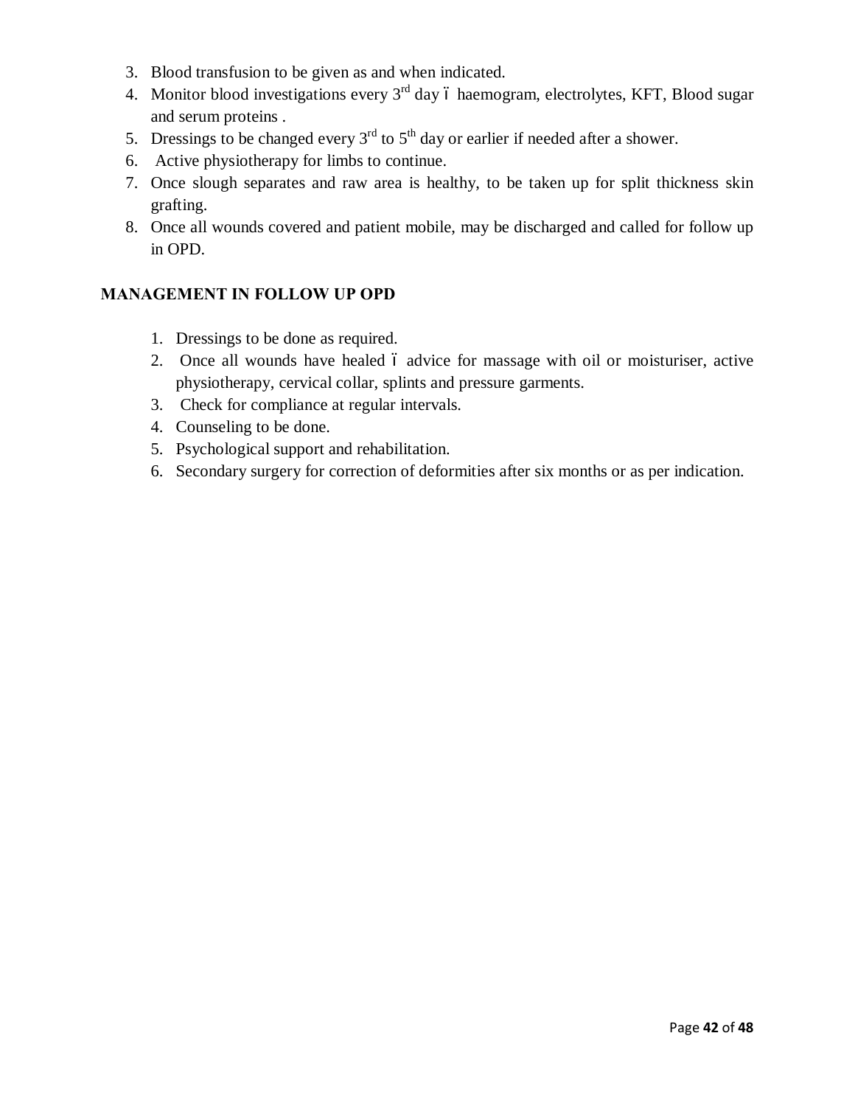- 3. Blood transfusion to be given as and when indicated.
- 4. Monitor blood investigations every 3<sup>rd</sup> day 6 haemogram, electrolytes, KFT, Blood sugar and serum proteins .
- 5. Dressings to be changed every  $3<sup>rd</sup>$  to  $5<sup>th</sup>$  day or earlier if needed after a shower.
- 6. Active physiotherapy for limbs to continue.
- 7. Once slough separates and raw area is healthy, to be taken up for split thickness skin grafting.
- 8. Once all wounds covered and patient mobile, may be discharged and called for follow up in OPD.

#### **MANAGEMENT IN FOLLOW UP OPD**

- 1. Dressings to be done as required.
- 2. Once all wounds have healed 6 advice for massage with oil or moisturiser, active physiotherapy, cervical collar, splints and pressure garments.
- 3. Check for compliance at regular intervals.
- 4. Counseling to be done.
- 5. Psychological support and rehabilitation.
- 6. Secondary surgery for correction of deformities after six months or as per indication.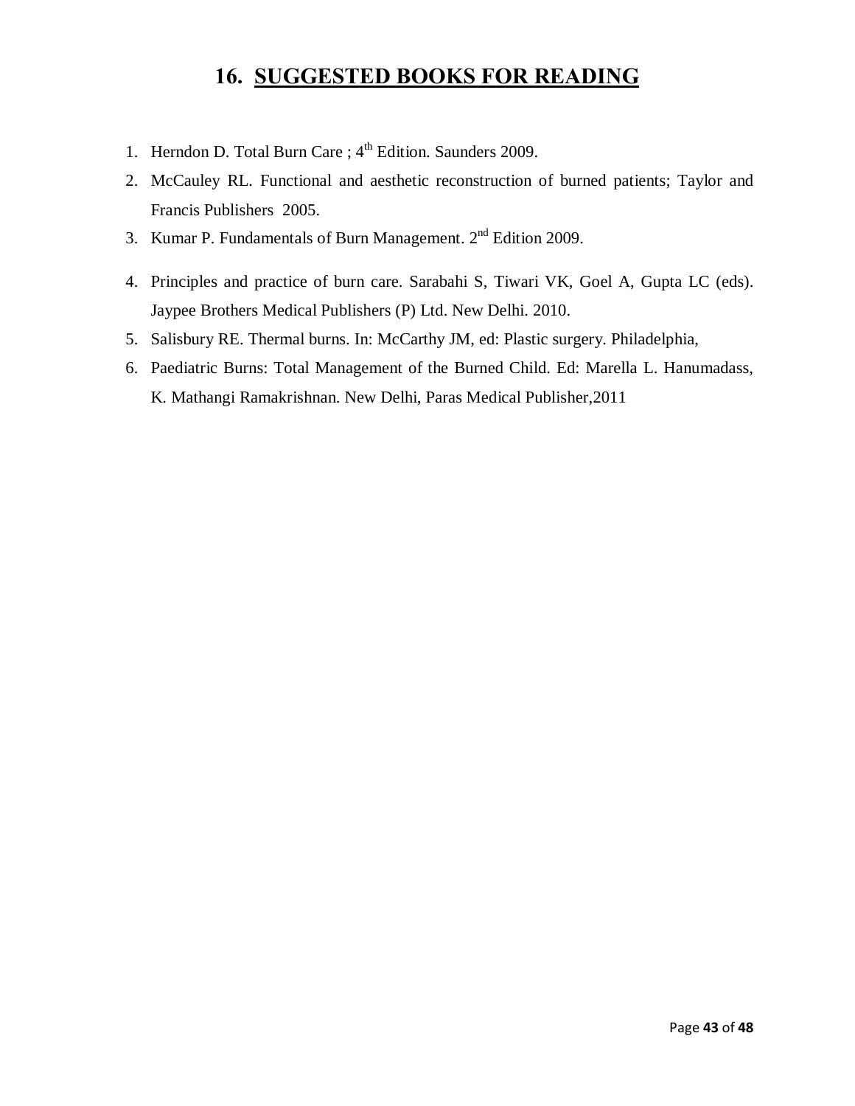### **16. SUGGESTED BOOKS FOR READING**

- 1. Herndon D. Total Burn Care;  $4<sup>th</sup>$  Edition. Saunders 2009.
- 2. McCauley RL. Functional and aesthetic reconstruction of burned patients; Taylor and Francis Publishers 2005.
- 3. Kumar P. Fundamentals of Burn Management.  $2<sup>nd</sup>$  Edition 2009.
- 4. Principles and practice of burn care. Sarabahi S, Tiwari VK, Goel A, Gupta LC (eds). Jaypee Brothers Medical Publishers (P) Ltd. New Delhi. 2010.
- 5. Salisbury RE. Thermal burns. In: McCarthy JM, ed: Plastic surgery. Philadelphia,
- 6. Paediatric Burns: Total Management of the Burned Child. Ed: Marella L. Hanumadass, K. Mathangi Ramakrishnan. New Delhi, Paras Medical Publisher,2011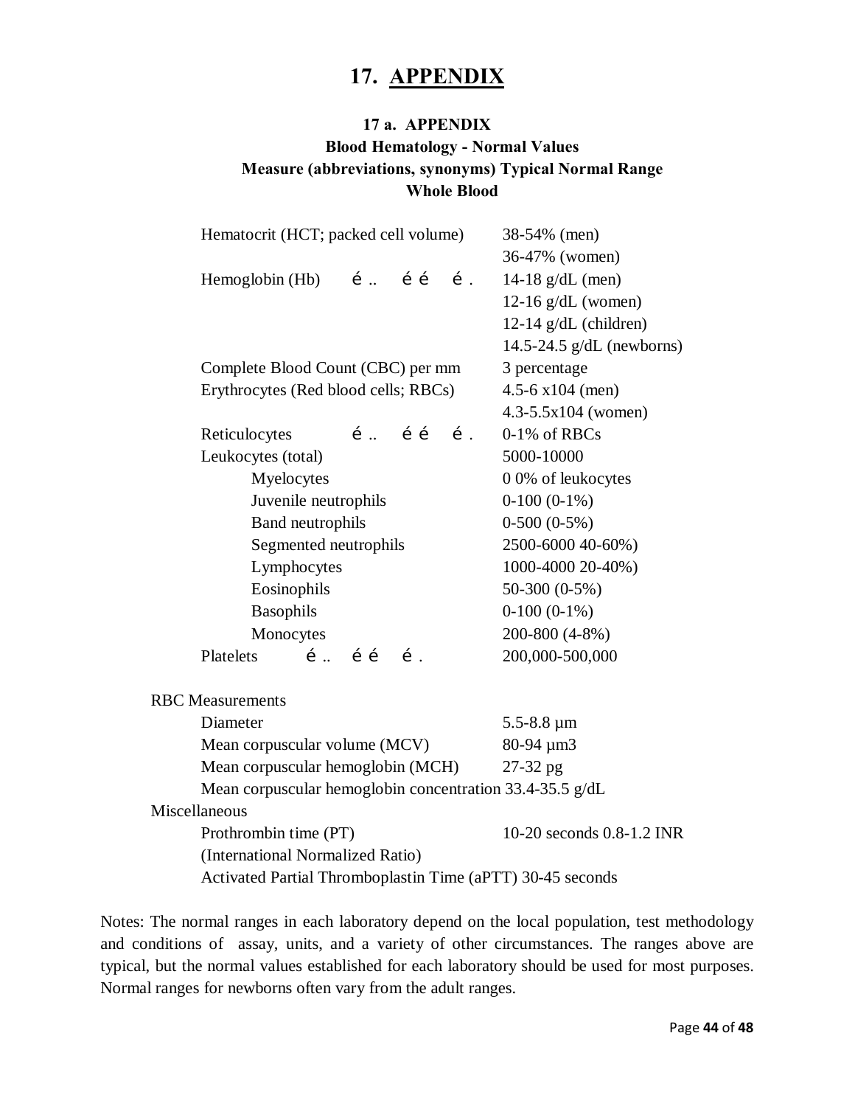### **17. APPENDIX**

### **17 a. APPENDIX Blood Hematology - Normal Values Measure (abbreviations, synonyms) Typical Normal Range Whole Blood**

| Hematocrit (HCT; packed cell volume)                       | 38-54% (men)                   |
|------------------------------------------------------------|--------------------------------|
|                                                            | 36-47% (women)                 |
| Hemoglobin $(Hb)$ <i>i</i> . <i>i i i i i</i>              | 14-18 $g/dL$ (men)             |
|                                                            | $12-16$ g/dL (women)           |
|                                                            | $12-14$ g/dL (children)        |
|                                                            | 14.5-24.5 $g/dL$ (newborns)    |
| Complete Blood Count (CBC) per mm                          | 3 percentage                   |
| Erythrocytes (Red blood cells; RBCs)                       | 4.5-6 $x104$ (men)             |
|                                                            | $4.3 - 5.5 \times 104$ (women) |
| $i$ $i$ $j$<br>Reticulocytes<br>$\mathbf{1}$ .             | 0-1% of RBCs                   |
| Leukocytes (total)                                         | 5000-10000                     |
| Myelocytes                                                 | 0 0% of leukocytes             |
| Juvenile neutrophils                                       | $0-100(0-1%)$                  |
| Band neutrophils                                           | $0-500(0-5%)$                  |
| Segmented neutrophils                                      | 2500-6000 40-60%)              |
| Lymphocytes                                                | 1000-4000 20-40%)              |
| Eosinophils                                                | $50-300(0-5%)$                 |
| Basophils                                                  | $0-100(0-1%)$                  |
| Monocytes                                                  | 200-800 (4-8%)                 |
| $i$ $\ldots$ $i$ $i$<br>Platelets<br>$\mathbf{1}$ .        | 200,000-500,000                |
| <b>RBC</b> Measurements                                    |                                |
| Diameter                                                   | $5.5 - 8.8 \,\mu m$            |
| Mean corpuscular volume (MCV)                              | 80-94 µm3                      |
| Mean corpuscular hemoglobin (MCH)                          | 27-32 pg                       |
| Mean corpuscular hemoglobin concentration 33.4-35.5 g/dL   |                                |
| Miscellaneous                                              |                                |
| Prothrombin time (PT)                                      | 10-20 seconds 0.8-1.2 INR      |
| (International Normalized Ratio)                           |                                |
| Activated Partial Thromboplastin Time (aPTT) 30-45 seconds |                                |

Notes: The normal ranges in each laboratory depend on the local population, test methodology and conditions of assay, units, and a variety of other circumstances. The ranges above are typical, but the normal values established for each laboratory should be used for most purposes. Normal ranges for newborns often vary from the adult ranges.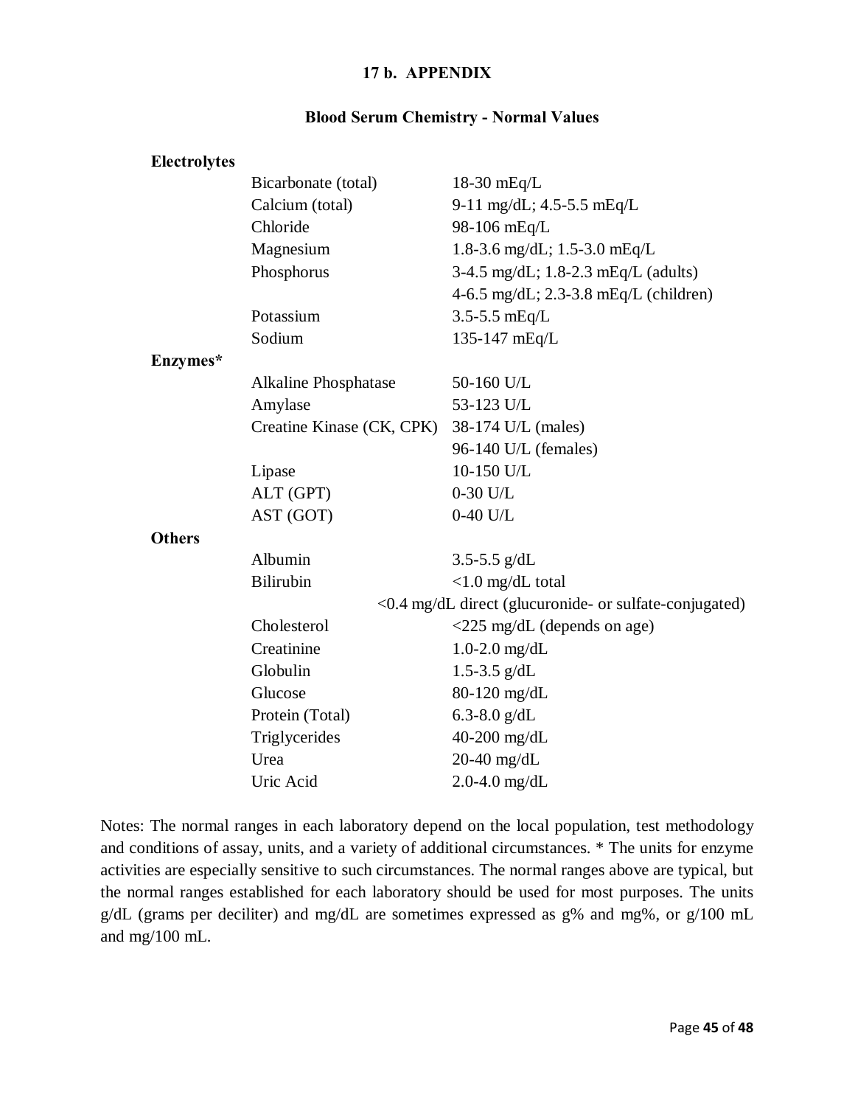#### **17 b. APPENDIX**

#### **Blood Serum Chemistry - Normal Values**

| <b>Electrolytes</b> |                             |                                                        |
|---------------------|-----------------------------|--------------------------------------------------------|
|                     | Bicarbonate (total)         | $18-30$ mEq/L                                          |
|                     | Calcium (total)             | 9-11 mg/dL; $4.5 - 5.5$ mEq/L                          |
|                     | Chloride                    | 98-106 mEq/L                                           |
|                     | Magnesium                   | 1.8-3.6 mg/dL; $1.5-3.0$ mEq/L                         |
|                     | Phosphorus                  | $3-4.5$ mg/dL; $1.8-2.3$ mEq/L (adults)                |
|                     |                             | $4-6.5$ mg/dL; 2.3-3.8 mEq/L (children)                |
|                     | Potassium                   | $3.5 - 5.5$ mEq/L                                      |
|                     | Sodium                      | 135-147 mEq/L                                          |
| Enzymes*            |                             |                                                        |
|                     | <b>Alkaline Phosphatase</b> | 50-160 U/L                                             |
|                     | Amylase                     | 53-123 U/L                                             |
|                     | Creatine Kinase (CK, CPK)   | 38-174 U/L (males)                                     |
|                     |                             | 96-140 U/L (females)                                   |
|                     | Lipase                      | 10-150 U/L                                             |
|                     | ALT (GPT)                   | $0-30$ U/L                                             |
|                     | AST (GOT)                   | $0-40$ U/L                                             |
| <b>Others</b>       |                             |                                                        |
|                     | Albumin                     | 3.5-5.5 $g/dL$                                         |
|                     | <b>Bilirubin</b>            | $< 1.0$ mg/dL total                                    |
|                     |                             | <0.4 mg/dL direct (glucuronide- or sulfate-conjugated) |
|                     | Cholesterol                 | $\langle 225 \text{ mg/dL} \rangle$ (depends on age)   |
|                     | Creatinine                  | $1.0 - 2.0$ mg/dL                                      |
|                     | Globulin                    | 1.5-3.5 $g/dL$                                         |
|                     | Glucose                     | 80-120 mg/dL                                           |
|                     | Protein (Total)             | 6.3-8.0 $g/dL$                                         |
|                     | Triglycerides               | 40-200 mg/dL                                           |
|                     | Urea                        | $20-40$ mg/dL                                          |
|                     | Uric Acid                   | $2.0 - 4.0$ mg/dL                                      |

Notes: The normal ranges in each laboratory depend on the local population, test methodology and conditions of assay, units, and a variety of additional circumstances. \* The units for enzyme activities are especially sensitive to such circumstances. The normal ranges above are typical, but the normal ranges established for each laboratory should be used for most purposes. The units g/dL (grams per deciliter) and mg/dL are sometimes expressed as g% and mg%, or g/100 mL and mg/100 mL.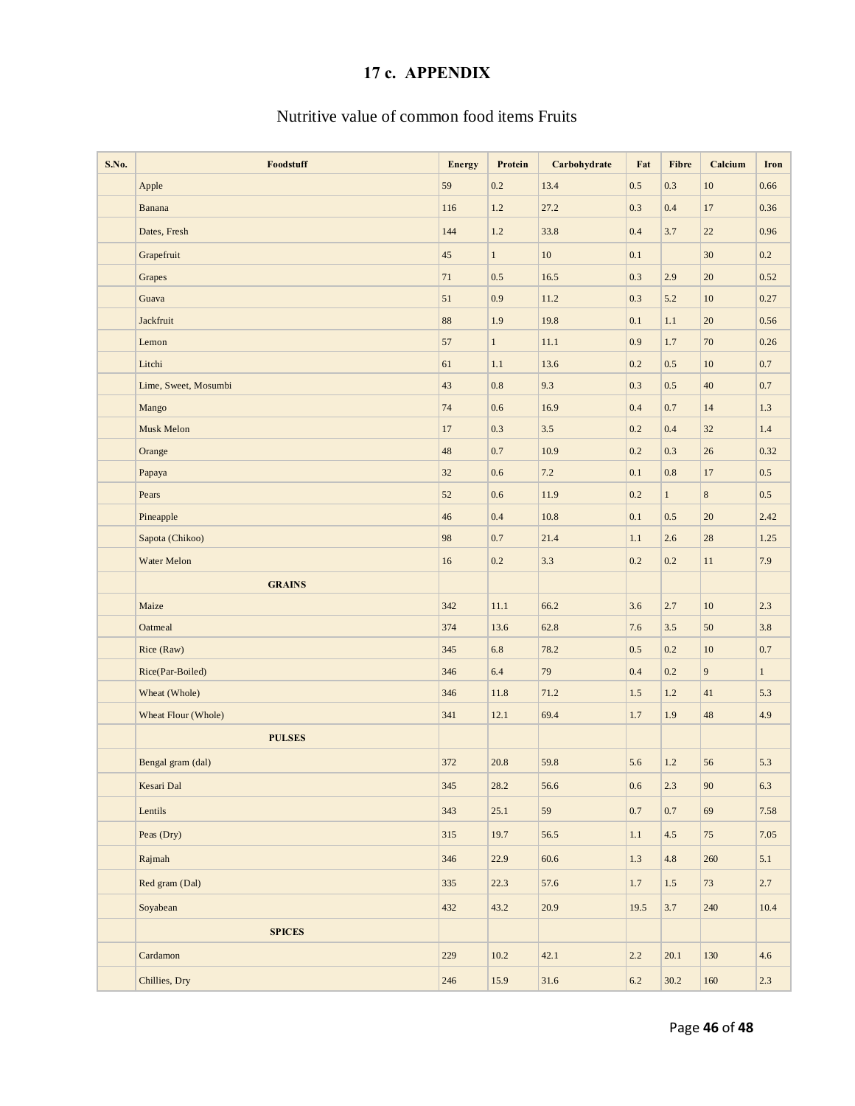### **17 c. APPENDIX**

#### Nutritive value of common food items Fruits

| S.No. | Foodstuff            | <b>Energy</b> | Protein      | Carbohydrate | Fat     | <b>Fibre</b> | Calcium     | <b>Iron</b> |
|-------|----------------------|---------------|--------------|--------------|---------|--------------|-------------|-------------|
|       | Apple                | 59            | 0.2          | 13.4         | 0.5     | 0.3          | 10          | 0.66        |
|       | Banana               | 116           | 1.2          | 27.2         | 0.3     | $0.4\,$      | $17\,$      | 0.36        |
|       | Dates, Fresh         | 144           | 1.2          | 33.8         | 0.4     | 3.7          | 22          | 0.96        |
|       | Grapefruit           | 45            | $\mathbf{1}$ | 10           | 0.1     |              | $30\,$      | 0.2         |
|       | Grapes               | 71            | 0.5          | 16.5         | 0.3     | 2.9          | $20\,$      | 0.52        |
|       | Guava                | 51            | 0.9          | 11.2         | 0.3     | 5.2          | $10\,$      | 0.27        |
|       | Jackfruit            | 88            | 1.9          | 19.8         | 0.1     | 1.1          | $20\,$      | 0.56        |
|       | Lemon                | 57            | $\mathbf{1}$ | $11.1\,$     | 0.9     | $1.7\,$      | $70\,$      | 0.26        |
|       | Litchi               | 61            | 1.1          | 13.6         | 0.2     | 0.5          | 10          | $0.7\,$     |
|       | Lime, Sweet, Mosumbi | 43            | 0.8          | 9.3          | 0.3     | 0.5          | 40          | 0.7         |
|       | Mango                | 74            | 0.6          | 16.9         | 0.4     | $0.7\,$      | 14          | 1.3         |
|       | Musk Melon           | 17            | 0.3          | 3.5          | 0.2     | 0.4          | 32          | $1.4\,$     |
|       | Orange               | $\sqrt{48}$   | 0.7          | 10.9         | 0.2     | 0.3          | $26\,$      | 0.32        |
|       | Papaya               | 32            | $0.6\,$      | 7.2          | 0.1     | 0.8          | 17          | 0.5         |
|       | Pears                | 52            | 0.6          | 11.9         | 0.2     | $\mathbf{1}$ | 8           | 0.5         |
|       | Pineapple            | 46            | 0.4          | 10.8         | 0.1     | 0.5          | 20          | 2.42        |
|       | Sapota (Chikoo)      | 98            | $0.7\,$      | 21.4         | 1.1     | 2.6          | $28\,$      | 1.25        |
|       | Water Melon          | 16            | 0.2          | 3.3          | 0.2     | 0.2          | 11          | 7.9         |
|       | <b>GRAINS</b>        |               |              |              |         |              |             |             |
|       | Maize                | 342           | $11.1\,$     | 66.2         | 3.6     | 2.7          | $10\,$      | 2.3         |
|       | Oatmeal              | 374           | 13.6         | 62.8         | $7.6\,$ | $3.5$        | 50          | $3.8\,$     |
|       | Rice (Raw)           | 345           | 6.8          | 78.2         | 0.5     | 0.2          | 10          | 0.7         |
|       | Rice(Par-Boiled)     | 346           | $6.4\,$      | 79           | 0.4     | 0.2          | 9           | $1\,$       |
|       | Wheat (Whole)        | 346           | 11.8         | 71.2         | 1.5     | 1.2          | 41          | 5.3         |
|       | Wheat Flour (Whole)  | 341           | 12.1         | 69.4         | $1.7\,$ | 1.9          | $\sqrt{48}$ | $4.9\,$     |
|       | <b>PULSES</b>        |               |              |              |         |              |             |             |
|       | Bengal gram (dal)    | 372           | 20.8         | 59.8         | 5.6     | 1.2          | 56          | 5.3         |
|       | Kesari Dal           | 345           | 28.2         | 56.6         | $0.6\,$ | 2.3          | $90\,$      | $6.3\,$     |
|       | Lentils              | 343           | 25.1         | 59           | 0.7     | 0.7          | 69          | 7.58        |
|       | Peas (Dry)           | 315           | 19.7         | 56.5         | $1.1\,$ | $4.5\,$      | 75          | 7.05        |
|       | Rajmah               | 346           | 22.9         | 60.6         | 1.3     | 4.8          | 260         | 5.1         |
|       | Red gram (Dal)       | 335           | 22.3         | 57.6         | 1.7     | $1.5\,$      | 73          | 2.7         |
|       | Soyabean             | 432           | 43.2         | 20.9         | 19.5    | $3.7$        | 240         | $10.4\,$    |
|       | <b>SPICES</b>        |               |              |              |         |              |             |             |
|       | Cardamon             | 229           | $10.2\,$     | 42.1         | 2.2     | 20.1         | 130         | 4.6         |
|       | Chillies, Dry        | 246           | 15.9         | 31.6         | 6.2     | 30.2         | 160         | 2.3         |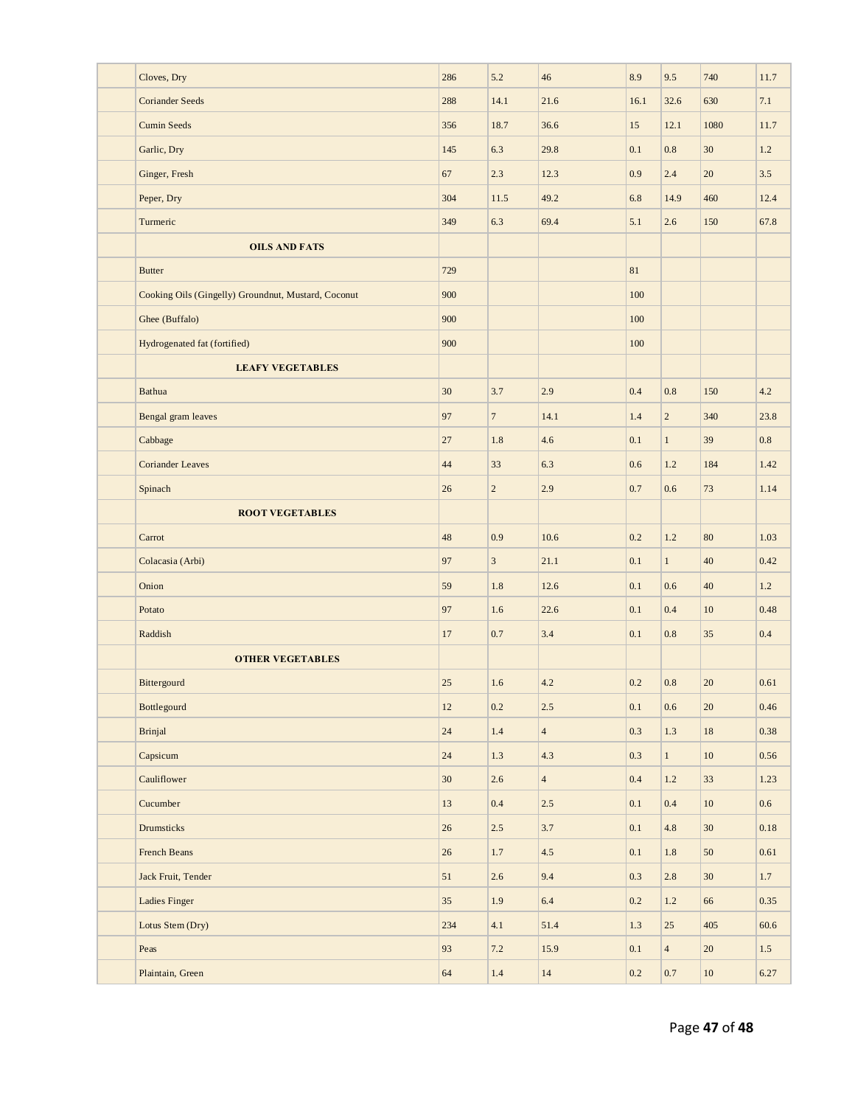| Cloves, Dry                                         | 286    | 5.2              | 46             | 8.9     | 9.5            | 740             | 11.7     |
|-----------------------------------------------------|--------|------------------|----------------|---------|----------------|-----------------|----------|
| <b>Coriander Seeds</b>                              | 288    | 14.1             | 21.6           | 16.1    | 32.6           | 630             | 7.1      |
| <b>Cumin Seeds</b>                                  | 356    | 18.7             | 36.6           | 15      | 12.1           | 1080            | 11.7     |
| Garlic, Dry                                         | 145    | 6.3              | 29.8           | 0.1     | 0.8            | 30              | 1.2      |
| Ginger, Fresh                                       | 67     | 2.3              | 12.3           | 0.9     | 2.4            | 20              | 3.5      |
| Peper, Dry                                          | 304    | 11.5             | 49.2           | 6.8     | 14.9           | 460             | 12.4     |
| Turmeric                                            | 349    | 6.3              | 69.4           | 5.1     | 2.6            | 150             | 67.8     |
| <b>OILS AND FATS</b>                                |        |                  |                |         |                |                 |          |
| <b>Butter</b>                                       | 729    |                  |                | 81      |                |                 |          |
| Cooking Oils (Gingelly) Groundnut, Mustard, Coconut | 900    |                  |                | 100     |                |                 |          |
| Ghee (Buffalo)                                      | 900    |                  |                | 100     |                |                 |          |
| Hydrogenated fat (fortified)                        | 900    |                  |                | 100     |                |                 |          |
| <b>LEAFY VEGETABLES</b>                             |        |                  |                |         |                |                 |          |
| <b>Bathua</b>                                       | 30     | 3.7              | 2.9            | 0.4     | 0.8            | 150             | 4.2      |
| Bengal gram leaves                                  | 97     | $\overline{7}$   | 14.1           | 1.4     | $\overline{c}$ | 340             | 23.8     |
| Cabbage                                             | 27     | 1.8              | 4.6            | 0.1     | $\mathbf{1}$   | 39              | 0.8      |
| <b>Coriander Leaves</b>                             | 44     | 33               | 6.3            | 0.6     | 1.2            | 184             | 1.42     |
| Spinach                                             | 26     | $\sqrt{2}$       | 2.9            | 0.7     | 0.6            | 73              | 1.14     |
| <b>ROOT VEGETABLES</b>                              |        |                  |                |         |                |                 |          |
| Carrot                                              | 48     | 0.9              | 10.6           | 0.2     | 1.2            | 80              | 1.03     |
| Colacasia (Arbi)                                    | 97     | $\vert 3 \vert$  | 21.1           | 0.1     | $\mathbf{1}$   | 40              | 0.42     |
| Onion                                               | 59     | 1.8              | 12.6           | 0.1     | 0.6            | 40              | 1.2      |
| Potato                                              | 97     | 1.6              | 22.6           | 0.1     | 0.4            | 10              | 0.48     |
| Raddish                                             | 17     | 0.7              | 3.4            | 0.1     | 0.8            | 35              | 0.4      |
| <b>OTHER VEGETABLES</b>                             |        |                  |                |         |                |                 |          |
| Bittergourd                                         | 25     | 1.6              | 4.2            | 0.2     | 0.8            | 20              | 0.61     |
| Bottlegourd                                         | 12     | 0.2              | 2.5            | 0.1     | $0.6\,$        | 20              | 0.46     |
| <b>Brinjal</b>                                      | $24\,$ | $1.4\,$          | $\overline{4}$ | $0.3\,$ | $1.3\,$        | $18\,$          | 0.38     |
| Capsicum                                            | $24\,$ | 1.3              | $4.3\,$        | 0.3     | $\mathbf{1}$   | $10\,$          | 0.56     |
| Cauliflower                                         | 30     | $2.6\phantom{0}$ | $\overline{4}$ | $0.4\,$ | $1.2\,$        | 33              | 1.23     |
| Cucumber                                            | 13     | 0.4              | $2.5\,$        | $0.1\,$ | $0.4\,$        | $10\,$          | $0.6\,$  |
| Drumsticks                                          | 26     | 2.5              | 3.7            | $0.1\,$ | $4.8\,$        | 30 <sup>°</sup> | $0.18\,$ |
| French Beans                                        | 26     | $1.7\,$          | 4.5            | 0.1     | $1.8\,$        | 50              | 0.61     |
| Jack Fruit, Tender                                  | 51     | 2.6              | 9.4            | 0.3     | $2.8$          | 30 <sup>°</sup> | 1.7      |
| Ladies Finger                                       | 35     | 1.9              | 6.4            | $0.2\,$ | $1.2\,$        | 66              | 0.35     |
| Lotus Stem (Dry)                                    | 234    | 4.1              | 51.4           | 1.3     | 25             | 405             | 60.6     |
| Peas                                                | 93     | $7.2\,$          | 15.9           | $0.1\,$ | $\overline{4}$ | $20\,$          | 1.5      |
| Plaintain, Green                                    | 64     | $1.4\,$          | $14\,$         | $0.2\,$ | $0.7\,$        | $10\,$          | 6.27     |